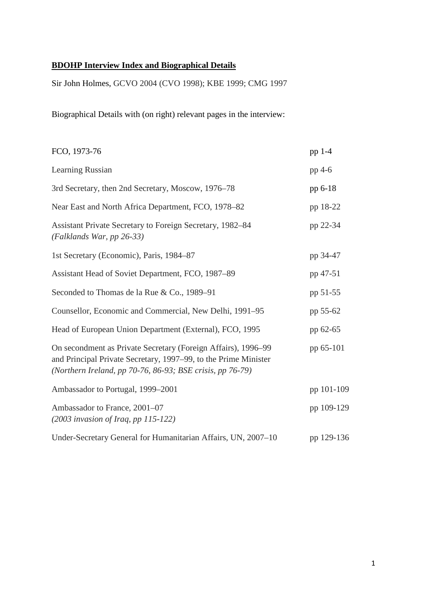# **BDOHP Interview Index and Biographical Details**

Sir John Holmes, GCVO 2004 (CVO 1998); KBE 1999; CMG 1997

Biographical Details with (on right) relevant pages in the interview:

| FCO, 1973-76                                                                                                                                                                                  | pp 1-4     |
|-----------------------------------------------------------------------------------------------------------------------------------------------------------------------------------------------|------------|
| Learning Russian                                                                                                                                                                              | pp 4-6     |
| 3rd Secretary, then 2nd Secretary, Moscow, 1976–78                                                                                                                                            | pp 6-18    |
| Near East and North Africa Department, FCO, 1978-82                                                                                                                                           | pp 18-22   |
| Assistant Private Secretary to Foreign Secretary, 1982-84<br>(Falklands War, pp 26-33)                                                                                                        | pp 22-34   |
| 1st Secretary (Economic), Paris, 1984-87                                                                                                                                                      | pp 34-47   |
| Assistant Head of Soviet Department, FCO, 1987-89                                                                                                                                             | pp 47-51   |
| Seconded to Thomas de la Rue & Co., 1989-91                                                                                                                                                   | pp 51-55   |
| Counsellor, Economic and Commercial, New Delhi, 1991-95                                                                                                                                       | pp 55-62   |
| Head of European Union Department (External), FCO, 1995                                                                                                                                       | pp 62-65   |
| On secondment as Private Secretary (Foreign Affairs), 1996–99<br>and Principal Private Secretary, 1997–99, to the Prime Minister<br>(Northern Ireland, pp 70-76, 86-93; BSE crisis, pp 76-79) | pp 65-101  |
| Ambassador to Portugal, 1999-2001                                                                                                                                                             | pp 101-109 |
| Ambassador to France, 2001-07<br>$(2003$ invasion of Iraq, pp 115-122)                                                                                                                        | pp 109-129 |
| Under-Secretary General for Humanitarian Affairs, UN, 2007-10                                                                                                                                 | pp 129-136 |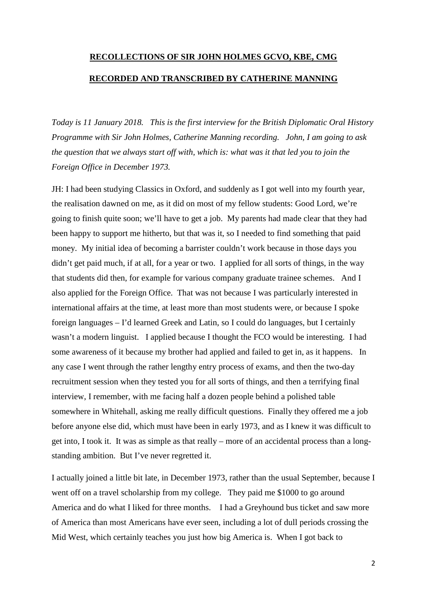# **RECOLLECTIONS OF SIR JOHN HOLMES GCVO, KBE, CMG RECORDED AND TRANSCRIBED BY CATHERINE MANNING**

*Today is 11 January 2018. This is the first interview for the British Diplomatic Oral History Programme with Sir John Holmes, Catherine Manning recording. John, I am going to ask the question that we always start off with, which is: what was it that led you to join the Foreign Office in December 1973.*

JH: I had been studying Classics in Oxford, and suddenly as I got well into my fourth year, the realisation dawned on me, as it did on most of my fellow students: Good Lord, we're going to finish quite soon; we'll have to get a job. My parents had made clear that they had been happy to support me hitherto, but that was it, so I needed to find something that paid money. My initial idea of becoming a barrister couldn't work because in those days you didn't get paid much, if at all, for a year or two. I applied for all sorts of things, in the way that students did then, for example for various company graduate trainee schemes. And I also applied for the Foreign Office. That was not because I was particularly interested in international affairs at the time, at least more than most students were, or because I spoke foreign languages – I'd learned Greek and Latin, so I could do languages, but I certainly wasn't a modern linguist. I applied because I thought the FCO would be interesting. I had some awareness of it because my brother had applied and failed to get in, as it happens. In any case I went through the rather lengthy entry process of exams, and then the two-day recruitment session when they tested you for all sorts of things, and then a terrifying final interview, I remember, with me facing half a dozen people behind a polished table somewhere in Whitehall, asking me really difficult questions. Finally they offered me a job before anyone else did, which must have been in early 1973, and as I knew it was difficult to get into, I took it. It was as simple as that really – more of an accidental process than a longstanding ambition. But I've never regretted it.

I actually joined a little bit late, in December 1973, rather than the usual September, because I went off on a travel scholarship from my college. They paid me \$1000 to go around America and do what I liked for three months. I had a Greyhound bus ticket and saw more of America than most Americans have ever seen, including a lot of dull periods crossing the Mid West, which certainly teaches you just how big America is. When I got back to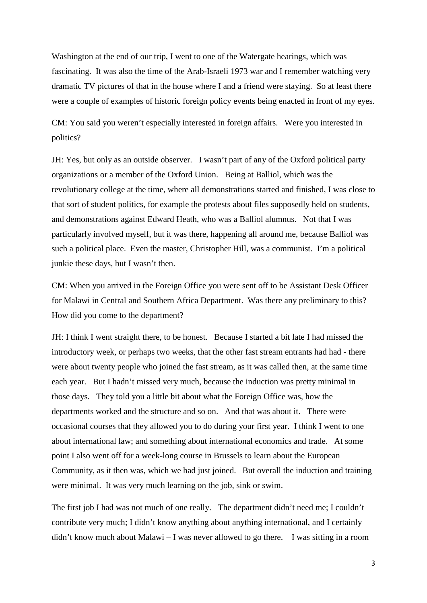Washington at the end of our trip, I went to one of the Watergate hearings, which was fascinating. It was also the time of the Arab-Israeli 1973 war and I remember watching very dramatic TV pictures of that in the house where I and a friend were staying. So at least there were a couple of examples of historic foreign policy events being enacted in front of my eyes.

CM: You said you weren't especially interested in foreign affairs. Were you interested in politics?

JH: Yes, but only as an outside observer. I wasn't part of any of the Oxford political party organizations or a member of the Oxford Union. Being at Balliol, which was the revolutionary college at the time, where all demonstrations started and finished, I was close to that sort of student politics, for example the protests about files supposedly held on students, and demonstrations against Edward Heath, who was a Balliol alumnus. Not that I was particularly involved myself, but it was there, happening all around me, because Balliol was such a political place. Even the master, Christopher Hill, was a communist. I'm a political junkie these days, but I wasn't then.

CM: When you arrived in the Foreign Office you were sent off to be Assistant Desk Officer for Malawi in Central and Southern Africa Department. Was there any preliminary to this? How did you come to the department?

JH: I think I went straight there, to be honest. Because I started a bit late I had missed the introductory week, or perhaps two weeks, that the other fast stream entrants had had - there were about twenty people who joined the fast stream, as it was called then, at the same time each year. But I hadn't missed very much, because the induction was pretty minimal in those days. They told you a little bit about what the Foreign Office was, how the departments worked and the structure and so on. And that was about it. There were occasional courses that they allowed you to do during your first year. I think I went to one about international law; and something about international economics and trade. At some point I also went off for a week-long course in Brussels to learn about the European Community, as it then was, which we had just joined. But overall the induction and training were minimal. It was very much learning on the job, sink or swim.

The first job I had was not much of one really. The department didn't need me; I couldn't contribute very much; I didn't know anything about anything international, and I certainly didn't know much about Malawi – I was never allowed to go there. I was sitting in a room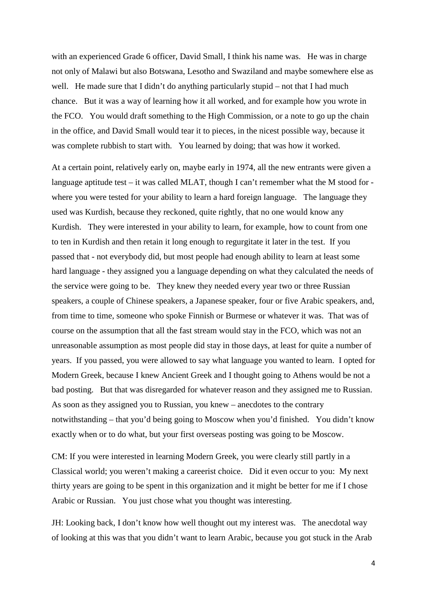with an experienced Grade 6 officer, David Small, I think his name was. He was in charge not only of Malawi but also Botswana, Lesotho and Swaziland and maybe somewhere else as well. He made sure that I didn't do anything particularly stupid – not that I had much chance. But it was a way of learning how it all worked, and for example how you wrote in the FCO. You would draft something to the High Commission, or a note to go up the chain in the office, and David Small would tear it to pieces, in the nicest possible way, because it was complete rubbish to start with. You learned by doing; that was how it worked.

At a certain point, relatively early on, maybe early in 1974, all the new entrants were given a language aptitude test – it was called MLAT, though I can't remember what the M stood for where you were tested for your ability to learn a hard foreign language. The language they used was Kurdish, because they reckoned, quite rightly, that no one would know any Kurdish. They were interested in your ability to learn, for example, how to count from one to ten in Kurdish and then retain it long enough to regurgitate it later in the test. If you passed that - not everybody did, but most people had enough ability to learn at least some hard language - they assigned you a language depending on what they calculated the needs of the service were going to be. They knew they needed every year two or three Russian speakers, a couple of Chinese speakers, a Japanese speaker, four or five Arabic speakers, and, from time to time, someone who spoke Finnish or Burmese or whatever it was. That was of course on the assumption that all the fast stream would stay in the FCO, which was not an unreasonable assumption as most people did stay in those days, at least for quite a number of years. If you passed, you were allowed to say what language you wanted to learn. I opted for Modern Greek, because I knew Ancient Greek and I thought going to Athens would be not a bad posting. But that was disregarded for whatever reason and they assigned me to Russian. As soon as they assigned you to Russian, you knew – anecdotes to the contrary notwithstanding – that you'd being going to Moscow when you'd finished. You didn't know exactly when or to do what, but your first overseas posting was going to be Moscow.

CM: If you were interested in learning Modern Greek, you were clearly still partly in a Classical world; you weren't making a careerist choice. Did it even occur to you: My next thirty years are going to be spent in this organization and it might be better for me if I chose Arabic or Russian. You just chose what you thought was interesting.

JH: Looking back, I don't know how well thought out my interest was. The anecdotal way of looking at this was that you didn't want to learn Arabic, because you got stuck in the Arab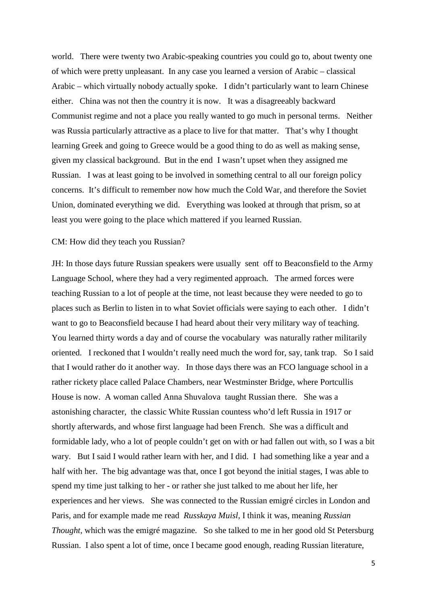world. There were twenty two Arabic-speaking countries you could go to, about twenty one of which were pretty unpleasant. In any case you learned a version of Arabic – classical Arabic – which virtually nobody actually spoke. I didn't particularly want to learn Chinese either. China was not then the country it is now. It was a disagreeably backward Communist regime and not a place you really wanted to go much in personal terms. Neither was Russia particularly attractive as a place to live for that matter. That's why I thought learning Greek and going to Greece would be a good thing to do as well as making sense, given my classical background. But in the end I wasn't upset when they assigned me Russian. I was at least going to be involved in something central to all our foreign policy concerns. It's difficult to remember now how much the Cold War, and therefore the Soviet Union, dominated everything we did. Everything was looked at through that prism, so at least you were going to the place which mattered if you learned Russian.

#### CM: How did they teach you Russian?

JH: In those days future Russian speakers were usually sent off to Beaconsfield to the Army Language School, where they had a very regimented approach. The armed forces were teaching Russian to a lot of people at the time, not least because they were needed to go to places such as Berlin to listen in to what Soviet officials were saying to each other. I didn't want to go to Beaconsfield because I had heard about their very military way of teaching. You learned thirty words a day and of course the vocabulary was naturally rather militarily oriented. I reckoned that I wouldn't really need much the word for, say, tank trap. So I said that I would rather do it another way. In those days there was an FCO language school in a rather rickety place called Palace Chambers, near Westminster Bridge, where Portcullis House is now. A woman called Anna Shuvalova taught Russian there. She was a astonishing character, the classic White Russian countess who'd left Russia in 1917 or shortly afterwards, and whose first language had been French. She was a difficult and formidable lady, who a lot of people couldn't get on with or had fallen out with, so I was a bit wary. But I said I would rather learn with her, and I did. I had something like a year and a half with her. The big advantage was that, once I got beyond the initial stages, I was able to spend my time just talking to her - or rather she just talked to me about her life, her experiences and her views. She was connected to the Russian emigré circles in London and Paris, and for example made me read *Russkaya Muisl,* I think it was, meaning *Russian Thought*, which was the emigré magazine. So she talked to me in her good old St Petersburg Russian. I also spent a lot of time, once I became good enough, reading Russian literature,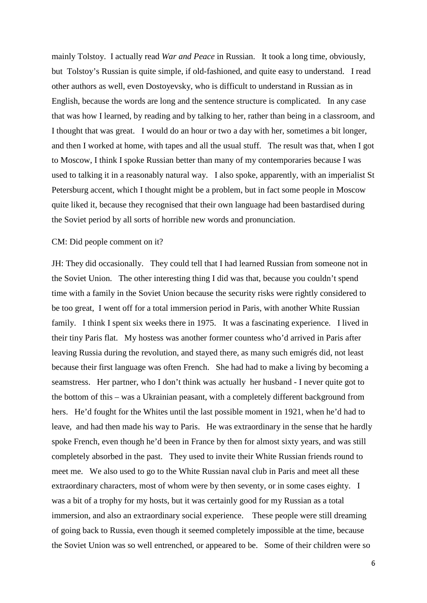mainly Tolstoy. I actually read *War and Peace* in Russian. It took a long time, obviously, but Tolstoy's Russian is quite simple, if old-fashioned, and quite easy to understand. I read other authors as well, even Dostoyevsky, who is difficult to understand in Russian as in English, because the words are long and the sentence structure is complicated. In any case that was how I learned, by reading and by talking to her, rather than being in a classroom, and I thought that was great. I would do an hour or two a day with her, sometimes a bit longer, and then I worked at home, with tapes and all the usual stuff. The result was that, when I got to Moscow, I think I spoke Russian better than many of my contemporaries because I was used to talking it in a reasonably natural way. I also spoke, apparently, with an imperialist St Petersburg accent, which I thought might be a problem, but in fact some people in Moscow quite liked it, because they recognised that their own language had been bastardised during the Soviet period by all sorts of horrible new words and pronunciation.

#### CM: Did people comment on it?

JH: They did occasionally. They could tell that I had learned Russian from someone not in the Soviet Union. The other interesting thing I did was that, because you couldn't spend time with a family in the Soviet Union because the security risks were rightly considered to be too great, I went off for a total immersion period in Paris, with another White Russian family. I think I spent six weeks there in 1975. It was a fascinating experience. I lived in their tiny Paris flat. My hostess was another former countess who'd arrived in Paris after leaving Russia during the revolution, and stayed there, as many such emigrés did, not least because their first language was often French. She had had to make a living by becoming a seamstress. Her partner, who I don't think was actually her husband - I never quite got to the bottom of this – was a Ukrainian peasant, with a completely different background from hers. He'd fought for the Whites until the last possible moment in 1921, when he'd had to leave, and had then made his way to Paris. He was extraordinary in the sense that he hardly spoke French, even though he'd been in France by then for almost sixty years, and was still completely absorbed in the past. They used to invite their White Russian friends round to meet me. We also used to go to the White Russian naval club in Paris and meet all these extraordinary characters, most of whom were by then seventy, or in some cases eighty. I was a bit of a trophy for my hosts, but it was certainly good for my Russian as a total immersion, and also an extraordinary social experience. These people were still dreaming of going back to Russia, even though it seemed completely impossible at the time, because the Soviet Union was so well entrenched, or appeared to be. Some of their children were so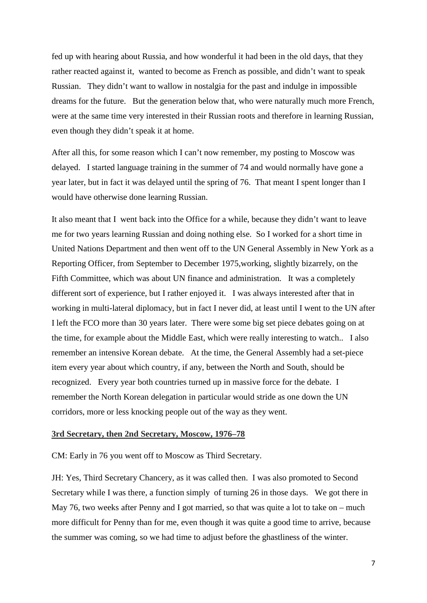fed up with hearing about Russia, and how wonderful it had been in the old days, that they rather reacted against it, wanted to become as French as possible, and didn't want to speak Russian. They didn't want to wallow in nostalgia for the past and indulge in impossible dreams for the future. But the generation below that, who were naturally much more French, were at the same time very interested in their Russian roots and therefore in learning Russian, even though they didn't speak it at home.

After all this, for some reason which I can't now remember, my posting to Moscow was delayed. I started language training in the summer of 74 and would normally have gone a year later, but in fact it was delayed until the spring of 76. That meant I spent longer than I would have otherwise done learning Russian.

It also meant that I went back into the Office for a while, because they didn't want to leave me for two years learning Russian and doing nothing else. So I worked for a short time in United Nations Department and then went off to the UN General Assembly in New York as a Reporting Officer, from September to December 1975,working, slightly bizarrely, on the Fifth Committee, which was about UN finance and administration. It was a completely different sort of experience, but I rather enjoyed it. I was always interested after that in working in multi-lateral diplomacy, but in fact I never did, at least until I went to the UN after I left the FCO more than 30 years later. There were some big set piece debates going on at the time, for example about the Middle East, which were really interesting to watch.. I also remember an intensive Korean debate. At the time, the General Assembly had a set-piece item every year about which country, if any, between the North and South, should be recognized. Every year both countries turned up in massive force for the debate. I remember the North Korean delegation in particular would stride as one down the UN corridors, more or less knocking people out of the way as they went.

### **3rd Secretary, then 2nd Secretary, Moscow, 1976–78**

CM: Early in 76 you went off to Moscow as Third Secretary.

JH: Yes, Third Secretary Chancery, as it was called then. I was also promoted to Second Secretary while I was there, a function simply of turning 26 in those days. We got there in May 76, two weeks after Penny and I got married, so that was quite a lot to take on – much more difficult for Penny than for me, even though it was quite a good time to arrive, because the summer was coming, so we had time to adjust before the ghastliness of the winter.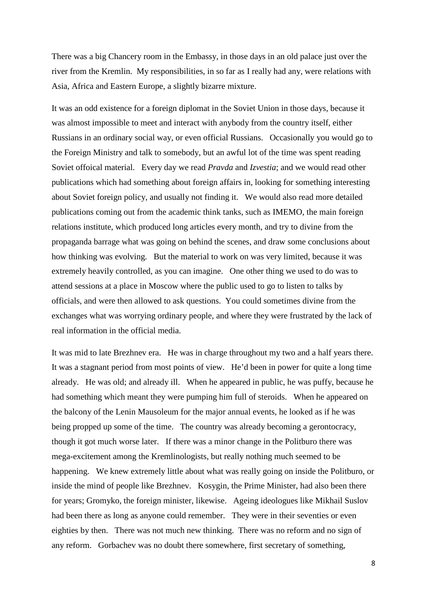There was a big Chancery room in the Embassy, in those days in an old palace just over the river from the Kremlin. My responsibilities, in so far as I really had any, were relations with Asia, Africa and Eastern Europe, a slightly bizarre mixture.

It was an odd existence for a foreign diplomat in the Soviet Union in those days, because it was almost impossible to meet and interact with anybody from the country itself, either Russians in an ordinary social way, or even official Russians. Occasionally you would go to the Foreign Ministry and talk to somebody, but an awful lot of the time was spent reading Soviet offoical material. Every day we read *Pravda* and *Izvestia*; and we would read other publications which had something about foreign affairs in, looking for something interesting about Soviet foreign policy, and usually not finding it. We would also read more detailed publications coming out from the academic think tanks, such as IMEMO, the main foreign relations institute, which produced long articles every month, and try to divine from the propaganda barrage what was going on behind the scenes, and draw some conclusions about how thinking was evolving. But the material to work on was very limited, because it was extremely heavily controlled, as you can imagine. One other thing we used to do was to attend sessions at a place in Moscow where the public used to go to listen to talks by officials, and were then allowed to ask questions. You could sometimes divine from the exchanges what was worrying ordinary people, and where they were frustrated by the lack of real information in the official media.

It was mid to late Brezhnev era. He was in charge throughout my two and a half years there. It was a stagnant period from most points of view. He'd been in power for quite a long time already. He was old; and already ill. When he appeared in public, he was puffy, because he had something which meant they were pumping him full of steroids. When he appeared on the balcony of the Lenin Mausoleum for the major annual events, he looked as if he was being propped up some of the time. The country was already becoming a gerontocracy, though it got much worse later. If there was a minor change in the Politburo there was mega-excitement among the Kremlinologists, but really nothing much seemed to be happening. We knew extremely little about what was really going on inside the Politburo, or inside the mind of people like Brezhnev. Kosygin, the Prime Minister, had also been there for years; Gromyko, the foreign minister, likewise. Ageing ideologues like Mikhail Suslov had been there as long as anyone could remember. They were in their seventies or even eighties by then. There was not much new thinking. There was no reform and no sign of any reform. Gorbachev was no doubt there somewhere, first secretary of something,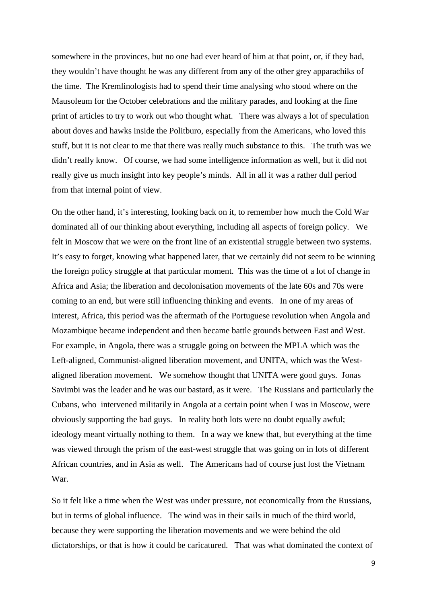somewhere in the provinces, but no one had ever heard of him at that point, or, if they had, they wouldn't have thought he was any different from any of the other grey apparachiks of the time. The Kremlinologists had to spend their time analysing who stood where on the Mausoleum for the October celebrations and the military parades, and looking at the fine print of articles to try to work out who thought what. There was always a lot of speculation about doves and hawks inside the Politburo, especially from the Americans, who loved this stuff, but it is not clear to me that there was really much substance to this. The truth was we didn't really know. Of course, we had some intelligence information as well, but it did not really give us much insight into key people's minds. All in all it was a rather dull period from that internal point of view.

On the other hand, it's interesting, looking back on it, to remember how much the Cold War dominated all of our thinking about everything, including all aspects of foreign policy. We felt in Moscow that we were on the front line of an existential struggle between two systems. It's easy to forget, knowing what happened later, that we certainly did not seem to be winning the foreign policy struggle at that particular moment. This was the time of a lot of change in Africa and Asia; the liberation and decolonisation movements of the late 60s and 70s were coming to an end, but were still influencing thinking and events. In one of my areas of interest, Africa, this period was the aftermath of the Portuguese revolution when Angola and Mozambique became independent and then became battle grounds between East and West. For example, in Angola, there was a struggle going on between the MPLA which was the Left-aligned, Communist-aligned liberation movement, and UNITA, which was the Westaligned liberation movement. We somehow thought that UNITA were good guys. Jonas Savimbi was the leader and he was our bastard, as it were. The Russians and particularly the Cubans, who intervened militarily in Angola at a certain point when I was in Moscow, were obviously supporting the bad guys. In reality both lots were no doubt equally awful; ideology meant virtually nothing to them. In a way we knew that, but everything at the time was viewed through the prism of the east-west struggle that was going on in lots of different African countries, and in Asia as well. The Americans had of course just lost the Vietnam War.

So it felt like a time when the West was under pressure, not economically from the Russians, but in terms of global influence. The wind was in their sails in much of the third world, because they were supporting the liberation movements and we were behind the old dictatorships, or that is how it could be caricatured. That was what dominated the context of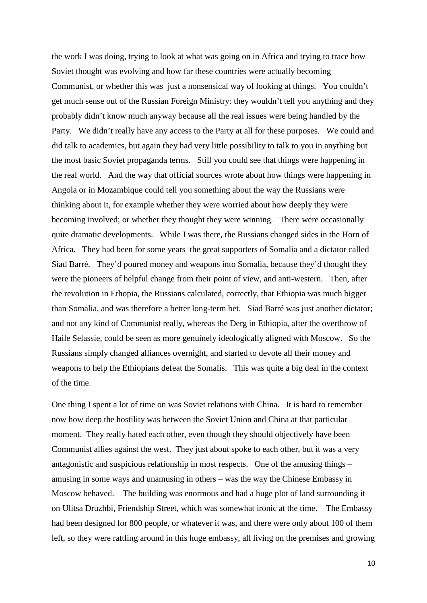the work I was doing, trying to look at what was going on in Africa and trying to trace how Soviet thought was evolving and how far these countries were actually becoming Communist, or whether this was just a nonsensical way of looking at things. You couldn't get much sense out of the Russian Foreign Ministry: they wouldn't tell you anything and they probably didn't know much anyway because all the real issues were being handled by the Party. We didn't really have any access to the Party at all for these purposes. We could and did talk to academics, but again they had very little possibility to talk to you in anything but the most basic Soviet propaganda terms. Still you could see that things were happening in the real world. And the way that official sources wrote about how things were happening in Angola or in Mozambique could tell you something about the way the Russians were thinking about it, for example whether they were worried about how deeply they were becoming involved; or whether they thought they were winning. There were occasionally quite dramatic developments. While I was there, the Russians changed sides in the Horn of Africa. They had been for some years the great supporters of Somalia and a dictator called Siad Barré. They'd poured money and weapons into Somalia, because they'd thought they were the pioneers of helpful change from their point of view, and anti-western. Then, after the revolution in Ethopia, the Russians calculated, correctly, that Ethiopia was much bigger than Somalia, and was therefore a better long-term bet. Siad Barré was just another dictator; and not any kind of Communist really, whereas the Derg in Ethiopia, after the overthrow of Haile Selassie, could be seen as more genuinely ideologically aligned with Moscow. So the Russians simply changed alliances overnight, and started to devote all their money and weapons to help the Ethiopians defeat the Somalis. This was quite a big deal in the context of the time.

One thing I spent a lot of time on was Soviet relations with China. It is hard to remember now how deep the hostility was between the Soviet Union and China at that particular moment. They really hated each other, even though they should objectively have been Communist allies against the west. They just about spoke to each other, but it was a very antagonistic and suspicious relationship in most respects. One of the amusing things – amusing in some ways and unamusing in others – was the way the Chinese Embassy in Moscow behaved. The building was enormous and had a huge plot of land surrounding it on Ulitsa Druzhbi, Friendship Street, which was somewhat ironic at the time. The Embassy had been designed for 800 people, or whatever it was, and there were only about 100 of them left, so they were rattling around in this huge embassy, all living on the premises and growing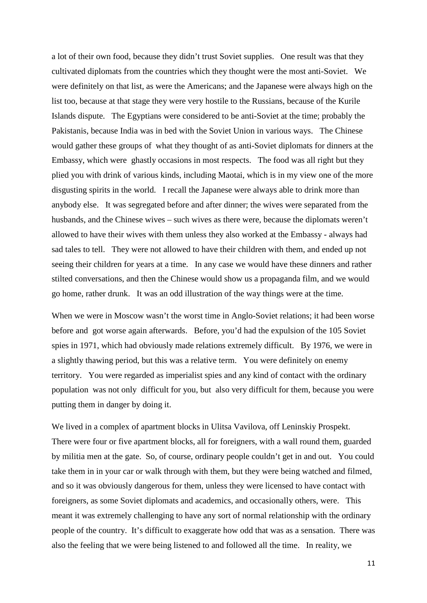a lot of their own food, because they didn't trust Soviet supplies. One result was that they cultivated diplomats from the countries which they thought were the most anti-Soviet. We were definitely on that list, as were the Americans; and the Japanese were always high on the list too, because at that stage they were very hostile to the Russians, because of the Kurile Islands dispute. The Egyptians were considered to be anti-Soviet at the time; probably the Pakistanis, because India was in bed with the Soviet Union in various ways. The Chinese would gather these groups of what they thought of as anti-Soviet diplomats for dinners at the Embassy, which were ghastly occasions in most respects. The food was all right but they plied you with drink of various kinds, including Maotai, which is in my view one of the more disgusting spirits in the world. I recall the Japanese were always able to drink more than anybody else. It was segregated before and after dinner; the wives were separated from the husbands, and the Chinese wives – such wives as there were, because the diplomats weren't allowed to have their wives with them unless they also worked at the Embassy - always had sad tales to tell. They were not allowed to have their children with them, and ended up not seeing their children for years at a time. In any case we would have these dinners and rather stilted conversations, and then the Chinese would show us a propaganda film, and we would go home, rather drunk. It was an odd illustration of the way things were at the time.

When we were in Moscow wasn't the worst time in Anglo-Soviet relations; it had been worse before and got worse again afterwards. Before, you'd had the expulsion of the 105 Soviet spies in 1971, which had obviously made relations extremely difficult. By 1976, we were in a slightly thawing period, but this was a relative term. You were definitely on enemy territory. You were regarded as imperialist spies and any kind of contact with the ordinary population was not only difficult for you, but also very difficult for them, because you were putting them in danger by doing it.

We lived in a complex of apartment blocks in Ulitsa Vavilova, off Leninskiy Prospekt. There were four or five apartment blocks, all for foreigners, with a wall round them, guarded by militia men at the gate. So, of course, ordinary people couldn't get in and out. You could take them in in your car or walk through with them, but they were being watched and filmed, and so it was obviously dangerous for them, unless they were licensed to have contact with foreigners, as some Soviet diplomats and academics, and occasionally others, were. This meant it was extremely challenging to have any sort of normal relationship with the ordinary people of the country. It's difficult to exaggerate how odd that was as a sensation. There was also the feeling that we were being listened to and followed all the time. In reality, we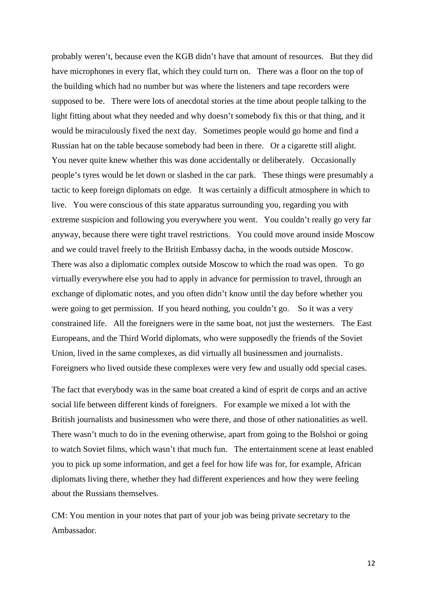probably weren't, because even the KGB didn't have that amount of resources. But they did have microphones in every flat, which they could turn on. There was a floor on the top of the building which had no number but was where the listeners and tape recorders were supposed to be. There were lots of anecdotal stories at the time about people talking to the light fitting about what they needed and why doesn't somebody fix this or that thing, and it would be miraculously fixed the next day. Sometimes people would go home and find a Russian hat on the table because somebody had been in there. Or a cigarette still alight. You never quite knew whether this was done accidentally or deliberately. Occasionally people's tyres would be let down or slashed in the car park. These things were presumably a tactic to keep foreign diplomats on edge. It was certainly a difficult atmosphere in which to live. You were conscious of this state apparatus surrounding you, regarding you with extreme suspicion and following you everywhere you went. You couldn't really go very far anyway, because there were tight travel restrictions. You could move around inside Moscow and we could travel freely to the British Embassy dacha, in the woods outside Moscow. There was also a diplomatic complex outside Moscow to which the road was open. To go virtually everywhere else you had to apply in advance for permission to travel, through an exchange of diplomatic notes, and you often didn't know until the day before whether you were going to get permission. If you heard nothing, you couldn't go. So it was a very constrained life. All the foreigners were in the same boat, not just the westerners. The East Europeans, and the Third World diplomats, who were supposedly the friends of the Soviet Union, lived in the same complexes, as did virtually all businessmen and journalists. Foreigners who lived outside these complexes were very few and usually odd special cases.

The fact that everybody was in the same boat created a kind of esprit de corps and an active social life between different kinds of foreigners. For example we mixed a lot with the British journalists and businessmen who were there, and those of other nationalities as well. There wasn't much to do in the evening otherwise, apart from going to the Bolshoi or going to watch Soviet films, which wasn't that much fun. The entertainment scene at least enabled you to pick up some information, and get a feel for how life was for, for example, African diplomats living there, whether they had different experiences and how they were feeling about the Russians themselves.

CM: You mention in your notes that part of your job was being private secretary to the Ambassador.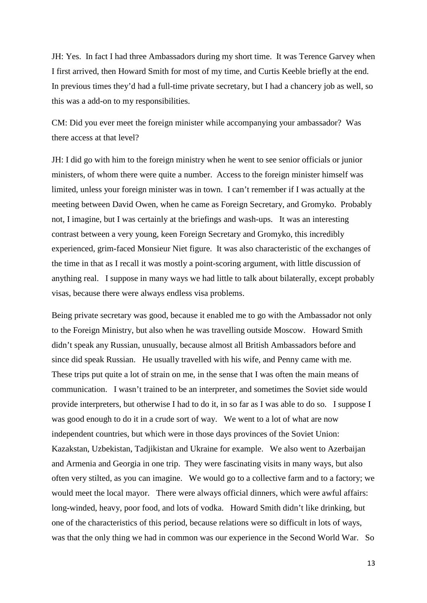JH: Yes. In fact I had three Ambassadors during my short time. It was Terence Garvey when I first arrived, then Howard Smith for most of my time, and Curtis Keeble briefly at the end. In previous times they'd had a full-time private secretary, but I had a chancery job as well, so this was a add-on to my responsibilities.

CM: Did you ever meet the foreign minister while accompanying your ambassador? Was there access at that level?

JH: I did go with him to the foreign ministry when he went to see senior officials or junior ministers, of whom there were quite a number. Access to the foreign minister himself was limited, unless your foreign minister was in town. I can't remember if I was actually at the meeting between David Owen, when he came as Foreign Secretary, and Gromyko. Probably not, I imagine, but I was certainly at the briefings and wash-ups. It was an interesting contrast between a very young, keen Foreign Secretary and Gromyko, this incredibly experienced, grim-faced Monsieur Niet figure. It was also characteristic of the exchanges of the time in that as I recall it was mostly a point-scoring argument, with little discussion of anything real. I suppose in many ways we had little to talk about bilaterally, except probably visas, because there were always endless visa problems.

Being private secretary was good, because it enabled me to go with the Ambassador not only to the Foreign Ministry, but also when he was travelling outside Moscow. Howard Smith didn't speak any Russian, unusually, because almost all British Ambassadors before and since did speak Russian. He usually travelled with his wife, and Penny came with me. These trips put quite a lot of strain on me, in the sense that I was often the main means of communication. I wasn't trained to be an interpreter, and sometimes the Soviet side would provide interpreters, but otherwise I had to do it, in so far as I was able to do so. I suppose I was good enough to do it in a crude sort of way. We went to a lot of what are now independent countries, but which were in those days provinces of the Soviet Union: Kazakstan, Uzbekistan, Tadjikistan and Ukraine for example. We also went to Azerbaijan and Armenia and Georgia in one trip. They were fascinating visits in many ways, but also often very stilted, as you can imagine. We would go to a collective farm and to a factory; we would meet the local mayor. There were always official dinners, which were awful affairs: long-winded, heavy, poor food, and lots of vodka. Howard Smith didn't like drinking, but one of the characteristics of this period, because relations were so difficult in lots of ways, was that the only thing we had in common was our experience in the Second World War. So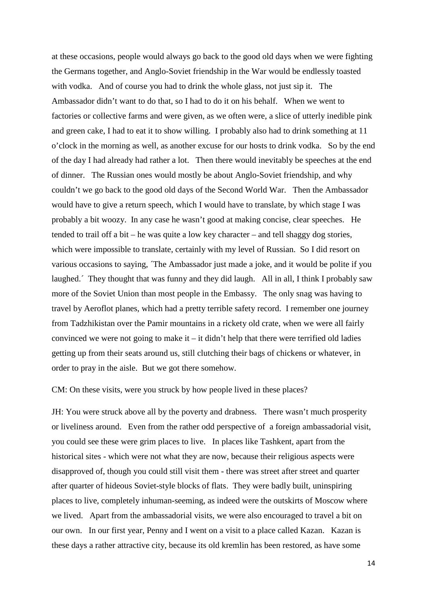at these occasions, people would always go back to the good old days when we were fighting the Germans together, and Anglo-Soviet friendship in the War would be endlessly toasted with vodka. And of course you had to drink the whole glass, not just sip it. The Ambassador didn't want to do that, so I had to do it on his behalf. When we went to factories or collective farms and were given, as we often were, a slice of utterly inedible pink and green cake, I had to eat it to show willing. I probably also had to drink something at 11 o'clock in the morning as well, as another excuse for our hosts to drink vodka. So by the end of the day I had already had rather a lot. Then there would inevitably be speeches at the end of dinner. The Russian ones would mostly be about Anglo-Soviet friendship, and why couldn't we go back to the good old days of the Second World War. Then the Ambassador would have to give a return speech, which I would have to translate, by which stage I was probably a bit woozy. In any case he wasn't good at making concise, clear speeches. He tended to trail off a bit – he was quite a low key character – and tell shaggy dog stories, which were impossible to translate, certainly with my level of Russian. So I did resort on various occasions to saying, ´The Ambassador just made a joke, and it would be polite if you laughed. They thought that was funny and they did laugh. All in all, I think I probably saw more of the Soviet Union than most people in the Embassy. The only snag was having to travel by Aeroflot planes, which had a pretty terrible safety record. I remember one journey from Tadzhikistan over the Pamir mountains in a rickety old crate, when we were all fairly convinced we were not going to make it – it didn't help that there were terrified old ladies getting up from their seats around us, still clutching their bags of chickens or whatever, in order to pray in the aisle. But we got there somehow.

CM: On these visits, were you struck by how people lived in these places?

JH: You were struck above all by the poverty and drabness. There wasn't much prosperity or liveliness around. Even from the rather odd perspective of a foreign ambassadorial visit, you could see these were grim places to live. In places like Tashkent, apart from the historical sites - which were not what they are now, because their religious aspects were disapproved of, though you could still visit them - there was street after street and quarter after quarter of hideous Soviet-style blocks of flats. They were badly built, uninspiring places to live, completely inhuman-seeming, as indeed were the outskirts of Moscow where we lived. Apart from the ambassadorial visits, we were also encouraged to travel a bit on our own. In our first year, Penny and I went on a visit to a place called Kazan. Kazan is these days a rather attractive city, because its old kremlin has been restored, as have some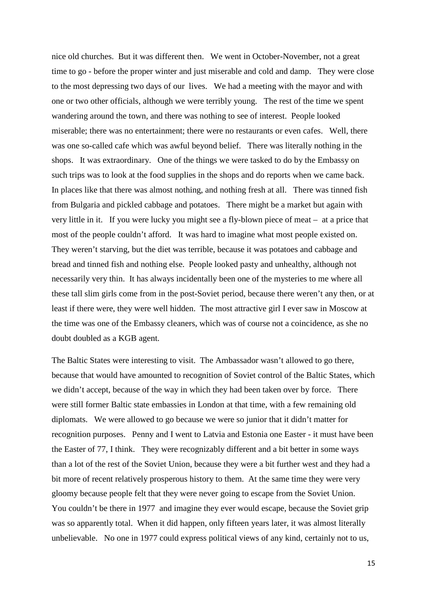nice old churches. But it was different then. We went in October-November, not a great time to go - before the proper winter and just miserable and cold and damp. They were close to the most depressing two days of our lives. We had a meeting with the mayor and with one or two other officials, although we were terribly young. The rest of the time we spent wandering around the town, and there was nothing to see of interest. People looked miserable; there was no entertainment; there were no restaurants or even cafes. Well, there was one so-called cafe which was awful beyond belief. There was literally nothing in the shops. It was extraordinary. One of the things we were tasked to do by the Embassy on such trips was to look at the food supplies in the shops and do reports when we came back. In places like that there was almost nothing, and nothing fresh at all. There was tinned fish from Bulgaria and pickled cabbage and potatoes. There might be a market but again with very little in it. If you were lucky you might see a fly-blown piece of meat – at a price that most of the people couldn't afford. It was hard to imagine what most people existed on. They weren't starving, but the diet was terrible, because it was potatoes and cabbage and bread and tinned fish and nothing else. People looked pasty and unhealthy, although not necessarily very thin. It has always incidentally been one of the mysteries to me where all these tall slim girls come from in the post-Soviet period, because there weren't any then, or at least if there were, they were well hidden. The most attractive girl I ever saw in Moscow at the time was one of the Embassy cleaners, which was of course not a coincidence, as she no doubt doubled as a KGB agent.

The Baltic States were interesting to visit. The Ambassador wasn't allowed to go there, because that would have amounted to recognition of Soviet control of the Baltic States, which we didn't accept, because of the way in which they had been taken over by force. There were still former Baltic state embassies in London at that time, with a few remaining old diplomats. We were allowed to go because we were so junior that it didn't matter for recognition purposes. Penny and I went to Latvia and Estonia one Easter - it must have been the Easter of 77, I think. They were recognizably different and a bit better in some ways than a lot of the rest of the Soviet Union, because they were a bit further west and they had a bit more of recent relatively prosperous history to them. At the same time they were very gloomy because people felt that they were never going to escape from the Soviet Union. You couldn't be there in 1977 and imagine they ever would escape, because the Soviet grip was so apparently total. When it did happen, only fifteen years later, it was almost literally unbelievable. No one in 1977 could express political views of any kind, certainly not to us,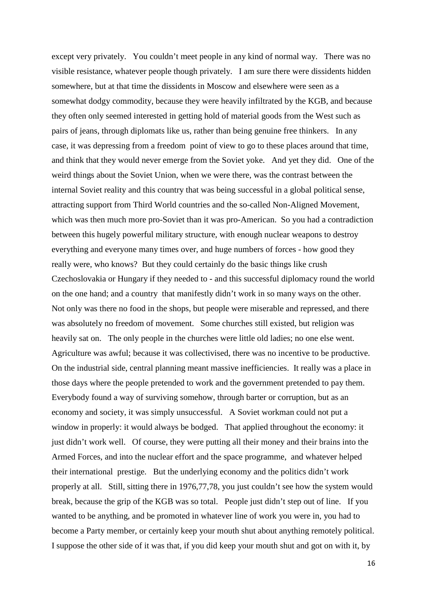except very privately. You couldn't meet people in any kind of normal way. There was no visible resistance, whatever people though privately. I am sure there were dissidents hidden somewhere, but at that time the dissidents in Moscow and elsewhere were seen as a somewhat dodgy commodity, because they were heavily infiltrated by the KGB, and because they often only seemed interested in getting hold of material goods from the West such as pairs of jeans, through diplomats like us, rather than being genuine free thinkers. In any case, it was depressing from a freedom point of view to go to these places around that time, and think that they would never emerge from the Soviet yoke. And yet they did. One of the weird things about the Soviet Union, when we were there, was the contrast between the internal Soviet reality and this country that was being successful in a global political sense, attracting support from Third World countries and the so-called Non-Aligned Movement, which was then much more pro-Soviet than it was pro-American. So you had a contradiction between this hugely powerful military structure, with enough nuclear weapons to destroy everything and everyone many times over, and huge numbers of forces - how good they really were, who knows? But they could certainly do the basic things like crush Czechoslovakia or Hungary if they needed to - and this successful diplomacy round the world on the one hand; and a country that manifestly didn't work in so many ways on the other. Not only was there no food in the shops, but people were miserable and repressed, and there was absolutely no freedom of movement. Some churches still existed, but religion was heavily sat on. The only people in the churches were little old ladies; no one else went. Agriculture was awful; because it was collectivised, there was no incentive to be productive. On the industrial side, central planning meant massive inefficiencies. It really was a place in those days where the people pretended to work and the government pretended to pay them. Everybody found a way of surviving somehow, through barter or corruption, but as an economy and society, it was simply unsuccessful. A Soviet workman could not put a window in properly: it would always be bodged. That applied throughout the economy: it just didn't work well. Of course, they were putting all their money and their brains into the Armed Forces, and into the nuclear effort and the space programme, and whatever helped their international prestige. But the underlying economy and the politics didn't work properly at all. Still, sitting there in 1976,77,78, you just couldn't see how the system would break, because the grip of the KGB was so total. People just didn't step out of line. If you wanted to be anything, and be promoted in whatever line of work you were in, you had to become a Party member, or certainly keep your mouth shut about anything remotely political. I suppose the other side of it was that, if you did keep your mouth shut and got on with it, by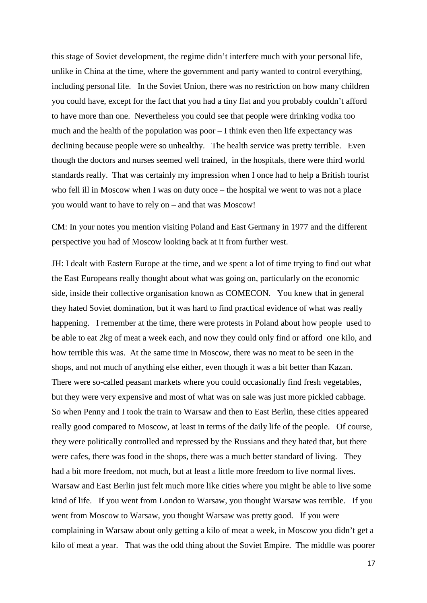this stage of Soviet development, the regime didn't interfere much with your personal life, unlike in China at the time, where the government and party wanted to control everything, including personal life. In the Soviet Union, there was no restriction on how many children you could have, except for the fact that you had a tiny flat and you probably couldn't afford to have more than one. Nevertheless you could see that people were drinking vodka too much and the health of the population was poor  $-I$  think even then life expectancy was declining because people were so unhealthy. The health service was pretty terrible. Even though the doctors and nurses seemed well trained, in the hospitals, there were third world standards really. That was certainly my impression when I once had to help a British tourist who fell ill in Moscow when I was on duty once – the hospital we went to was not a place you would want to have to rely on – and that was Moscow!

CM: In your notes you mention visiting Poland and East Germany in 1977 and the different perspective you had of Moscow looking back at it from further west.

JH: I dealt with Eastern Europe at the time, and we spent a lot of time trying to find out what the East Europeans really thought about what was going on, particularly on the economic side, inside their collective organisation known as COMECON. You knew that in general they hated Soviet domination, but it was hard to find practical evidence of what was really happening. I remember at the time, there were protests in Poland about how people used to be able to eat 2kg of meat a week each, and now they could only find or afford one kilo, and how terrible this was. At the same time in Moscow, there was no meat to be seen in the shops, and not much of anything else either, even though it was a bit better than Kazan. There were so-called peasant markets where you could occasionally find fresh vegetables, but they were very expensive and most of what was on sale was just more pickled cabbage. So when Penny and I took the train to Warsaw and then to East Berlin, these cities appeared really good compared to Moscow, at least in terms of the daily life of the people. Of course, they were politically controlled and repressed by the Russians and they hated that, but there were cafes, there was food in the shops, there was a much better standard of living. They had a bit more freedom, not much, but at least a little more freedom to live normal lives. Warsaw and East Berlin just felt much more like cities where you might be able to live some kind of life. If you went from London to Warsaw, you thought Warsaw was terrible. If you went from Moscow to Warsaw, you thought Warsaw was pretty good. If you were complaining in Warsaw about only getting a kilo of meat a week, in Moscow you didn't get a kilo of meat a year. That was the odd thing about the Soviet Empire. The middle was poorer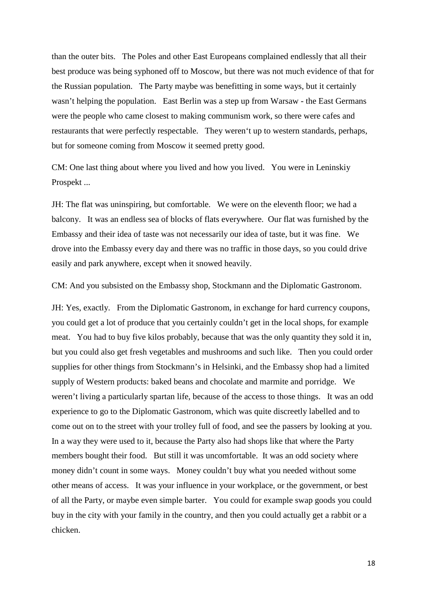than the outer bits. The Poles and other East Europeans complained endlessly that all their best produce was being syphoned off to Moscow, but there was not much evidence of that for the Russian population. The Party maybe was benefitting in some ways, but it certainly wasn't helping the population. East Berlin was a step up from Warsaw - the East Germans were the people who came closest to making communism work, so there were cafes and restaurants that were perfectly respectable. They weren't up to western standards, perhaps, but for someone coming from Moscow it seemed pretty good.

CM: One last thing about where you lived and how you lived. You were in Leninskiy Prospekt ...

JH: The flat was uninspiring, but comfortable. We were on the eleventh floor; we had a balcony. It was an endless sea of blocks of flats everywhere. Our flat was furnished by the Embassy and their idea of taste was not necessarily our idea of taste, but it was fine. We drove into the Embassy every day and there was no traffic in those days, so you could drive easily and park anywhere, except when it snowed heavily.

CM: And you subsisted on the Embassy shop, Stockmann and the Diplomatic Gastronom.

JH: Yes, exactly. From the Diplomatic Gastronom, in exchange for hard currency coupons, you could get a lot of produce that you certainly couldn't get in the local shops, for example meat. You had to buy five kilos probably, because that was the only quantity they sold it in, but you could also get fresh vegetables and mushrooms and such like. Then you could order supplies for other things from Stockmann's in Helsinki, and the Embassy shop had a limited supply of Western products: baked beans and chocolate and marmite and porridge. We weren't living a particularly spartan life, because of the access to those things. It was an odd experience to go to the Diplomatic Gastronom, which was quite discreetly labelled and to come out on to the street with your trolley full of food, and see the passers by looking at you. In a way they were used to it, because the Party also had shops like that where the Party members bought their food. But still it was uncomfortable. It was an odd society where money didn't count in some ways. Money couldn't buy what you needed without some other means of access. It was your influence in your workplace, or the government, or best of all the Party, or maybe even simple barter. You could for example swap goods you could buy in the city with your family in the country, and then you could actually get a rabbit or a chicken.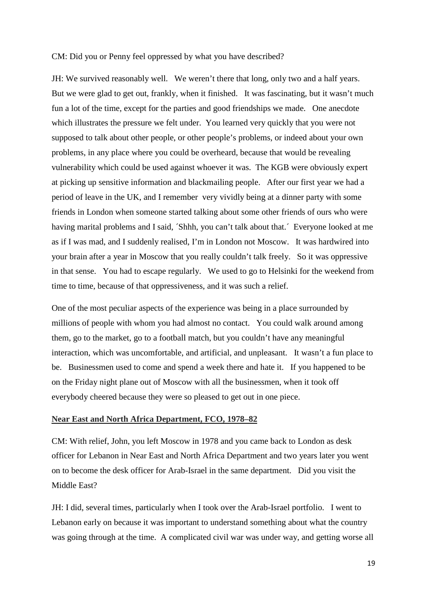#### CM: Did you or Penny feel oppressed by what you have described?

JH: We survived reasonably well. We weren't there that long, only two and a half years. But we were glad to get out, frankly, when it finished. It was fascinating, but it wasn't much fun a lot of the time, except for the parties and good friendships we made. One anecdote which illustrates the pressure we felt under. You learned very quickly that you were not supposed to talk about other people, or other people's problems, or indeed about your own problems, in any place where you could be overheard, because that would be revealing vulnerability which could be used against whoever it was. The KGB were obviously expert at picking up sensitive information and blackmailing people. After our first year we had a period of leave in the UK, and I remember very vividly being at a dinner party with some friends in London when someone started talking about some other friends of ours who were having marital problems and I said,  $\delta$ hhh, you can't talk about that. Everyone looked at me as if I was mad, and I suddenly realised, I'm in London not Moscow. It was hardwired into your brain after a year in Moscow that you really couldn't talk freely. So it was oppressive in that sense. You had to escape regularly. We used to go to Helsinki for the weekend from time to time, because of that oppressiveness, and it was such a relief.

One of the most peculiar aspects of the experience was being in a place surrounded by millions of people with whom you had almost no contact. You could walk around among them, go to the market, go to a football match, but you couldn't have any meaningful interaction, which was uncomfortable, and artificial, and unpleasant. It wasn't a fun place to be. Businessmen used to come and spend a week there and hate it. If you happened to be on the Friday night plane out of Moscow with all the businessmen, when it took off everybody cheered because they were so pleased to get out in one piece.

#### **Near East and North Africa Department, FCO, 1978–82**

CM: With relief, John, you left Moscow in 1978 and you came back to London as desk officer for Lebanon in Near East and North Africa Department and two years later you went on to become the desk officer for Arab-Israel in the same department. Did you visit the Middle East?

JH: I did, several times, particularly when I took over the Arab-Israel portfolio. I went to Lebanon early on because it was important to understand something about what the country was going through at the time. A complicated civil war was under way, and getting worse all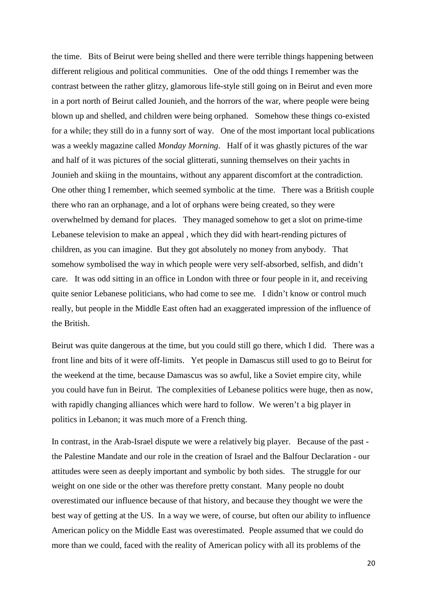the time. Bits of Beirut were being shelled and there were terrible things happening between different religious and political communities. One of the odd things I remember was the contrast between the rather glitzy, glamorous life-style still going on in Beirut and even more in a port north of Beirut called Jounieh, and the horrors of the war, where people were being blown up and shelled, and children were being orphaned. Somehow these things co-existed for a while; they still do in a funny sort of way. One of the most important local publications was a weekly magazine called *Monday Morning*. Half of it was ghastly pictures of the war and half of it was pictures of the social glitterati, sunning themselves on their yachts in Jounieh and skiing in the mountains, without any apparent discomfort at the contradiction. One other thing I remember, which seemed symbolic at the time. There was a British couple there who ran an orphanage, and a lot of orphans were being created, so they were overwhelmed by demand for places. They managed somehow to get a slot on prime-time Lebanese television to make an appeal , which they did with heart-rending pictures of children, as you can imagine. But they got absolutely no money from anybody. That somehow symbolised the way in which people were very self-absorbed, selfish, and didn't care. It was odd sitting in an office in London with three or four people in it, and receiving quite senior Lebanese politicians, who had come to see me. I didn't know or control much really, but people in the Middle East often had an exaggerated impression of the influence of the British.

Beirut was quite dangerous at the time, but you could still go there, which I did. There was a front line and bits of it were off-limits. Yet people in Damascus still used to go to Beirut for the weekend at the time, because Damascus was so awful, like a Soviet empire city, while you could have fun in Beirut. The complexities of Lebanese politics were huge, then as now, with rapidly changing alliances which were hard to follow. We weren't a big player in politics in Lebanon; it was much more of a French thing.

In contrast, in the Arab-Israel dispute we were a relatively big player. Because of the past the Palestine Mandate and our role in the creation of Israel and the Balfour Declaration - our attitudes were seen as deeply important and symbolic by both sides. The struggle for our weight on one side or the other was therefore pretty constant. Many people no doubt overestimated our influence because of that history, and because they thought we were the best way of getting at the US. In a way we were, of course, but often our ability to influence American policy on the Middle East was overestimated. People assumed that we could do more than we could, faced with the reality of American policy with all its problems of the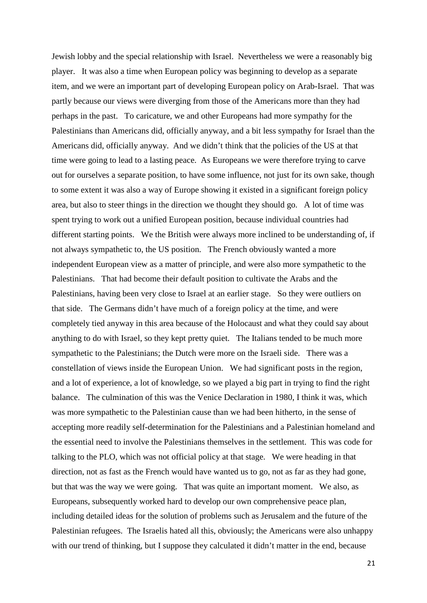Jewish lobby and the special relationship with Israel. Nevertheless we were a reasonably big player. It was also a time when European policy was beginning to develop as a separate item, and we were an important part of developing European policy on Arab-Israel. That was partly because our views were diverging from those of the Americans more than they had perhaps in the past. To caricature, we and other Europeans had more sympathy for the Palestinians than Americans did, officially anyway, and a bit less sympathy for Israel than the Americans did, officially anyway. And we didn't think that the policies of the US at that time were going to lead to a lasting peace. As Europeans we were therefore trying to carve out for ourselves a separate position, to have some influence, not just for its own sake, though to some extent it was also a way of Europe showing it existed in a significant foreign policy area, but also to steer things in the direction we thought they should go. A lot of time was spent trying to work out a unified European position, because individual countries had different starting points. We the British were always more inclined to be understanding of, if not always sympathetic to, the US position. The French obviously wanted a more independent European view as a matter of principle, and were also more sympathetic to the Palestinians. That had become their default position to cultivate the Arabs and the Palestinians, having been very close to Israel at an earlier stage. So they were outliers on that side. The Germans didn't have much of a foreign policy at the time, and were completely tied anyway in this area because of the Holocaust and what they could say about anything to do with Israel, so they kept pretty quiet. The Italians tended to be much more sympathetic to the Palestinians; the Dutch were more on the Israeli side. There was a constellation of views inside the European Union. We had significant posts in the region, and a lot of experience, a lot of knowledge, so we played a big part in trying to find the right balance. The culmination of this was the Venice Declaration in 1980, I think it was, which was more sympathetic to the Palestinian cause than we had been hitherto, in the sense of accepting more readily self-determination for the Palestinians and a Palestinian homeland and the essential need to involve the Palestinians themselves in the settlement. This was code for talking to the PLO, which was not official policy at that stage. We were heading in that direction, not as fast as the French would have wanted us to go, not as far as they had gone, but that was the way we were going. That was quite an important moment. We also, as Europeans, subsequently worked hard to develop our own comprehensive peace plan, including detailed ideas for the solution of problems such as Jerusalem and the future of the Palestinian refugees. The Israelis hated all this, obviously; the Americans were also unhappy with our trend of thinking, but I suppose they calculated it didn't matter in the end, because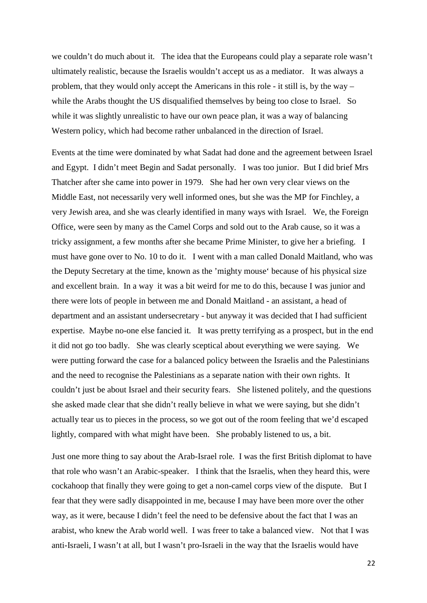we couldn't do much about it. The idea that the Europeans could play a separate role wasn't ultimately realistic, because the Israelis wouldn't accept us as a mediator. It was always a problem, that they would only accept the Americans in this role - it still is, by the way – while the Arabs thought the US disqualified themselves by being too close to Israel. So while it was slightly unrealistic to have our own peace plan, it was a way of balancing Western policy, which had become rather unbalanced in the direction of Israel.

Events at the time were dominated by what Sadat had done and the agreement between Israel and Egypt. I didn't meet Begin and Sadat personally. I was too junior. But I did brief Mrs Thatcher after she came into power in 1979. She had her own very clear views on the Middle East, not necessarily very well informed ones, but she was the MP for Finchley, a very Jewish area, and she was clearly identified in many ways with Israel. We, the Foreign Office, were seen by many as the Camel Corps and sold out to the Arab cause, so it was a tricky assignment, a few months after she became Prime Minister, to give her a briefing. I must have gone over to No. 10 to do it. I went with a man called Donald Maitland, who was the Deputy Secretary at the time, known as the 'mighty mouse' because of his physical size and excellent brain. In a way it was a bit weird for me to do this, because I was junior and there were lots of people in between me and Donald Maitland - an assistant, a head of department and an assistant undersecretary - but anyway it was decided that I had sufficient expertise. Maybe no-one else fancied it. It was pretty terrifying as a prospect, but in the end it did not go too badly. She was clearly sceptical about everything we were saying. We were putting forward the case for a balanced policy between the Israelis and the Palestinians and the need to recognise the Palestinians as a separate nation with their own rights. It couldn't just be about Israel and their security fears. She listened politely, and the questions she asked made clear that she didn't really believe in what we were saying, but she didn't actually tear us to pieces in the process, so we got out of the room feeling that we'd escaped lightly, compared with what might have been. She probably listened to us, a bit.

Just one more thing to say about the Arab-Israel role. I was the first British diplomat to have that role who wasn't an Arabic-speaker. I think that the Israelis, when they heard this, were cockahoop that finally they were going to get a non-camel corps view of the dispute. But I fear that they were sadly disappointed in me, because I may have been more over the other way, as it were, because I didn't feel the need to be defensive about the fact that I was an arabist, who knew the Arab world well. I was freer to take a balanced view. Not that I was anti-Israeli, I wasn't at all, but I wasn't pro-Israeli in the way that the Israelis would have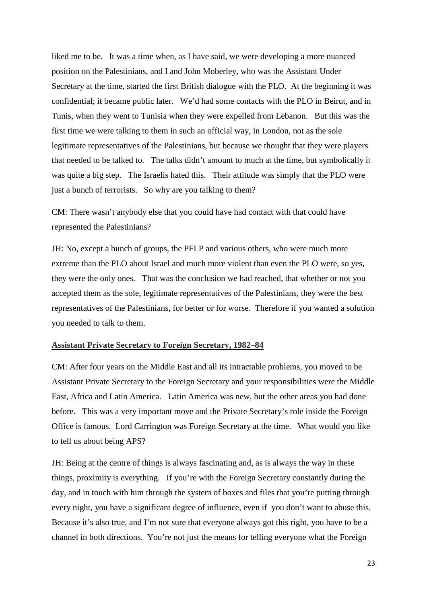liked me to be. It was a time when, as I have said, we were developing a more nuanced position on the Palestinians, and I and John Moberley, who was the Assistant Under Secretary at the time, started the first British dialogue with the PLO. At the beginning it was confidential; it became public later. We'd had some contacts with the PLO in Beirut, and in Tunis, when they went to Tunisia when they were expelled from Lebanon. But this was the first time we were talking to them in such an official way, in London, not as the sole legitimate representatives of the Palestinians, but because we thought that they were players that needed to be talked to. The talks didn't amount to much at the time, but symbolically it was quite a big step. The Israelis hated this. Their attitude was simply that the PLO were just a bunch of terrorists. So why are you talking to them?

CM: There wasn't anybody else that you could have had contact with that could have represented the Palestinians?

JH: No, except a bunch of groups, the PFLP and various others, who were much more extreme than the PLO about Israel and much more violent than even the PLO were, so yes, they were the only ones. That was the conclusion we had reached, that whether or not you accepted them as the sole, legitimate representatives of the Palestinians, they were the best representatives of the Palestinians, for better or for worse. Therefore if you wanted a solution you needed to talk to them.

#### **Assistant Private Secretary to Foreign Secretary, 1982–84**

CM: After four years on the Middle East and all its intractable problems, you moved to be Assistant Private Secretary to the Foreign Secretary and your responsibilities were the Middle East, Africa and Latin America. Latin America was new, but the other areas you had done before. This was a very important move and the Private Secretary's role inside the Foreign Office is famous. Lord Carrington was Foreign Secretary at the time. What would you like to tell us about being APS?

JH: Being at the centre of things is always fascinating and, as is always the way in these things, proximity is everything. If you're with the Foreign Secretary constantly during the day, and in touch with him through the system of boxes and files that you're putting through every night, you have a significant degree of influence, even if you don't want to abuse this. Because it's also true, and I'm not sure that everyone always got this right, you have to be a channel in both directions. You're not just the means for telling everyone what the Foreign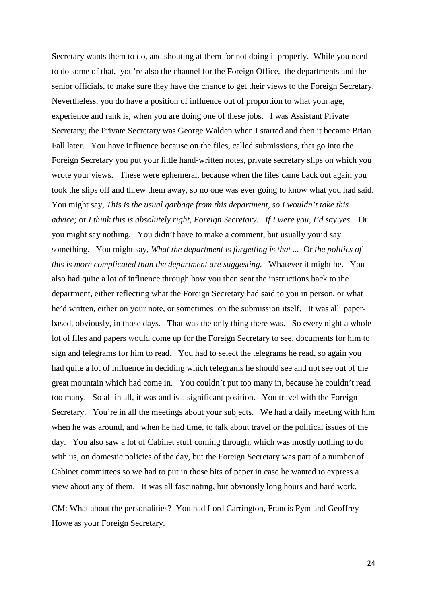Secretary wants them to do, and shouting at them for not doing it properly. While you need to do some of that, you're also the channel for the Foreign Office, the departments and the senior officials, to make sure they have the chance to get their views to the Foreign Secretary. Nevertheless, you do have a position of influence out of proportion to what your age, experience and rank is, when you are doing one of these jobs. I was Assistant Private Secretary; the Private Secretary was George Walden when I started and then it became Brian Fall later. You have influence because on the files, called submissions, that go into the Foreign Secretary you put your little hand-written notes, private secretary slips on which you wrote your views. These were ephemeral, because when the files came back out again you took the slips off and threw them away, so no one was ever going to know what you had said. You might say, *This is the usual garbage from this department*, *so I wouldn't take this advice;* or *I think this is absolutely right, Foreign Secretary. If I were you, I'd say yes.* Or you might say nothing. You didn't have to make a comment, but usually you'd say something. You might say, *What the department is forgetting is that ...* Or *the politics of this is more complicated than the department are suggesting.* Whatever it might be. You also had quite a lot of influence through how you then sent the instructions back to the department, either reflecting what the Foreign Secretary had said to you in person, or what he'd written, either on your note, or sometimes on the submission itself. It was all paperbased, obviously, in those days. That was the only thing there was. So every night a whole lot of files and papers would come up for the Foreign Secretary to see, documents for him to sign and telegrams for him to read. You had to select the telegrams he read, so again you had quite a lot of influence in deciding which telegrams he should see and not see out of the great mountain which had come in. You couldn't put too many in, because he couldn't read too many. So all in all, it was and is a significant position. You travel with the Foreign Secretary. You're in all the meetings about your subjects. We had a daily meeting with him when he was around, and when he had time, to talk about travel or the political issues of the day. You also saw a lot of Cabinet stuff coming through, which was mostly nothing to do with us, on domestic policies of the day, but the Foreign Secretary was part of a number of Cabinet committees so we had to put in those bits of paper in case he wanted to express a view about any of them. It was all fascinating, but obviously long hours and hard work.

CM: What about the personalities? You had Lord Carrington, Francis Pym and Geoffrey Howe as your Foreign Secretary.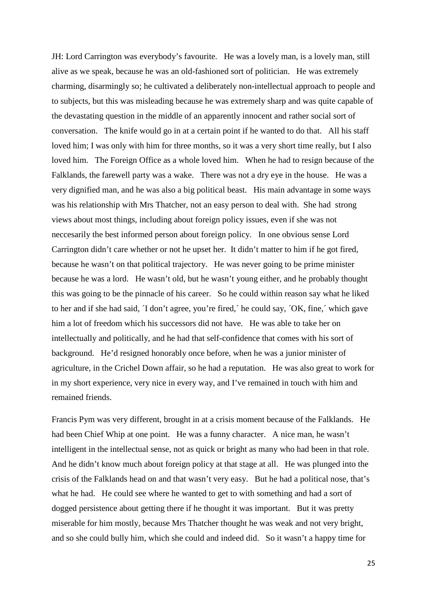JH: Lord Carrington was everybody's favourite. He was a lovely man, is a lovely man, still alive as we speak, because he was an old-fashioned sort of politician. He was extremely charming, disarmingly so; he cultivated a deliberately non-intellectual approach to people and to subjects, but this was misleading because he was extremely sharp and was quite capable of the devastating question in the middle of an apparently innocent and rather social sort of conversation. The knife would go in at a certain point if he wanted to do that. All his staff loved him; I was only with him for three months, so it was a very short time really, but I also loved him. The Foreign Office as a whole loved him. When he had to resign because of the Falklands, the farewell party was a wake. There was not a dry eye in the house. He was a very dignified man, and he was also a big political beast. His main advantage in some ways was his relationship with Mrs Thatcher, not an easy person to deal with. She had strong views about most things, including about foreign policy issues, even if she was not neccesarily the best informed person about foreign policy. In one obvious sense Lord Carrington didn't care whether or not he upset her. It didn't matter to him if he got fired, because he wasn't on that political trajectory. He was never going to be prime minister because he was a lord. He wasn't old, but he wasn't young either, and he probably thought this was going to be the pinnacle of his career. So he could within reason say what he liked to her and if she had said, ´I don't agree, you're fired,´ he could say, ´OK, fine,´ which gave him a lot of freedom which his successors did not have. He was able to take her on intellectually and politically, and he had that self-confidence that comes with his sort of background. He'd resigned honorably once before, when he was a junior minister of agriculture, in the Crichel Down affair, so he had a reputation. He was also great to work for in my short experience, very nice in every way, and I've remained in touch with him and remained friends.

Francis Pym was very different, brought in at a crisis moment because of the Falklands. He had been Chief Whip at one point. He was a funny character. A nice man, he wasn't intelligent in the intellectual sense, not as quick or bright as many who had been in that role. And he didn't know much about foreign policy at that stage at all. He was plunged into the crisis of the Falklands head on and that wasn't very easy. But he had a political nose, that's what he had. He could see where he wanted to get to with something and had a sort of dogged persistence about getting there if he thought it was important. But it was pretty miserable for him mostly, because Mrs Thatcher thought he was weak and not very bright, and so she could bully him, which she could and indeed did. So it wasn't a happy time for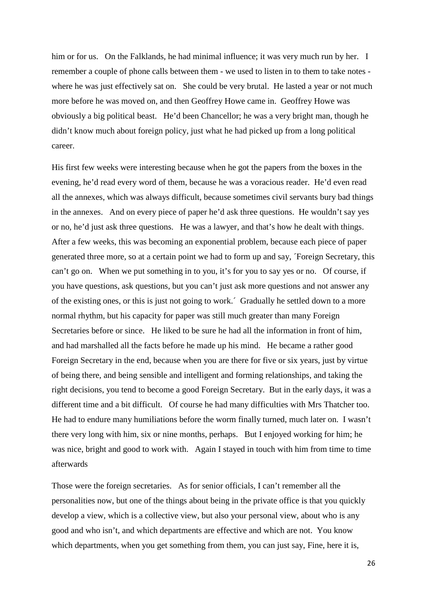him or for us. On the Falklands, he had minimal influence; it was very much run by her. I remember a couple of phone calls between them - we used to listen in to them to take notes where he was just effectively sat on. She could be very brutal. He lasted a year or not much more before he was moved on, and then Geoffrey Howe came in. Geoffrey Howe was obviously a big political beast. He'd been Chancellor; he was a very bright man, though he didn't know much about foreign policy, just what he had picked up from a long political career.

His first few weeks were interesting because when he got the papers from the boxes in the evening, he'd read every word of them, because he was a voracious reader. He'd even read all the annexes, which was always difficult, because sometimes civil servants bury bad things in the annexes. And on every piece of paper he'd ask three questions. He wouldn't say yes or no, he'd just ask three questions. He was a lawyer, and that's how he dealt with things. After a few weeks, this was becoming an exponential problem, because each piece of paper generated three more, so at a certain point we had to form up and say, ´Foreign Secretary, this can't go on. When we put something in to you, it's for you to say yes or no. Of course, if you have questions, ask questions, but you can't just ask more questions and not answer any of the existing ones, or this is just not going to work.´ Gradually he settled down to a more normal rhythm, but his capacity for paper was still much greater than many Foreign Secretaries before or since. He liked to be sure he had all the information in front of him, and had marshalled all the facts before he made up his mind. He became a rather good Foreign Secretary in the end, because when you are there for five or six years, just by virtue of being there, and being sensible and intelligent and forming relationships, and taking the right decisions, you tend to become a good Foreign Secretary. But in the early days, it was a different time and a bit difficult. Of course he had many difficulties with Mrs Thatcher too. He had to endure many humiliations before the worm finally turned, much later on. I wasn't there very long with him, six or nine months, perhaps. But I enjoyed working for him; he was nice, bright and good to work with. Again I stayed in touch with him from time to time afterwards

Those were the foreign secretaries. As for senior officials, I can't remember all the personalities now, but one of the things about being in the private office is that you quickly develop a view, which is a collective view, but also your personal view, about who is any good and who isn't, and which departments are effective and which are not. You know which departments, when you get something from them, you can just say, Fine, here it is,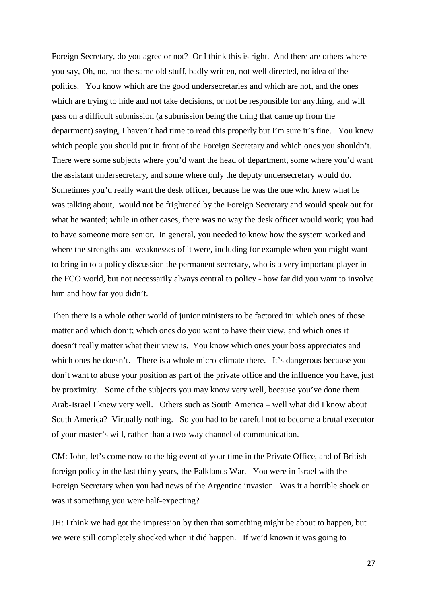Foreign Secretary, do you agree or not? Or I think this is right. And there are others where you say, Oh, no, not the same old stuff, badly written, not well directed, no idea of the politics. You know which are the good undersecretaries and which are not, and the ones which are trying to hide and not take decisions, or not be responsible for anything, and will pass on a difficult submission (a submission being the thing that came up from the department) saying, I haven't had time to read this properly but I'm sure it's fine. You knew which people you should put in front of the Foreign Secretary and which ones you shouldn't. There were some subjects where you'd want the head of department, some where you'd want the assistant undersecretary, and some where only the deputy undersecretary would do. Sometimes you'd really want the desk officer, because he was the one who knew what he was talking about, would not be frightened by the Foreign Secretary and would speak out for what he wanted; while in other cases, there was no way the desk officer would work; you had to have someone more senior. In general, you needed to know how the system worked and where the strengths and weaknesses of it were, including for example when you might want to bring in to a policy discussion the permanent secretary, who is a very important player in the FCO world, but not necessarily always central to policy - how far did you want to involve him and how far you didn't.

Then there is a whole other world of junior ministers to be factored in: which ones of those matter and which don't; which ones do you want to have their view, and which ones it doesn't really matter what their view is. You know which ones your boss appreciates and which ones he doesn't. There is a whole micro-climate there. It's dangerous because you don't want to abuse your position as part of the private office and the influence you have, just by proximity. Some of the subjects you may know very well, because you've done them. Arab-Israel I knew very well. Others such as South America – well what did I know about South America? Virtually nothing. So you had to be careful not to become a brutal executor of your master's will, rather than a two-way channel of communication.

CM: John, let's come now to the big event of your time in the Private Office, and of British foreign policy in the last thirty years, the Falklands War. You were in Israel with the Foreign Secretary when you had news of the Argentine invasion. Was it a horrible shock or was it something you were half-expecting?

JH: I think we had got the impression by then that something might be about to happen, but we were still completely shocked when it did happen. If we'd known it was going to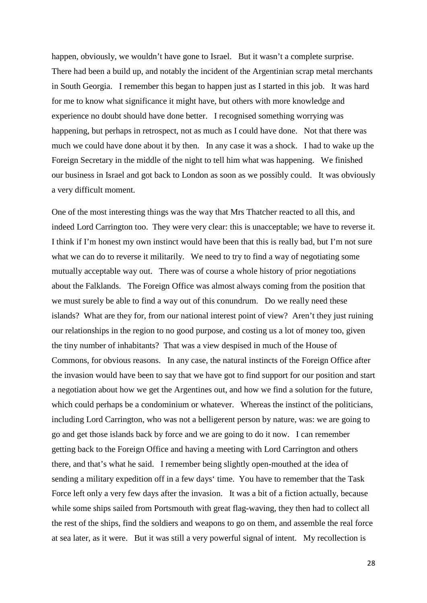happen, obviously, we wouldn't have gone to Israel. But it wasn't a complete surprise. There had been a build up, and notably the incident of the Argentinian scrap metal merchants in South Georgia. I remember this began to happen just as I started in this job. It was hard for me to know what significance it might have, but others with more knowledge and experience no doubt should have done better. I recognised something worrying was happening, but perhaps in retrospect, not as much as I could have done. Not that there was much we could have done about it by then. In any case it was a shock. I had to wake up the Foreign Secretary in the middle of the night to tell him what was happening. We finished our business in Israel and got back to London as soon as we possibly could. It was obviously a very difficult moment.

One of the most interesting things was the way that Mrs Thatcher reacted to all this, and indeed Lord Carrington too. They were very clear: this is unacceptable; we have to reverse it. I think if I'm honest my own instinct would have been that this is really bad, but I'm not sure what we can do to reverse it militarily. We need to try to find a way of negotiating some mutually acceptable way out. There was of course a whole history of prior negotiations about the Falklands. The Foreign Office was almost always coming from the position that we must surely be able to find a way out of this conundrum. Do we really need these islands? What are they for, from our national interest point of view? Aren't they just ruining our relationships in the region to no good purpose, and costing us a lot of money too, given the tiny number of inhabitants? That was a view despised in much of the House of Commons, for obvious reasons. In any case, the natural instincts of the Foreign Office after the invasion would have been to say that we have got to find support for our position and start a negotiation about how we get the Argentines out, and how we find a solution for the future, which could perhaps be a condominium or whatever. Whereas the instinct of the politicians, including Lord Carrington, who was not a belligerent person by nature, was: we are going to go and get those islands back by force and we are going to do it now. I can remember getting back to the Foreign Office and having a meeting with Lord Carrington and others there, and that's what he said. I remember being slightly open-mouthed at the idea of sending a military expedition off in a few days' time. You have to remember that the Task Force left only a very few days after the invasion. It was a bit of a fiction actually, because while some ships sailed from Portsmouth with great flag-waving, they then had to collect all the rest of the ships, find the soldiers and weapons to go on them, and assemble the real force at sea later, as it were. But it was still a very powerful signal of intent. My recollection is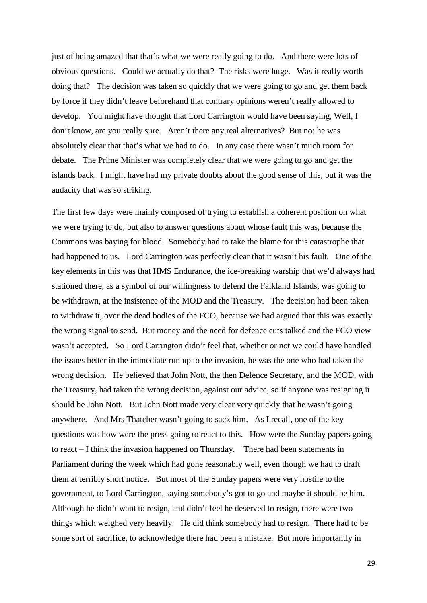just of being amazed that that's what we were really going to do. And there were lots of obvious questions. Could we actually do that? The risks were huge. Was it really worth doing that? The decision was taken so quickly that we were going to go and get them back by force if they didn't leave beforehand that contrary opinions weren't really allowed to develop. You might have thought that Lord Carrington would have been saying, Well, I don't know, are you really sure. Aren't there any real alternatives? But no: he was absolutely clear that that's what we had to do. In any case there wasn't much room for debate. The Prime Minister was completely clear that we were going to go and get the islands back. I might have had my private doubts about the good sense of this, but it was the audacity that was so striking.

The first few days were mainly composed of trying to establish a coherent position on what we were trying to do, but also to answer questions about whose fault this was, because the Commons was baying for blood. Somebody had to take the blame for this catastrophe that had happened to us. Lord Carrington was perfectly clear that it wasn't his fault. One of the key elements in this was that HMS Endurance, the ice-breaking warship that we'd always had stationed there, as a symbol of our willingness to defend the Falkland Islands, was going to be withdrawn, at the insistence of the MOD and the Treasury. The decision had been taken to withdraw it, over the dead bodies of the FCO, because we had argued that this was exactly the wrong signal to send. But money and the need for defence cuts talked and the FCO view wasn't accepted. So Lord Carrington didn't feel that, whether or not we could have handled the issues better in the immediate run up to the invasion, he was the one who had taken the wrong decision. He believed that John Nott, the then Defence Secretary, and the MOD, with the Treasury, had taken the wrong decision, against our advice, so if anyone was resigning it should be John Nott. But John Nott made very clear very quickly that he wasn't going anywhere. And Mrs Thatcher wasn't going to sack him. As I recall, one of the key questions was how were the press going to react to this. How were the Sunday papers going to react – I think the invasion happened on Thursday. There had been statements in Parliament during the week which had gone reasonably well, even though we had to draft them at terribly short notice. But most of the Sunday papers were very hostile to the government, to Lord Carrington, saying somebody's got to go and maybe it should be him. Although he didn't want to resign, and didn't feel he deserved to resign, there were two things which weighed very heavily. He did think somebody had to resign. There had to be some sort of sacrifice, to acknowledge there had been a mistake. But more importantly in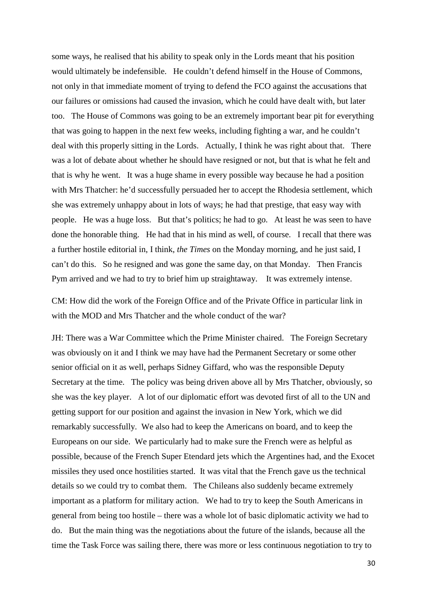some ways, he realised that his ability to speak only in the Lords meant that his position would ultimately be indefensible. He couldn't defend himself in the House of Commons, not only in that immediate moment of trying to defend the FCO against the accusations that our failures or omissions had caused the invasion, which he could have dealt with, but later too. The House of Commons was going to be an extremely important bear pit for everything that was going to happen in the next few weeks, including fighting a war, and he couldn't deal with this properly sitting in the Lords. Actually, I think he was right about that. There was a lot of debate about whether he should have resigned or not, but that is what he felt and that is why he went. It was a huge shame in every possible way because he had a position with Mrs Thatcher: he'd successfully persuaded her to accept the Rhodesia settlement, which she was extremely unhappy about in lots of ways; he had that prestige, that easy way with people. He was a huge loss. But that's politics; he had to go. At least he was seen to have done the honorable thing. He had that in his mind as well, of course. I recall that there was a further hostile editorial in, I think, *the Times* on the Monday morning, and he just said, I can't do this. So he resigned and was gone the same day, on that Monday. Then Francis Pym arrived and we had to try to brief him up straightaway. It was extremely intense.

CM: How did the work of the Foreign Office and of the Private Office in particular link in with the MOD and Mrs Thatcher and the whole conduct of the war?

JH: There was a War Committee which the Prime Minister chaired. The Foreign Secretary was obviously on it and I think we may have had the Permanent Secretary or some other senior official on it as well, perhaps Sidney Giffard, who was the responsible Deputy Secretary at the time. The policy was being driven above all by Mrs Thatcher, obviously, so she was the key player. A lot of our diplomatic effort was devoted first of all to the UN and getting support for our position and against the invasion in New York, which we did remarkably successfully. We also had to keep the Americans on board, and to keep the Europeans on our side. We particularly had to make sure the French were as helpful as possible, because of the French Super Etendard jets which the Argentines had, and the Exocet missiles they used once hostilities started. It was vital that the French gave us the technical details so we could try to combat them. The Chileans also suddenly became extremely important as a platform for military action. We had to try to keep the South Americans in general from being too hostile – there was a whole lot of basic diplomatic activity we had to do. But the main thing was the negotiations about the future of the islands, because all the time the Task Force was sailing there, there was more or less continuous negotiation to try to

30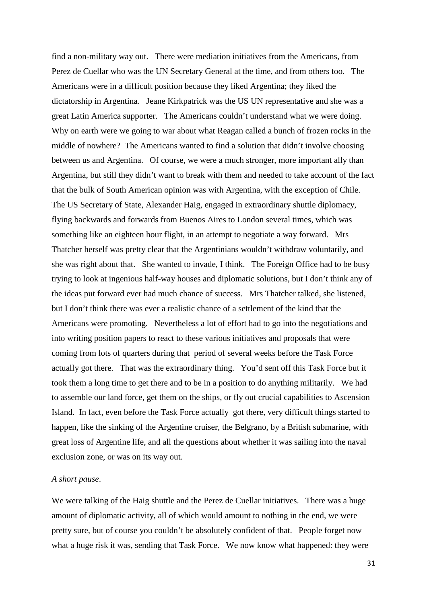find a non-military way out. There were mediation initiatives from the Americans, from Perez de Cuellar who was the UN Secretary General at the time, and from others too. The Americans were in a difficult position because they liked Argentina; they liked the dictatorship in Argentina. Jeane Kirkpatrick was the US UN representative and she was a great Latin America supporter. The Americans couldn't understand what we were doing. Why on earth were we going to war about what Reagan called a bunch of frozen rocks in the middle of nowhere? The Americans wanted to find a solution that didn't involve choosing between us and Argentina. Of course, we were a much stronger, more important ally than Argentina, but still they didn't want to break with them and needed to take account of the fact that the bulk of South American opinion was with Argentina, with the exception of Chile. The US Secretary of State, Alexander Haig, engaged in extraordinary shuttle diplomacy, flying backwards and forwards from Buenos Aires to London several times, which was something like an eighteen hour flight, in an attempt to negotiate a way forward. Mrs Thatcher herself was pretty clear that the Argentinians wouldn't withdraw voluntarily, and she was right about that. She wanted to invade, I think. The Foreign Office had to be busy trying to look at ingenious half-way houses and diplomatic solutions, but I don't think any of the ideas put forward ever had much chance of success. Mrs Thatcher talked, she listened, but I don't think there was ever a realistic chance of a settlement of the kind that the Americans were promoting. Nevertheless a lot of effort had to go into the negotiations and into writing position papers to react to these various initiatives and proposals that were coming from lots of quarters during that period of several weeks before the Task Force actually got there. That was the extraordinary thing. You'd sent off this Task Force but it took them a long time to get there and to be in a position to do anything militarily. We had to assemble our land force, get them on the ships, or fly out crucial capabilities to Ascension Island. In fact, even before the Task Force actually got there, very difficult things started to happen, like the sinking of the Argentine cruiser, the Belgrano, by a British submarine, with great loss of Argentine life, and all the questions about whether it was sailing into the naval exclusion zone, or was on its way out.

#### *A short pause*.

We were talking of the Haig shuttle and the Perez de Cuellar initiatives. There was a huge amount of diplomatic activity, all of which would amount to nothing in the end, we were pretty sure, but of course you couldn't be absolutely confident of that. People forget now what a huge risk it was, sending that Task Force. We now know what happened: they were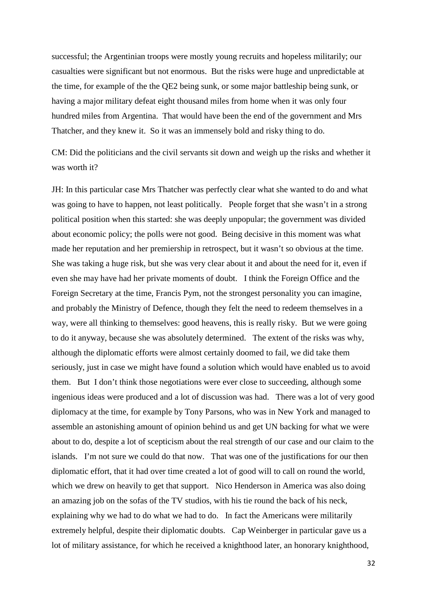successful; the Argentinian troops were mostly young recruits and hopeless militarily; our casualties were significant but not enormous. But the risks were huge and unpredictable at the time, for example of the the QE2 being sunk, or some major battleship being sunk, or having a major military defeat eight thousand miles from home when it was only four hundred miles from Argentina. That would have been the end of the government and Mrs Thatcher, and they knew it. So it was an immensely bold and risky thing to do.

CM: Did the politicians and the civil servants sit down and weigh up the risks and whether it was worth it?

JH: In this particular case Mrs Thatcher was perfectly clear what she wanted to do and what was going to have to happen, not least politically. People forget that she wasn't in a strong political position when this started: she was deeply unpopular; the government was divided about economic policy; the polls were not good. Being decisive in this moment was what made her reputation and her premiership in retrospect, but it wasn't so obvious at the time. She was taking a huge risk, but she was very clear about it and about the need for it, even if even she may have had her private moments of doubt. I think the Foreign Office and the Foreign Secretary at the time, Francis Pym, not the strongest personality you can imagine, and probably the Ministry of Defence, though they felt the need to redeem themselves in a way, were all thinking to themselves: good heavens, this is really risky. But we were going to do it anyway, because she was absolutely determined. The extent of the risks was why, although the diplomatic efforts were almost certainly doomed to fail, we did take them seriously, just in case we might have found a solution which would have enabled us to avoid them. But I don't think those negotiations were ever close to succeeding, although some ingenious ideas were produced and a lot of discussion was had. There was a lot of very good diplomacy at the time, for example by Tony Parsons, who was in New York and managed to assemble an astonishing amount of opinion behind us and get UN backing for what we were about to do, despite a lot of scepticism about the real strength of our case and our claim to the islands. I'm not sure we could do that now. That was one of the justifications for our then diplomatic effort, that it had over time created a lot of good will to call on round the world, which we drew on heavily to get that support. Nico Henderson in America was also doing an amazing job on the sofas of the TV studios, with his tie round the back of his neck, explaining why we had to do what we had to do. In fact the Americans were militarily extremely helpful, despite their diplomatic doubts. Cap Weinberger in particular gave us a lot of military assistance, for which he received a knighthood later, an honorary knighthood,

32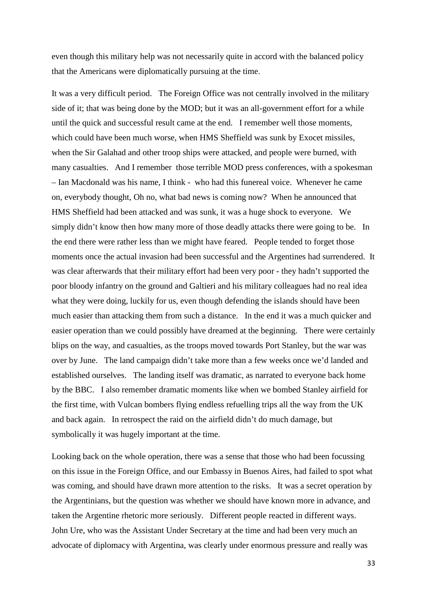even though this military help was not necessarily quite in accord with the balanced policy that the Americans were diplomatically pursuing at the time.

It was a very difficult period. The Foreign Office was not centrally involved in the military side of it; that was being done by the MOD; but it was an all-government effort for a while until the quick and successful result came at the end. I remember well those moments, which could have been much worse, when HMS Sheffield was sunk by Exocet missiles, when the Sir Galahad and other troop ships were attacked, and people were burned, with many casualties. And I remember those terrible MOD press conferences, with a spokesman – Ian Macdonald was his name, I think - who had this funereal voice. Whenever he came on, everybody thought, Oh no, what bad news is coming now? When he announced that HMS Sheffield had been attacked and was sunk, it was a huge shock to everyone. We simply didn't know then how many more of those deadly attacks there were going to be. In the end there were rather less than we might have feared. People tended to forget those moments once the actual invasion had been successful and the Argentines had surrendered. It was clear afterwards that their military effort had been very poor - they hadn't supported the poor bloody infantry on the ground and Galtieri and his military colleagues had no real idea what they were doing, luckily for us, even though defending the islands should have been much easier than attacking them from such a distance. In the end it was a much quicker and easier operation than we could possibly have dreamed at the beginning. There were certainly blips on the way, and casualties, as the troops moved towards Port Stanley, but the war was over by June. The land campaign didn't take more than a few weeks once we'd landed and established ourselves. The landing itself was dramatic, as narrated to everyone back home by the BBC. I also remember dramatic moments like when we bombed Stanley airfield for the first time, with Vulcan bombers flying endless refuelling trips all the way from the UK and back again. In retrospect the raid on the airfield didn't do much damage, but symbolically it was hugely important at the time.

Looking back on the whole operation, there was a sense that those who had been focussing on this issue in the Foreign Office, and our Embassy in Buenos Aires, had failed to spot what was coming, and should have drawn more attention to the risks. It was a secret operation by the Argentinians, but the question was whether we should have known more in advance, and taken the Argentine rhetoric more seriously. Different people reacted in different ways. John Ure, who was the Assistant Under Secretary at the time and had been very much an advocate of diplomacy with Argentina, was clearly under enormous pressure and really was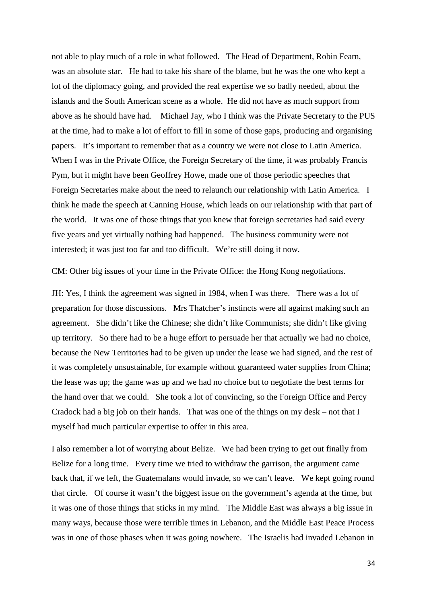not able to play much of a role in what followed. The Head of Department, Robin Fearn, was an absolute star. He had to take his share of the blame, but he was the one who kept a lot of the diplomacy going, and provided the real expertise we so badly needed, about the islands and the South American scene as a whole. He did not have as much support from above as he should have had. Michael Jay, who I think was the Private Secretary to the PUS at the time, had to make a lot of effort to fill in some of those gaps, producing and organising papers. It's important to remember that as a country we were not close to Latin America. When I was in the Private Office, the Foreign Secretary of the time, it was probably Francis Pym, but it might have been Geoffrey Howe, made one of those periodic speeches that Foreign Secretaries make about the need to relaunch our relationship with Latin America. I think he made the speech at Canning House, which leads on our relationship with that part of the world. It was one of those things that you knew that foreign secretaries had said every five years and yet virtually nothing had happened. The business community were not interested; it was just too far and too difficult. We're still doing it now.

CM: Other big issues of your time in the Private Office: the Hong Kong negotiations.

JH: Yes, I think the agreement was signed in 1984, when I was there. There was a lot of preparation for those discussions. Mrs Thatcher's instincts were all against making such an agreement. She didn't like the Chinese; she didn't like Communists; she didn't like giving up territory. So there had to be a huge effort to persuade her that actually we had no choice, because the New Territories had to be given up under the lease we had signed, and the rest of it was completely unsustainable, for example without guaranteed water supplies from China; the lease was up; the game was up and we had no choice but to negotiate the best terms for the hand over that we could. She took a lot of convincing, so the Foreign Office and Percy Cradock had a big job on their hands. That was one of the things on my desk – not that I myself had much particular expertise to offer in this area.

I also remember a lot of worrying about Belize. We had been trying to get out finally from Belize for a long time. Every time we tried to withdraw the garrison, the argument came back that, if we left, the Guatemalans would invade, so we can't leave. We kept going round that circle. Of course it wasn't the biggest issue on the government's agenda at the time, but it was one of those things that sticks in my mind. The Middle East was always a big issue in many ways, because those were terrible times in Lebanon, and the Middle East Peace Process was in one of those phases when it was going nowhere. The Israelis had invaded Lebanon in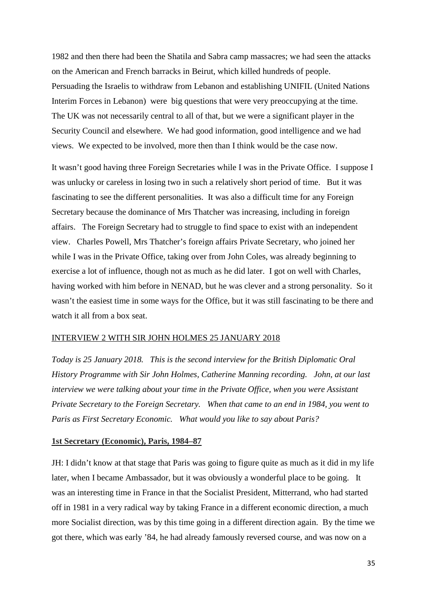1982 and then there had been the Shatila and Sabra camp massacres; we had seen the attacks on the American and French barracks in Beirut, which killed hundreds of people. Persuading the Israelis to withdraw from Lebanon and establishing UNIFIL (United Nations Interim Forces in Lebanon) were big questions that were very preoccupying at the time. The UK was not necessarily central to all of that, but we were a significant player in the Security Council and elsewhere. We had good information, good intelligence and we had views. We expected to be involved, more then than I think would be the case now.

It wasn't good having three Foreign Secretaries while I was in the Private Office. I suppose I was unlucky or careless in losing two in such a relatively short period of time. But it was fascinating to see the different personalities. It was also a difficult time for any Foreign Secretary because the dominance of Mrs Thatcher was increasing, including in foreign affairs. The Foreign Secretary had to struggle to find space to exist with an independent view. Charles Powell, Mrs Thatcher's foreign affairs Private Secretary, who joined her while I was in the Private Office, taking over from John Coles, was already beginning to exercise a lot of influence, though not as much as he did later. I got on well with Charles, having worked with him before in NENAD, but he was clever and a strong personality. So it wasn't the easiest time in some ways for the Office, but it was still fascinating to be there and watch it all from a box seat.

## INTERVIEW 2 WITH SIR JOHN HOLMES 25 JANUARY 2018

*Today is 25 January 2018. This is the second interview for the British Diplomatic Oral History Programme with Sir John Holmes, Catherine Manning recording. John, at our last interview we were talking about your time in the Private Office, when you were Assistant Private Secretary to the Foreign Secretary. When that came to an end in 1984, you went to Paris as First Secretary Economic. What would you like to say about Paris?*

#### **1st Secretary (Economic), Paris, 1984–87**

JH: I didn't know at that stage that Paris was going to figure quite as much as it did in my life later, when I became Ambassador, but it was obviously a wonderful place to be going. It was an interesting time in France in that the Socialist President, Mitterrand, who had started off in 1981 in a very radical way by taking France in a different economic direction, a much more Socialist direction, was by this time going in a different direction again. By the time we got there, which was early '84, he had already famously reversed course, and was now on a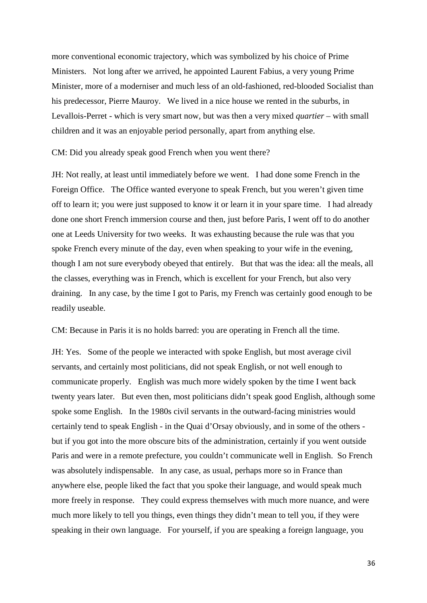more conventional economic trajectory, which was symbolized by his choice of Prime Ministers. Not long after we arrived, he appointed Laurent Fabius, a very young Prime Minister, more of a moderniser and much less of an old-fashioned, red-blooded Socialist than his predecessor, Pierre Mauroy. We lived in a nice house we rented in the suburbs, in Levallois-Perret - which is very smart now, but was then a very mixed *quartier* – with small children and it was an enjoyable period personally, apart from anything else.

CM: Did you already speak good French when you went there?

JH: Not really, at least until immediately before we went. I had done some French in the Foreign Office. The Office wanted everyone to speak French, but you weren't given time off to learn it; you were just supposed to know it or learn it in your spare time. I had already done one short French immersion course and then, just before Paris, I went off to do another one at Leeds University for two weeks. It was exhausting because the rule was that you spoke French every minute of the day, even when speaking to your wife in the evening, though I am not sure everybody obeyed that entirely. But that was the idea: all the meals, all the classes, everything was in French, which is excellent for your French, but also very draining. In any case, by the time I got to Paris, my French was certainly good enough to be readily useable.

CM: Because in Paris it is no holds barred: you are operating in French all the time.

JH: Yes. Some of the people we interacted with spoke English, but most average civil servants, and certainly most politicians, did not speak English, or not well enough to communicate properly. English was much more widely spoken by the time I went back twenty years later. But even then, most politicians didn't speak good English, although some spoke some English. In the 1980s civil servants in the outward-facing ministries would certainly tend to speak English - in the Quai d'Orsay obviously, and in some of the others but if you got into the more obscure bits of the administration, certainly if you went outside Paris and were in a remote prefecture, you couldn't communicate well in English. So French was absolutely indispensable. In any case, as usual, perhaps more so in France than anywhere else, people liked the fact that you spoke their language, and would speak much more freely in response. They could express themselves with much more nuance, and were much more likely to tell you things, even things they didn't mean to tell you, if they were speaking in their own language. For yourself, if you are speaking a foreign language, you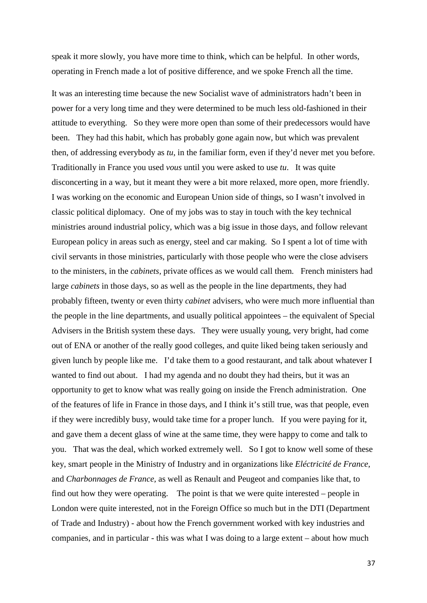speak it more slowly, you have more time to think, which can be helpful. In other words, operating in French made a lot of positive difference, and we spoke French all the time.

It was an interesting time because the new Socialist wave of administrators hadn't been in power for a very long time and they were determined to be much less old-fashioned in their attitude to everything. So they were more open than some of their predecessors would have been. They had this habit, which has probably gone again now, but which was prevalent then, of addressing everybody as *tu*, in the familiar form, even if they'd never met you before. Traditionally in France you used *vous* until you were asked to use *tu*. It was quite disconcerting in a way, but it meant they were a bit more relaxed, more open, more friendly. I was working on the economic and European Union side of things, so I wasn't involved in classic political diplomacy. One of my jobs was to stay in touch with the key technical ministries around industrial policy, which was a big issue in those days, and follow relevant European policy in areas such as energy, steel and car making. So I spent a lot of time with civil servants in those ministries, particularly with those people who were the close advisers to the ministers, in the *cabinets,* private offices as we would call them*.* French ministers had large *cabinets* in those days, so as well as the people in the line departments, they had probably fifteen, twenty or even thirty *cabinet* advisers, who were much more influential than the people in the line departments, and usually political appointees – the equivalent of Special Advisers in the British system these days. They were usually young, very bright, had come out of ENA or another of the really good colleges, and quite liked being taken seriously and given lunch by people like me. I'd take them to a good restaurant, and talk about whatever I wanted to find out about. I had my agenda and no doubt they had theirs, but it was an opportunity to get to know what was really going on inside the French administration. One of the features of life in France in those days, and I think it's still true, was that people, even if they were incredibly busy, would take time for a proper lunch. If you were paying for it, and gave them a decent glass of wine at the same time, they were happy to come and talk to you. That was the deal, which worked extremely well. So I got to know well some of these key, smart people in the Ministry of Industry and in organizations like *Eléctricité de France*, and *Charbonnages de France,* as well as Renault and Peugeot and companies like that, to find out how they were operating. The point is that we were quite interested – people in London were quite interested, not in the Foreign Office so much but in the DTI (Department of Trade and Industry) - about how the French government worked with key industries and companies, and in particular - this was what I was doing to a large extent – about how much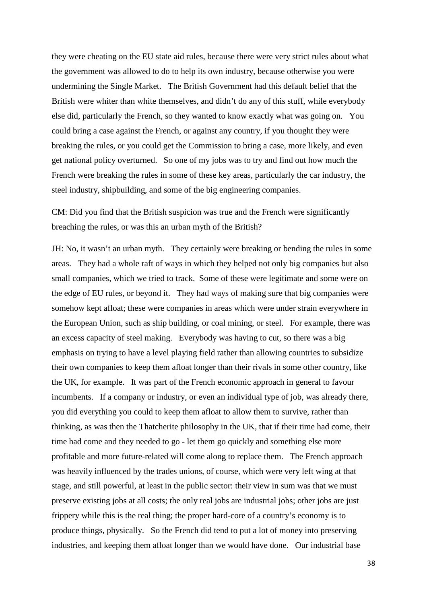they were cheating on the EU state aid rules, because there were very strict rules about what the government was allowed to do to help its own industry, because otherwise you were undermining the Single Market. The British Government had this default belief that the British were whiter than white themselves, and didn't do any of this stuff, while everybody else did, particularly the French, so they wanted to know exactly what was going on. You could bring a case against the French, or against any country, if you thought they were breaking the rules, or you could get the Commission to bring a case, more likely, and even get national policy overturned. So one of my jobs was to try and find out how much the French were breaking the rules in some of these key areas, particularly the car industry, the steel industry, shipbuilding, and some of the big engineering companies.

CM: Did you find that the British suspicion was true and the French were significantly breaching the rules, or was this an urban myth of the British?

JH: No, it wasn't an urban myth. They certainly were breaking or bending the rules in some areas. They had a whole raft of ways in which they helped not only big companies but also small companies, which we tried to track. Some of these were legitimate and some were on the edge of EU rules, or beyond it. They had ways of making sure that big companies were somehow kept afloat; these were companies in areas which were under strain everywhere in the European Union, such as ship building, or coal mining, or steel. For example, there was an excess capacity of steel making. Everybody was having to cut, so there was a big emphasis on trying to have a level playing field rather than allowing countries to subsidize their own companies to keep them afloat longer than their rivals in some other country, like the UK, for example. It was part of the French economic approach in general to favour incumbents. If a company or industry, or even an individual type of job, was already there, you did everything you could to keep them afloat to allow them to survive, rather than thinking, as was then the Thatcherite philosophy in the UK, that if their time had come, their time had come and they needed to go - let them go quickly and something else more profitable and more future-related will come along to replace them. The French approach was heavily influenced by the trades unions, of course, which were very left wing at that stage, and still powerful, at least in the public sector: their view in sum was that we must preserve existing jobs at all costs; the only real jobs are industrial jobs; other jobs are just frippery while this is the real thing; the proper hard-core of a country's economy is to produce things, physically. So the French did tend to put a lot of money into preserving industries, and keeping them afloat longer than we would have done. Our industrial base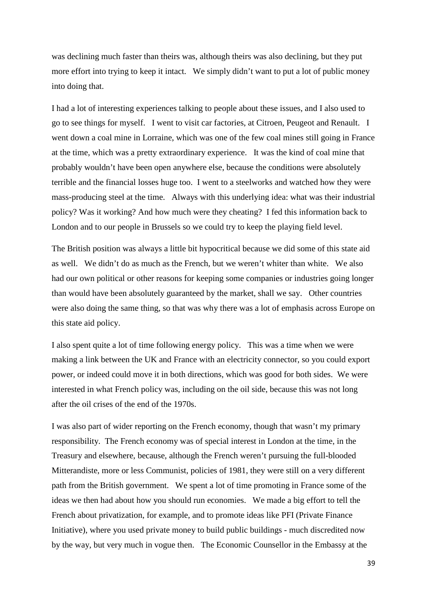was declining much faster than theirs was, although theirs was also declining, but they put more effort into trying to keep it intact. We simply didn't want to put a lot of public money into doing that.

I had a lot of interesting experiences talking to people about these issues, and I also used to go to see things for myself. I went to visit car factories, at Citroen, Peugeot and Renault. I went down a coal mine in Lorraine, which was one of the few coal mines still going in France at the time, which was a pretty extraordinary experience. It was the kind of coal mine that probably wouldn't have been open anywhere else, because the conditions were absolutely terrible and the financial losses huge too. I went to a steelworks and watched how they were mass-producing steel at the time. Always with this underlying idea: what was their industrial policy? Was it working? And how much were they cheating? I fed this information back to London and to our people in Brussels so we could try to keep the playing field level.

The British position was always a little bit hypocritical because we did some of this state aid as well. We didn't do as much as the French, but we weren't whiter than white. We also had our own political or other reasons for keeping some companies or industries going longer than would have been absolutely guaranteed by the market, shall we say. Other countries were also doing the same thing, so that was why there was a lot of emphasis across Europe on this state aid policy.

I also spent quite a lot of time following energy policy. This was a time when we were making a link between the UK and France with an electricity connector, so you could export power, or indeed could move it in both directions, which was good for both sides. We were interested in what French policy was, including on the oil side, because this was not long after the oil crises of the end of the 1970s.

I was also part of wider reporting on the French economy, though that wasn't my primary responsibility. The French economy was of special interest in London at the time, in the Treasury and elsewhere, because, although the French weren't pursuing the full-blooded Mitterandiste, more or less Communist, policies of 1981, they were still on a very different path from the British government. We spent a lot of time promoting in France some of the ideas we then had about how you should run economies. We made a big effort to tell the French about privatization, for example, and to promote ideas like PFI (Private Finance Initiative), where you used private money to build public buildings - much discredited now by the way, but very much in vogue then. The Economic Counsellor in the Embassy at the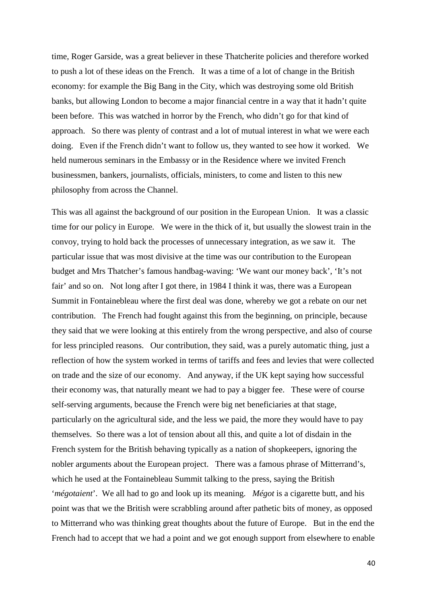time, Roger Garside, was a great believer in these Thatcherite policies and therefore worked to push a lot of these ideas on the French. It was a time of a lot of change in the British economy: for example the Big Bang in the City, which was destroying some old British banks, but allowing London to become a major financial centre in a way that it hadn't quite been before. This was watched in horror by the French, who didn't go for that kind of approach. So there was plenty of contrast and a lot of mutual interest in what we were each doing. Even if the French didn't want to follow us, they wanted to see how it worked. We held numerous seminars in the Embassy or in the Residence where we invited French businessmen, bankers, journalists, officials, ministers, to come and listen to this new philosophy from across the Channel.

This was all against the background of our position in the European Union. It was a classic time for our policy in Europe. We were in the thick of it, but usually the slowest train in the convoy, trying to hold back the processes of unnecessary integration, as we saw it. The particular issue that was most divisive at the time was our contribution to the European budget and Mrs Thatcher's famous handbag-waving: 'We want our money back', 'It's not fair' and so on. Not long after I got there, in 1984 I think it was, there was a European Summit in Fontainebleau where the first deal was done, whereby we got a rebate on our net contribution. The French had fought against this from the beginning, on principle, because they said that we were looking at this entirely from the wrong perspective, and also of course for less principled reasons. Our contribution, they said, was a purely automatic thing, just a reflection of how the system worked in terms of tariffs and fees and levies that were collected on trade and the size of our economy. And anyway, if the UK kept saying how successful their economy was, that naturally meant we had to pay a bigger fee. These were of course self-serving arguments, because the French were big net beneficiaries at that stage, particularly on the agricultural side, and the less we paid, the more they would have to pay themselves. So there was a lot of tension about all this, and quite a lot of disdain in the French system for the British behaving typically as a nation of shopkeepers, ignoring the nobler arguments about the European project. There was a famous phrase of Mitterrand's, which he used at the Fontainebleau Summit talking to the press, saying the British '*mégotaient*'. We all had to go and look up its meaning. *Mégot* is a cigarette butt, and his point was that we the British were scrabbling around after pathetic bits of money, as opposed to Mitterrand who was thinking great thoughts about the future of Europe. But in the end the French had to accept that we had a point and we got enough support from elsewhere to enable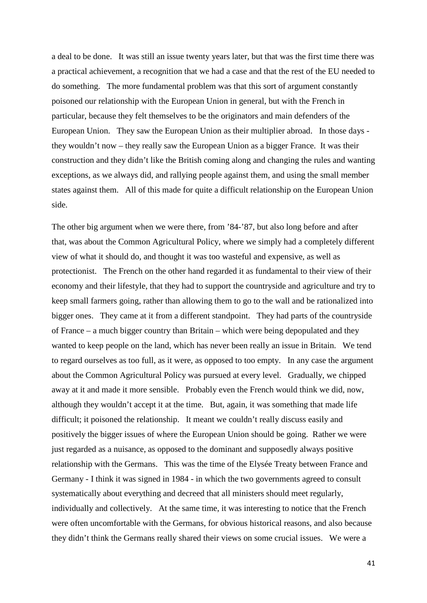a deal to be done. It was still an issue twenty years later, but that was the first time there was a practical achievement, a recognition that we had a case and that the rest of the EU needed to do something. The more fundamental problem was that this sort of argument constantly poisoned our relationship with the European Union in general, but with the French in particular, because they felt themselves to be the originators and main defenders of the European Union. They saw the European Union as their multiplier abroad. In those days they wouldn't now – they really saw the European Union as a bigger France. It was their construction and they didn't like the British coming along and changing the rules and wanting exceptions, as we always did, and rallying people against them, and using the small member states against them. All of this made for quite a difficult relationship on the European Union side.

The other big argument when we were there, from '84-'87, but also long before and after that, was about the Common Agricultural Policy, where we simply had a completely different view of what it should do, and thought it was too wasteful and expensive, as well as protectionist. The French on the other hand regarded it as fundamental to their view of their economy and their lifestyle, that they had to support the countryside and agriculture and try to keep small farmers going, rather than allowing them to go to the wall and be rationalized into bigger ones. They came at it from a different standpoint. They had parts of the countryside of France – a much bigger country than Britain – which were being depopulated and they wanted to keep people on the land, which has never been really an issue in Britain. We tend to regard ourselves as too full, as it were, as opposed to too empty. In any case the argument about the Common Agricultural Policy was pursued at every level. Gradually, we chipped away at it and made it more sensible. Probably even the French would think we did, now, although they wouldn't accept it at the time. But, again, it was something that made life difficult; it poisoned the relationship. It meant we couldn't really discuss easily and positively the bigger issues of where the European Union should be going. Rather we were just regarded as a nuisance, as opposed to the dominant and supposedly always positive relationship with the Germans. This was the time of the Elysée Treaty between France and Germany - I think it was signed in 1984 - in which the two governments agreed to consult systematically about everything and decreed that all ministers should meet regularly, individually and collectively. At the same time, it was interesting to notice that the French were often uncomfortable with the Germans, for obvious historical reasons, and also because they didn't think the Germans really shared their views on some crucial issues. We were a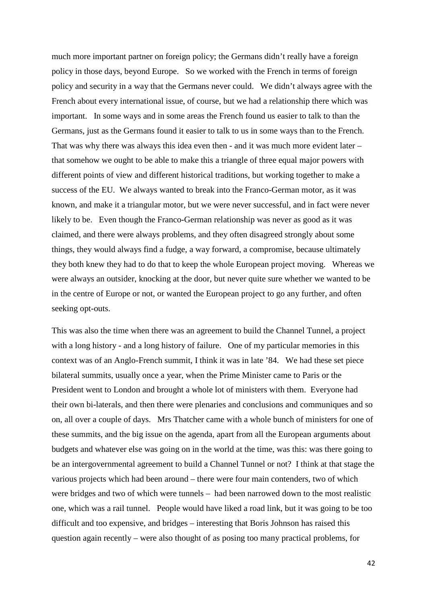much more important partner on foreign policy; the Germans didn't really have a foreign policy in those days, beyond Europe. So we worked with the French in terms of foreign policy and security in a way that the Germans never could. We didn't always agree with the French about every international issue, of course, but we had a relationship there which was important. In some ways and in some areas the French found us easier to talk to than the Germans, just as the Germans found it easier to talk to us in some ways than to the French. That was why there was always this idea even then - and it was much more evident later – that somehow we ought to be able to make this a triangle of three equal major powers with different points of view and different historical traditions, but working together to make a success of the EU. We always wanted to break into the Franco-German motor, as it was known, and make it a triangular motor, but we were never successful, and in fact were never likely to be. Even though the Franco-German relationship was never as good as it was claimed, and there were always problems, and they often disagreed strongly about some things, they would always find a fudge, a way forward, a compromise, because ultimately they both knew they had to do that to keep the whole European project moving. Whereas we were always an outsider, knocking at the door, but never quite sure whether we wanted to be in the centre of Europe or not, or wanted the European project to go any further, and often seeking opt-outs.

This was also the time when there was an agreement to build the Channel Tunnel, a project with a long history - and a long history of failure. One of my particular memories in this context was of an Anglo-French summit, I think it was in late '84. We had these set piece bilateral summits, usually once a year, when the Prime Minister came to Paris or the President went to London and brought a whole lot of ministers with them. Everyone had their own bi-laterals, and then there were plenaries and conclusions and communiques and so on, all over a couple of days. Mrs Thatcher came with a whole bunch of ministers for one of these summits, and the big issue on the agenda, apart from all the European arguments about budgets and whatever else was going on in the world at the time, was this: was there going to be an intergovernmental agreement to build a Channel Tunnel or not? I think at that stage the various projects which had been around – there were four main contenders, two of which were bridges and two of which were tunnels – had been narrowed down to the most realistic one, which was a rail tunnel. People would have liked a road link, but it was going to be too difficult and too expensive, and bridges – interesting that Boris Johnson has raised this question again recently – were also thought of as posing too many practical problems, for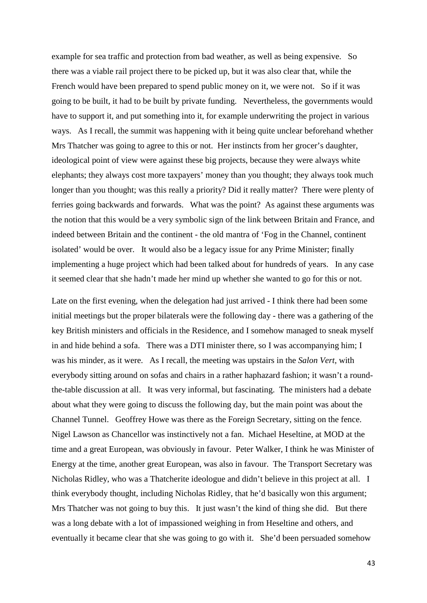example for sea traffic and protection from bad weather, as well as being expensive. So there was a viable rail project there to be picked up, but it was also clear that, while the French would have been prepared to spend public money on it, we were not. So if it was going to be built, it had to be built by private funding. Nevertheless, the governments would have to support it, and put something into it, for example underwriting the project in various ways. As I recall, the summit was happening with it being quite unclear beforehand whether Mrs Thatcher was going to agree to this or not. Her instincts from her grocer's daughter, ideological point of view were against these big projects, because they were always white elephants; they always cost more taxpayers' money than you thought; they always took much longer than you thought; was this really a priority? Did it really matter? There were plenty of ferries going backwards and forwards. What was the point? As against these arguments was the notion that this would be a very symbolic sign of the link between Britain and France, and indeed between Britain and the continent - the old mantra of 'Fog in the Channel, continent isolated' would be over. It would also be a legacy issue for any Prime Minister; finally implementing a huge project which had been talked about for hundreds of years. In any case it seemed clear that she hadn't made her mind up whether she wanted to go for this or not.

Late on the first evening, when the delegation had just arrived - I think there had been some initial meetings but the proper bilaterals were the following day - there was a gathering of the key British ministers and officials in the Residence, and I somehow managed to sneak myself in and hide behind a sofa. There was a DTI minister there, so I was accompanying him; I was his minder, as it were. As I recall, the meeting was upstairs in the *Salon Vert*, with everybody sitting around on sofas and chairs in a rather haphazard fashion; it wasn't a roundthe-table discussion at all. It was very informal, but fascinating. The ministers had a debate about what they were going to discuss the following day, but the main point was about the Channel Tunnel. Geoffrey Howe was there as the Foreign Secretary, sitting on the fence. Nigel Lawson as Chancellor was instinctively not a fan. Michael Heseltine, at MOD at the time and a great European, was obviously in favour. Peter Walker, I think he was Minister of Energy at the time, another great European, was also in favour. The Transport Secretary was Nicholas Ridley, who was a Thatcherite ideologue and didn't believe in this project at all. I think everybody thought, including Nicholas Ridley, that he'd basically won this argument; Mrs Thatcher was not going to buy this. It just wasn't the kind of thing she did. But there was a long debate with a lot of impassioned weighing in from Heseltine and others, and eventually it became clear that she was going to go with it. She'd been persuaded somehow

43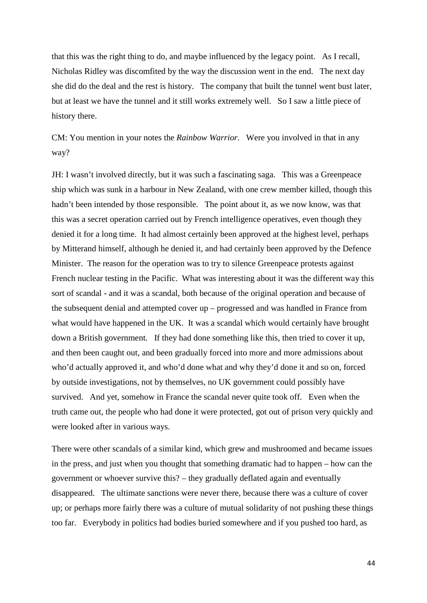that this was the right thing to do, and maybe influenced by the legacy point. As I recall, Nicholas Ridley was discomfited by the way the discussion went in the end. The next day she did do the deal and the rest is history. The company that built the tunnel went bust later, but at least we have the tunnel and it still works extremely well. So I saw a little piece of history there.

CM: You mention in your notes the *Rainbow Warrior*. Were you involved in that in any way?

JH: I wasn't involved directly, but it was such a fascinating saga. This was a Greenpeace ship which was sunk in a harbour in New Zealand, with one crew member killed, though this hadn't been intended by those responsible. The point about it, as we now know, was that this was a secret operation carried out by French intelligence operatives, even though they denied it for a long time. It had almost certainly been approved at the highest level, perhaps by Mitterand himself, although he denied it, and had certainly been approved by the Defence Minister. The reason for the operation was to try to silence Greenpeace protests against French nuclear testing in the Pacific. What was interesting about it was the different way this sort of scandal - and it was a scandal, both because of the original operation and because of the subsequent denial and attempted cover up – progressed and was handled in France from what would have happened in the UK. It was a scandal which would certainly have brought down a British government. If they had done something like this, then tried to cover it up, and then been caught out, and been gradually forced into more and more admissions about who'd actually approved it, and who'd done what and why they'd done it and so on, forced by outside investigations, not by themselves, no UK government could possibly have survived. And yet, somehow in France the scandal never quite took off. Even when the truth came out, the people who had done it were protected, got out of prison very quickly and were looked after in various ways.

There were other scandals of a similar kind, which grew and mushroomed and became issues in the press, and just when you thought that something dramatic had to happen – how can the government or whoever survive this? – they gradually deflated again and eventually disappeared. The ultimate sanctions were never there, because there was a culture of cover up; or perhaps more fairly there was a culture of mutual solidarity of not pushing these things too far. Everybody in politics had bodies buried somewhere and if you pushed too hard, as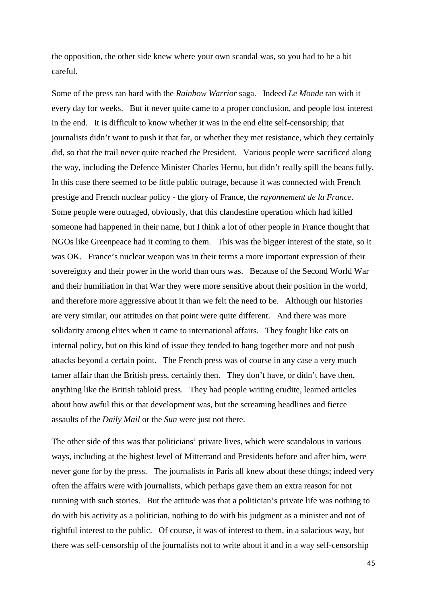the opposition, the other side knew where your own scandal was, so you had to be a bit careful.

Some of the press ran hard with the *Rainbow Warrior* saga. Indeed *Le Monde* ran with it every day for weeks. But it never quite came to a proper conclusion, and people lost interest in the end. It is difficult to know whether it was in the end elite self-censorship; that journalists didn't want to push it that far, or whether they met resistance, which they certainly did, so that the trail never quite reached the President. Various people were sacrificed along the way, including the Defence Minister Charles Hernu, but didn't really spill the beans fully. In this case there seemed to be little public outrage, because it was connected with French prestige and French nuclear policy - the glory of France, the *rayonnement de la France*. Some people were outraged, obviously, that this clandestine operation which had killed someone had happened in their name, but I think a lot of other people in France thought that NGOs like Greenpeace had it coming to them. This was the bigger interest of the state, so it was OK. France's nuclear weapon was in their terms a more important expression of their sovereignty and their power in the world than ours was. Because of the Second World War and their humiliation in that War they were more sensitive about their position in the world, and therefore more aggressive about it than we felt the need to be. Although our histories are very similar, our attitudes on that point were quite different. And there was more solidarity among elites when it came to international affairs. They fought like cats on internal policy, but on this kind of issue they tended to hang together more and not push attacks beyond a certain point. The French press was of course in any case a very much tamer affair than the British press, certainly then. They don't have, or didn't have then, anything like the British tabloid press. They had people writing erudite, learned articles about how awful this or that development was, but the screaming headlines and fierce assaults of the *Daily Mail* or the *Sun* were just not there.

The other side of this was that politicians' private lives, which were scandalous in various ways, including at the highest level of Mitterrand and Presidents before and after him, were never gone for by the press. The journalists in Paris all knew about these things; indeed very often the affairs were with journalists, which perhaps gave them an extra reason for not running with such stories. But the attitude was that a politician's private life was nothing to do with his activity as a politician, nothing to do with his judgment as a minister and not of rightful interest to the public. Of course, it was of interest to them, in a salacious way, but there was self-censorship of the journalists not to write about it and in a way self-censorship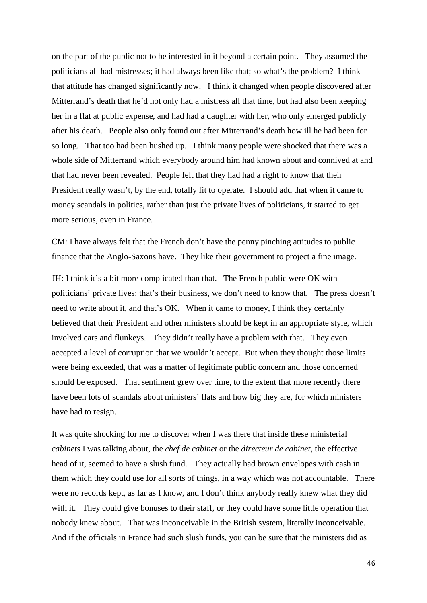on the part of the public not to be interested in it beyond a certain point. They assumed the politicians all had mistresses; it had always been like that; so what's the problem? I think that attitude has changed significantly now. I think it changed when people discovered after Mitterrand's death that he'd not only had a mistress all that time, but had also been keeping her in a flat at public expense, and had had a daughter with her, who only emerged publicly after his death. People also only found out after Mitterrand's death how ill he had been for so long. That too had been hushed up. I think many people were shocked that there was a whole side of Mitterrand which everybody around him had known about and connived at and that had never been revealed. People felt that they had had a right to know that their President really wasn't, by the end, totally fit to operate. I should add that when it came to money scandals in politics, rather than just the private lives of politicians, it started to get more serious, even in France.

CM: I have always felt that the French don't have the penny pinching attitudes to public finance that the Anglo-Saxons have. They like their government to project a fine image.

JH: I think it's a bit more complicated than that. The French public were OK with politicians' private lives: that's their business, we don't need to know that. The press doesn't need to write about it, and that's OK. When it came to money, I think they certainly believed that their President and other ministers should be kept in an appropriate style, which involved cars and flunkeys. They didn't really have a problem with that. They even accepted a level of corruption that we wouldn't accept. But when they thought those limits were being exceeded, that was a matter of legitimate public concern and those concerned should be exposed. That sentiment grew over time, to the extent that more recently there have been lots of scandals about ministers' flats and how big they are, for which ministers have had to resign.

It was quite shocking for me to discover when I was there that inside these ministerial *cabinets* I was talking about, the *chef de cabinet* or the *directeur de cabinet*, the effective head of it, seemed to have a slush fund. They actually had brown envelopes with cash in them which they could use for all sorts of things, in a way which was not accountable. There were no records kept, as far as I know, and I don't think anybody really knew what they did with it. They could give bonuses to their staff, or they could have some little operation that nobody knew about. That was inconceivable in the British system, literally inconceivable. And if the officials in France had such slush funds, you can be sure that the ministers did as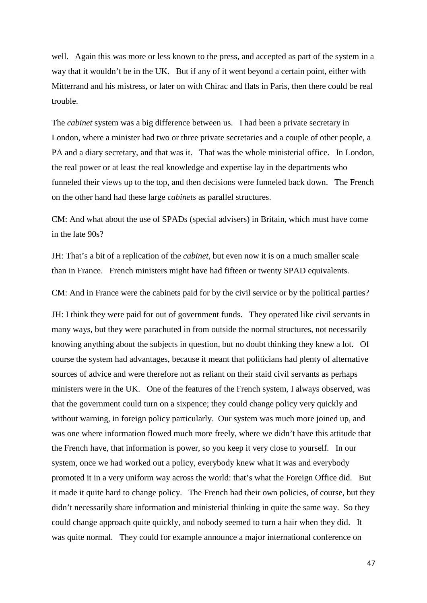well. Again this was more or less known to the press, and accepted as part of the system in a way that it wouldn't be in the UK. But if any of it went beyond a certain point, either with Mitterrand and his mistress, or later on with Chirac and flats in Paris, then there could be real trouble.

The *cabinet* system was a big difference between us. I had been a private secretary in London, where a minister had two or three private secretaries and a couple of other people, a PA and a diary secretary, and that was it. That was the whole ministerial office. In London, the real power or at least the real knowledge and expertise lay in the departments who funneled their views up to the top, and then decisions were funneled back down. The French on the other hand had these large *cabinets* as parallel structures.

CM: And what about the use of SPADs (special advisers) in Britain, which must have come in the late 90s?

JH: That's a bit of a replication of the *cabinet*, but even now it is on a much smaller scale than in France. French ministers might have had fifteen or twenty SPAD equivalents.

CM: And in France were the cabinets paid for by the civil service or by the political parties?

JH: I think they were paid for out of government funds. They operated like civil servants in many ways, but they were parachuted in from outside the normal structures, not necessarily knowing anything about the subjects in question, but no doubt thinking they knew a lot. Of course the system had advantages, because it meant that politicians had plenty of alternative sources of advice and were therefore not as reliant on their staid civil servants as perhaps ministers were in the UK. One of the features of the French system, I always observed, was that the government could turn on a sixpence; they could change policy very quickly and without warning, in foreign policy particularly. Our system was much more joined up, and was one where information flowed much more freely, where we didn't have this attitude that the French have, that information is power, so you keep it very close to yourself. In our system, once we had worked out a policy, everybody knew what it was and everybody promoted it in a very uniform way across the world: that's what the Foreign Office did. But it made it quite hard to change policy. The French had their own policies, of course, but they didn't necessarily share information and ministerial thinking in quite the same way. So they could change approach quite quickly, and nobody seemed to turn a hair when they did. It was quite normal. They could for example announce a major international conference on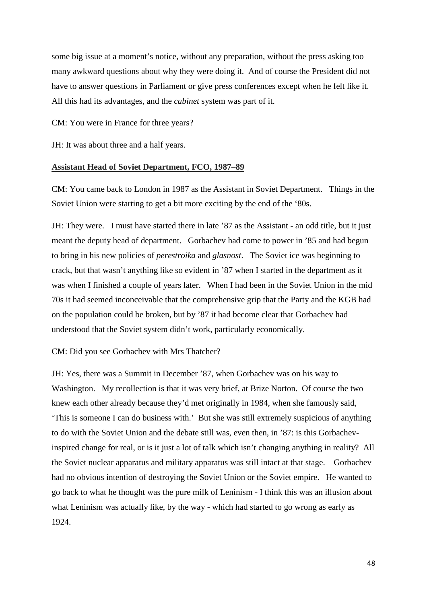some big issue at a moment's notice, without any preparation, without the press asking too many awkward questions about why they were doing it. And of course the President did not have to answer questions in Parliament or give press conferences except when he felt like it. All this had its advantages, and the *cabinet* system was part of it.

CM: You were in France for three years?

JH: It was about three and a half years.

### **Assistant Head of Soviet Department, FCO, 1987–89**

CM: You came back to London in 1987 as the Assistant in Soviet Department. Things in the Soviet Union were starting to get a bit more exciting by the end of the '80s.

JH: They were. I must have started there in late '87 as the Assistant - an odd title, but it just meant the deputy head of department. Gorbachev had come to power in '85 and had begun to bring in his new policies of *perestroika* and *glasnost*. The Soviet ice was beginning to crack, but that wasn't anything like so evident in '87 when I started in the department as it was when I finished a couple of years later. When I had been in the Soviet Union in the mid 70s it had seemed inconceivable that the comprehensive grip that the Party and the KGB had on the population could be broken, but by '87 it had become clear that Gorbachev had understood that the Soviet system didn't work, particularly economically.

CM: Did you see Gorbachev with Mrs Thatcher?

JH: Yes, there was a Summit in December '87, when Gorbachev was on his way to Washington. My recollection is that it was very brief, at Brize Norton. Of course the two knew each other already because they'd met originally in 1984, when she famously said, 'This is someone I can do business with.' But she was still extremely suspicious of anything to do with the Soviet Union and the debate still was, even then, in '87: is this Gorbachevinspired change for real, or is it just a lot of talk which isn't changing anything in reality? All the Soviet nuclear apparatus and military apparatus was still intact at that stage. Gorbachev had no obvious intention of destroying the Soviet Union or the Soviet empire. He wanted to go back to what he thought was the pure milk of Leninism - I think this was an illusion about what Leninism was actually like, by the way - which had started to go wrong as early as 1924.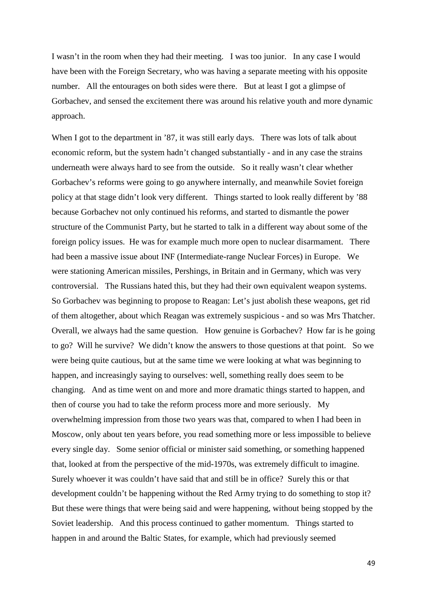I wasn't in the room when they had their meeting. I was too junior. In any case I would have been with the Foreign Secretary, who was having a separate meeting with his opposite number. All the entourages on both sides were there. But at least I got a glimpse of Gorbachev, and sensed the excitement there was around his relative youth and more dynamic approach.

When I got to the department in '87, it was still early days. There was lots of talk about economic reform, but the system hadn't changed substantially - and in any case the strains underneath were always hard to see from the outside. So it really wasn't clear whether Gorbachev's reforms were going to go anywhere internally, and meanwhile Soviet foreign policy at that stage didn't look very different. Things started to look really different by '88 because Gorbachev not only continued his reforms, and started to dismantle the power structure of the Communist Party, but he started to talk in a different way about some of the foreign policy issues. He was for example much more open to nuclear disarmament. There had been a massive issue about INF (Intermediate-range Nuclear Forces) in Europe. We were stationing American missiles, Pershings, in Britain and in Germany, which was very controversial. The Russians hated this, but they had their own equivalent weapon systems. So Gorbachev was beginning to propose to Reagan: Let's just abolish these weapons, get rid of them altogether, about which Reagan was extremely suspicious - and so was Mrs Thatcher. Overall, we always had the same question. How genuine is Gorbachev? How far is he going to go? Will he survive? We didn't know the answers to those questions at that point. So we were being quite cautious, but at the same time we were looking at what was beginning to happen, and increasingly saying to ourselves: well, something really does seem to be changing. And as time went on and more and more dramatic things started to happen, and then of course you had to take the reform process more and more seriously. My overwhelming impression from those two years was that, compared to when I had been in Moscow, only about ten years before, you read something more or less impossible to believe every single day. Some senior official or minister said something, or something happened that, looked at from the perspective of the mid-1970s, was extremely difficult to imagine. Surely whoever it was couldn't have said that and still be in office? Surely this or that development couldn't be happening without the Red Army trying to do something to stop it? But these were things that were being said and were happening, without being stopped by the Soviet leadership. And this process continued to gather momentum. Things started to happen in and around the Baltic States, for example, which had previously seemed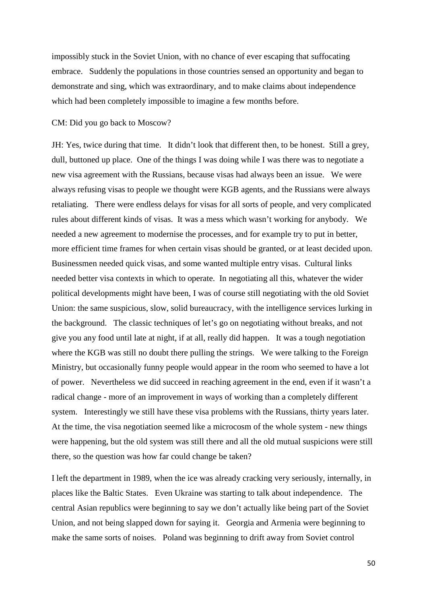impossibly stuck in the Soviet Union, with no chance of ever escaping that suffocating embrace. Suddenly the populations in those countries sensed an opportunity and began to demonstrate and sing, which was extraordinary, and to make claims about independence which had been completely impossible to imagine a few months before.

# CM: Did you go back to Moscow?

JH: Yes, twice during that time. It didn't look that different then, to be honest. Still a grey, dull, buttoned up place. One of the things I was doing while I was there was to negotiate a new visa agreement with the Russians, because visas had always been an issue. We were always refusing visas to people we thought were KGB agents, and the Russians were always retaliating. There were endless delays for visas for all sorts of people, and very complicated rules about different kinds of visas. It was a mess which wasn't working for anybody. We needed a new agreement to modernise the processes, and for example try to put in better, more efficient time frames for when certain visas should be granted, or at least decided upon. Businessmen needed quick visas, and some wanted multiple entry visas. Cultural links needed better visa contexts in which to operate. In negotiating all this, whatever the wider political developments might have been, I was of course still negotiating with the old Soviet Union: the same suspicious, slow, solid bureaucracy, with the intelligence services lurking in the background. The classic techniques of let's go on negotiating without breaks, and not give you any food until late at night, if at all, really did happen. It was a tough negotiation where the KGB was still no doubt there pulling the strings. We were talking to the Foreign Ministry, but occasionally funny people would appear in the room who seemed to have a lot of power. Nevertheless we did succeed in reaching agreement in the end, even if it wasn't a radical change - more of an improvement in ways of working than a completely different system. Interestingly we still have these visa problems with the Russians, thirty years later. At the time, the visa negotiation seemed like a microcosm of the whole system - new things were happening, but the old system was still there and all the old mutual suspicions were still there, so the question was how far could change be taken?

I left the department in 1989, when the ice was already cracking very seriously, internally, in places like the Baltic States. Even Ukraine was starting to talk about independence. The central Asian republics were beginning to say we don't actually like being part of the Soviet Union, and not being slapped down for saying it. Georgia and Armenia were beginning to make the same sorts of noises. Poland was beginning to drift away from Soviet control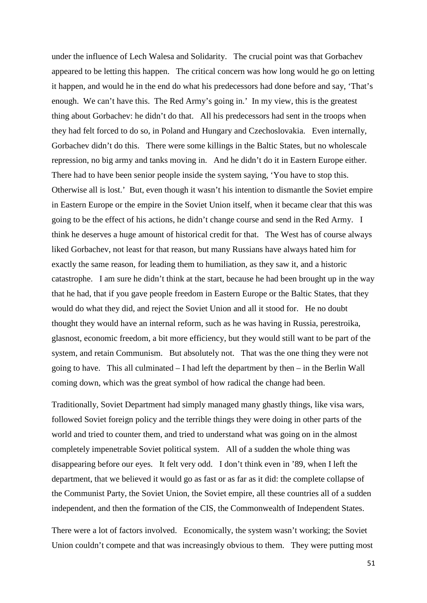under the influence of Lech Walesa and Solidarity. The crucial point was that Gorbachev appeared to be letting this happen. The critical concern was how long would he go on letting it happen, and would he in the end do what his predecessors had done before and say, 'That's enough. We can't have this. The Red Army's going in.' In my view, this is the greatest thing about Gorbachev: he didn't do that. All his predecessors had sent in the troops when they had felt forced to do so, in Poland and Hungary and Czechoslovakia. Even internally, Gorbachev didn't do this. There were some killings in the Baltic States, but no wholescale repression, no big army and tanks moving in. And he didn't do it in Eastern Europe either. There had to have been senior people inside the system saying, 'You have to stop this. Otherwise all is lost.' But, even though it wasn't his intention to dismantle the Soviet empire in Eastern Europe or the empire in the Soviet Union itself, when it became clear that this was going to be the effect of his actions, he didn't change course and send in the Red Army. I think he deserves a huge amount of historical credit for that. The West has of course always liked Gorbachev, not least for that reason, but many Russians have always hated him for exactly the same reason, for leading them to humiliation, as they saw it, and a historic catastrophe. I am sure he didn't think at the start, because he had been brought up in the way that he had, that if you gave people freedom in Eastern Europe or the Baltic States, that they would do what they did, and reject the Soviet Union and all it stood for. He no doubt thought they would have an internal reform, such as he was having in Russia, perestroika, glasnost, economic freedom, a bit more efficiency, but they would still want to be part of the system, and retain Communism. But absolutely not. That was the one thing they were not going to have. This all culminated – I had left the department by then – in the Berlin Wall coming down, which was the great symbol of how radical the change had been.

Traditionally, Soviet Department had simply managed many ghastly things, like visa wars, followed Soviet foreign policy and the terrible things they were doing in other parts of the world and tried to counter them, and tried to understand what was going on in the almost completely impenetrable Soviet political system. All of a sudden the whole thing was disappearing before our eyes. It felt very odd. I don't think even in '89, when I left the department, that we believed it would go as fast or as far as it did: the complete collapse of the Communist Party, the Soviet Union, the Soviet empire, all these countries all of a sudden independent, and then the formation of the CIS, the Commonwealth of Independent States.

There were a lot of factors involved. Economically, the system wasn't working; the Soviet Union couldn't compete and that was increasingly obvious to them. They were putting most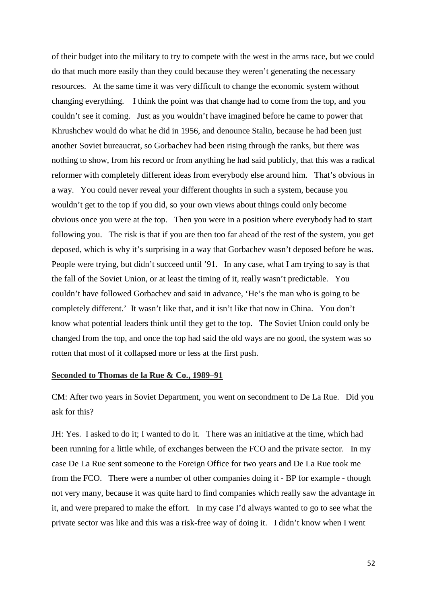of their budget into the military to try to compete with the west in the arms race, but we could do that much more easily than they could because they weren't generating the necessary resources. At the same time it was very difficult to change the economic system without changing everything. I think the point was that change had to come from the top, and you couldn't see it coming. Just as you wouldn't have imagined before he came to power that Khrushchev would do what he did in 1956, and denounce Stalin, because he had been just another Soviet bureaucrat, so Gorbachev had been rising through the ranks, but there was nothing to show, from his record or from anything he had said publicly, that this was a radical reformer with completely different ideas from everybody else around him. That's obvious in a way. You could never reveal your different thoughts in such a system, because you wouldn't get to the top if you did, so your own views about things could only become obvious once you were at the top. Then you were in a position where everybody had to start following you. The risk is that if you are then too far ahead of the rest of the system, you get deposed, which is why it's surprising in a way that Gorbachev wasn't deposed before he was. People were trying, but didn't succeed until '91. In any case, what I am trying to say is that the fall of the Soviet Union, or at least the timing of it, really wasn't predictable. You couldn't have followed Gorbachev and said in advance, 'He's the man who is going to be completely different.' It wasn't like that, and it isn't like that now in China. You don't know what potential leaders think until they get to the top. The Soviet Union could only be changed from the top, and once the top had said the old ways are no good, the system was so rotten that most of it collapsed more or less at the first push.

# **Seconded to Thomas de la Rue & Co., 1989–91**

CM: After two years in Soviet Department, you went on secondment to De La Rue. Did you ask for this?

JH: Yes. I asked to do it; I wanted to do it. There was an initiative at the time, which had been running for a little while, of exchanges between the FCO and the private sector. In my case De La Rue sent someone to the Foreign Office for two years and De La Rue took me from the FCO. There were a number of other companies doing it - BP for example - though not very many, because it was quite hard to find companies which really saw the advantage in it, and were prepared to make the effort. In my case I'd always wanted to go to see what the private sector was like and this was a risk-free way of doing it. I didn't know when I went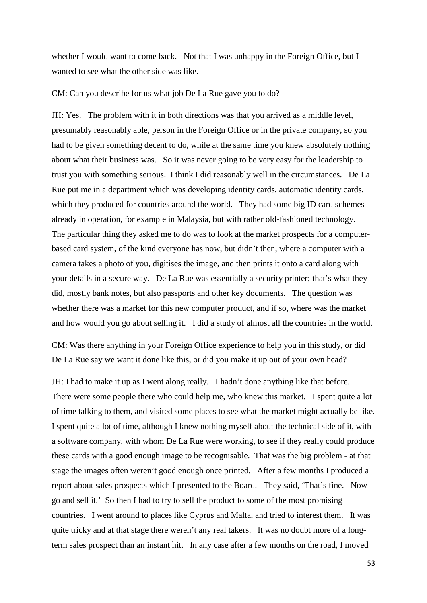whether I would want to come back. Not that I was unhappy in the Foreign Office, but I wanted to see what the other side was like.

CM: Can you describe for us what job De La Rue gave you to do?

JH: Yes. The problem with it in both directions was that you arrived as a middle level, presumably reasonably able, person in the Foreign Office or in the private company, so you had to be given something decent to do, while at the same time you knew absolutely nothing about what their business was. So it was never going to be very easy for the leadership to trust you with something serious. I think I did reasonably well in the circumstances. De La Rue put me in a department which was developing identity cards, automatic identity cards, which they produced for countries around the world. They had some big ID card schemes already in operation, for example in Malaysia, but with rather old-fashioned technology. The particular thing they asked me to do was to look at the market prospects for a computerbased card system, of the kind everyone has now, but didn't then, where a computer with a camera takes a photo of you, digitises the image, and then prints it onto a card along with your details in a secure way. De La Rue was essentially a security printer; that's what they did, mostly bank notes, but also passports and other key documents. The question was whether there was a market for this new computer product, and if so, where was the market and how would you go about selling it. I did a study of almost all the countries in the world.

CM: Was there anything in your Foreign Office experience to help you in this study, or did De La Rue say we want it done like this, or did you make it up out of your own head?

JH: I had to make it up as I went along really. I hadn't done anything like that before. There were some people there who could help me, who knew this market. I spent quite a lot of time talking to them, and visited some places to see what the market might actually be like. I spent quite a lot of time, although I knew nothing myself about the technical side of it, with a software company, with whom De La Rue were working, to see if they really could produce these cards with a good enough image to be recognisable. That was the big problem - at that stage the images often weren't good enough once printed. After a few months I produced a report about sales prospects which I presented to the Board. They said, 'That's fine. Now go and sell it.' So then I had to try to sell the product to some of the most promising countries. I went around to places like Cyprus and Malta, and tried to interest them. It was quite tricky and at that stage there weren't any real takers. It was no doubt more of a longterm sales prospect than an instant hit. In any case after a few months on the road, I moved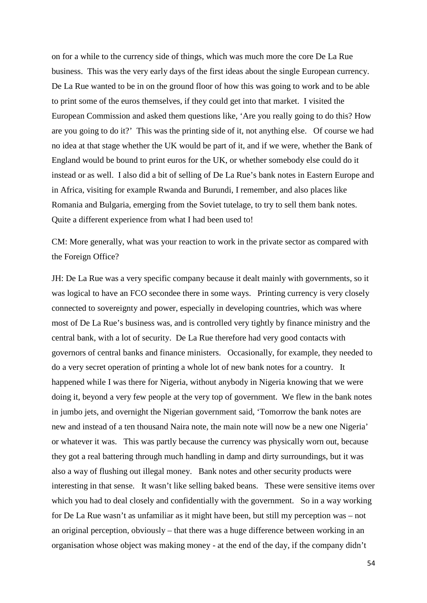on for a while to the currency side of things, which was much more the core De La Rue business. This was the very early days of the first ideas about the single European currency. De La Rue wanted to be in on the ground floor of how this was going to work and to be able to print some of the euros themselves, if they could get into that market. I visited the European Commission and asked them questions like, 'Are you really going to do this? How are you going to do it?' This was the printing side of it, not anything else. Of course we had no idea at that stage whether the UK would be part of it, and if we were, whether the Bank of England would be bound to print euros for the UK, or whether somebody else could do it instead or as well. I also did a bit of selling of De La Rue's bank notes in Eastern Europe and in Africa, visiting for example Rwanda and Burundi, I remember, and also places like Romania and Bulgaria, emerging from the Soviet tutelage, to try to sell them bank notes. Quite a different experience from what I had been used to!

CM: More generally, what was your reaction to work in the private sector as compared with the Foreign Office?

JH: De La Rue was a very specific company because it dealt mainly with governments, so it was logical to have an FCO secondee there in some ways. Printing currency is very closely connected to sovereignty and power, especially in developing countries, which was where most of De La Rue's business was, and is controlled very tightly by finance ministry and the central bank, with a lot of security. De La Rue therefore had very good contacts with governors of central banks and finance ministers. Occasionally, for example, they needed to do a very secret operation of printing a whole lot of new bank notes for a country. It happened while I was there for Nigeria, without anybody in Nigeria knowing that we were doing it, beyond a very few people at the very top of government. We flew in the bank notes in jumbo jets, and overnight the Nigerian government said, 'Tomorrow the bank notes are new and instead of a ten thousand Naira note, the main note will now be a new one Nigeria' or whatever it was. This was partly because the currency was physically worn out, because they got a real battering through much handling in damp and dirty surroundings, but it was also a way of flushing out illegal money. Bank notes and other security products were interesting in that sense. It wasn't like selling baked beans. These were sensitive items over which you had to deal closely and confidentially with the government. So in a way working for De La Rue wasn't as unfamiliar as it might have been, but still my perception was – not an original perception, obviously – that there was a huge difference between working in an organisation whose object was making money - at the end of the day, if the company didn't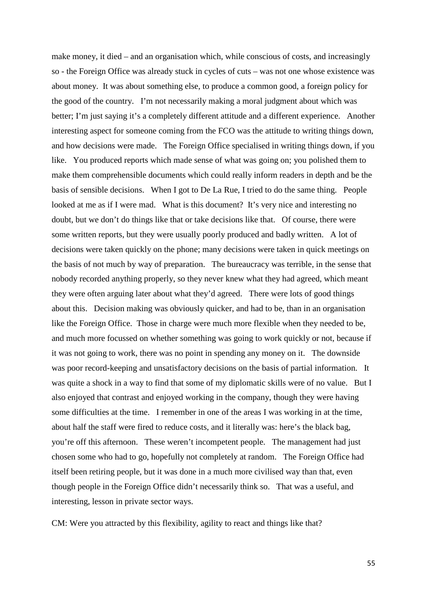make money, it died – and an organisation which, while conscious of costs, and increasingly so - the Foreign Office was already stuck in cycles of cuts – was not one whose existence was about money. It was about something else, to produce a common good, a foreign policy for the good of the country. I'm not necessarily making a moral judgment about which was better; I'm just saying it's a completely different attitude and a different experience. Another interesting aspect for someone coming from the FCO was the attitude to writing things down, and how decisions were made. The Foreign Office specialised in writing things down, if you like. You produced reports which made sense of what was going on; you polished them to make them comprehensible documents which could really inform readers in depth and be the basis of sensible decisions. When I got to De La Rue, I tried to do the same thing. People looked at me as if I were mad. What is this document? It's very nice and interesting no doubt, but we don't do things like that or take decisions like that. Of course, there were some written reports, but they were usually poorly produced and badly written. A lot of decisions were taken quickly on the phone; many decisions were taken in quick meetings on the basis of not much by way of preparation. The bureaucracy was terrible, in the sense that nobody recorded anything properly, so they never knew what they had agreed, which meant they were often arguing later about what they'd agreed. There were lots of good things about this. Decision making was obviously quicker, and had to be, than in an organisation like the Foreign Office. Those in charge were much more flexible when they needed to be, and much more focussed on whether something was going to work quickly or not, because if it was not going to work, there was no point in spending any money on it. The downside was poor record-keeping and unsatisfactory decisions on the basis of partial information. It was quite a shock in a way to find that some of my diplomatic skills were of no value. But I also enjoyed that contrast and enjoyed working in the company, though they were having some difficulties at the time. I remember in one of the areas I was working in at the time, about half the staff were fired to reduce costs, and it literally was: here's the black bag, you're off this afternoon. These weren't incompetent people. The management had just chosen some who had to go, hopefully not completely at random. The Foreign Office had itself been retiring people, but it was done in a much more civilised way than that, even though people in the Foreign Office didn't necessarily think so. That was a useful, and interesting, lesson in private sector ways.

CM: Were you attracted by this flexibility, agility to react and things like that?

55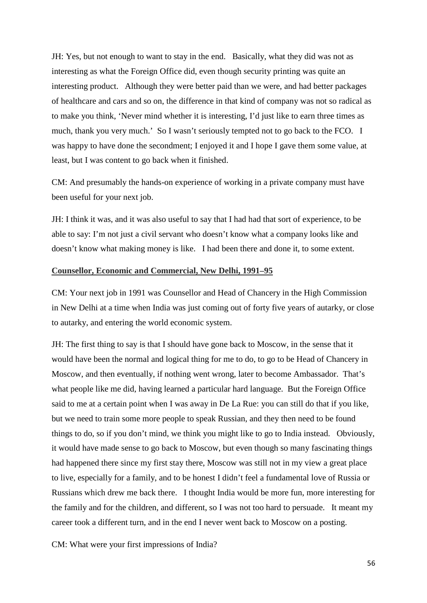JH: Yes, but not enough to want to stay in the end. Basically, what they did was not as interesting as what the Foreign Office did, even though security printing was quite an interesting product. Although they were better paid than we were, and had better packages of healthcare and cars and so on, the difference in that kind of company was not so radical as to make you think, 'Never mind whether it is interesting, I'd just like to earn three times as much, thank you very much.' So I wasn't seriously tempted not to go back to the FCO. I was happy to have done the secondment; I enjoyed it and I hope I gave them some value, at least, but I was content to go back when it finished.

CM: And presumably the hands-on experience of working in a private company must have been useful for your next job.

JH: I think it was, and it was also useful to say that I had had that sort of experience, to be able to say: I'm not just a civil servant who doesn't know what a company looks like and doesn't know what making money is like. I had been there and done it, to some extent.

# **Counsellor, Economic and Commercial, New Delhi, 1991–95**

CM: Your next job in 1991 was Counsellor and Head of Chancery in the High Commission in New Delhi at a time when India was just coming out of forty five years of autarky, or close to autarky, and entering the world economic system.

JH: The first thing to say is that I should have gone back to Moscow, in the sense that it would have been the normal and logical thing for me to do, to go to be Head of Chancery in Moscow, and then eventually, if nothing went wrong, later to become Ambassador. That's what people like me did, having learned a particular hard language. But the Foreign Office said to me at a certain point when I was away in De La Rue: you can still do that if you like, but we need to train some more people to speak Russian, and they then need to be found things to do, so if you don't mind, we think you might like to go to India instead. Obviously, it would have made sense to go back to Moscow, but even though so many fascinating things had happened there since my first stay there, Moscow was still not in my view a great place to live, especially for a family, and to be honest I didn't feel a fundamental love of Russia or Russians which drew me back there. I thought India would be more fun, more interesting for the family and for the children, and different, so I was not too hard to persuade. It meant my career took a different turn, and in the end I never went back to Moscow on a posting.

CM: What were your first impressions of India?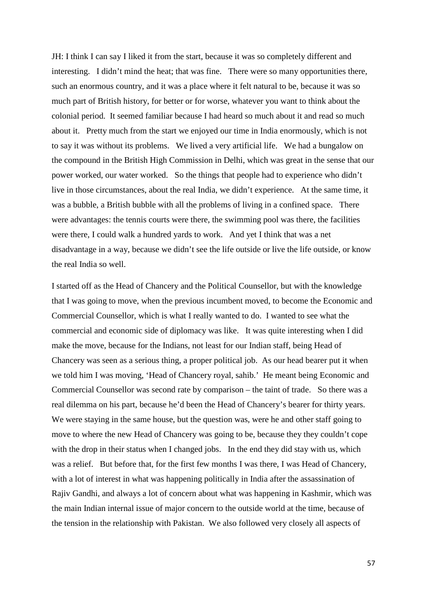JH: I think I can say I liked it from the start, because it was so completely different and interesting. I didn't mind the heat; that was fine. There were so many opportunities there, such an enormous country, and it was a place where it felt natural to be, because it was so much part of British history, for better or for worse, whatever you want to think about the colonial period. It seemed familiar because I had heard so much about it and read so much about it. Pretty much from the start we enjoyed our time in India enormously, which is not to say it was without its problems. We lived a very artificial life. We had a bungalow on the compound in the British High Commission in Delhi, which was great in the sense that our power worked, our water worked. So the things that people had to experience who didn't live in those circumstances, about the real India, we didn't experience. At the same time, it was a bubble, a British bubble with all the problems of living in a confined space. There were advantages: the tennis courts were there, the swimming pool was there, the facilities were there, I could walk a hundred yards to work. And yet I think that was a net disadvantage in a way, because we didn't see the life outside or live the life outside, or know the real India so well.

I started off as the Head of Chancery and the Political Counsellor, but with the knowledge that I was going to move, when the previous incumbent moved, to become the Economic and Commercial Counsellor, which is what I really wanted to do. I wanted to see what the commercial and economic side of diplomacy was like. It was quite interesting when I did make the move, because for the Indians, not least for our Indian staff, being Head of Chancery was seen as a serious thing, a proper political job. As our head bearer put it when we told him I was moving, 'Head of Chancery royal, sahib.' He meant being Economic and Commercial Counsellor was second rate by comparison – the taint of trade. So there was a real dilemma on his part, because he'd been the Head of Chancery's bearer for thirty years. We were staying in the same house, but the question was, were he and other staff going to move to where the new Head of Chancery was going to be, because they they couldn't cope with the drop in their status when I changed jobs. In the end they did stay with us, which was a relief. But before that, for the first few months I was there, I was Head of Chancery, with a lot of interest in what was happening politically in India after the assassination of Rajiv Gandhi, and always a lot of concern about what was happening in Kashmir, which was the main Indian internal issue of major concern to the outside world at the time, because of the tension in the relationship with Pakistan. We also followed very closely all aspects of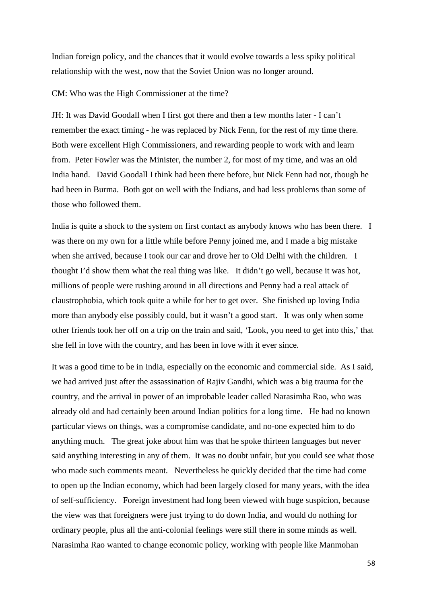Indian foreign policy, and the chances that it would evolve towards a less spiky political relationship with the west, now that the Soviet Union was no longer around.

#### CM: Who was the High Commissioner at the time?

JH: It was David Goodall when I first got there and then a few months later - I can't remember the exact timing - he was replaced by Nick Fenn, for the rest of my time there. Both were excellent High Commissioners, and rewarding people to work with and learn from. Peter Fowler was the Minister, the number 2, for most of my time, and was an old India hand. David Goodall I think had been there before, but Nick Fenn had not, though he had been in Burma. Both got on well with the Indians, and had less problems than some of those who followed them.

India is quite a shock to the system on first contact as anybody knows who has been there. I was there on my own for a little while before Penny joined me, and I made a big mistake when she arrived, because I took our car and drove her to Old Delhi with the children. I thought I'd show them what the real thing was like. It didn't go well, because it was hot, millions of people were rushing around in all directions and Penny had a real attack of claustrophobia, which took quite a while for her to get over. She finished up loving India more than anybody else possibly could, but it wasn't a good start. It was only when some other friends took her off on a trip on the train and said, 'Look, you need to get into this,' that she fell in love with the country, and has been in love with it ever since.

It was a good time to be in India, especially on the economic and commercial side. As I said, we had arrived just after the assassination of Rajiv Gandhi, which was a big trauma for the country, and the arrival in power of an improbable leader called Narasimha Rao, who was already old and had certainly been around Indian politics for a long time. He had no known particular views on things, was a compromise candidate, and no-one expected him to do anything much. The great joke about him was that he spoke thirteen languages but never said anything interesting in any of them. It was no doubt unfair, but you could see what those who made such comments meant. Nevertheless he quickly decided that the time had come to open up the Indian economy, which had been largely closed for many years, with the idea of self-sufficiency. Foreign investment had long been viewed with huge suspicion, because the view was that foreigners were just trying to do down India, and would do nothing for ordinary people, plus all the anti-colonial feelings were still there in some minds as well. Narasimha Rao wanted to change economic policy, working with people like Manmohan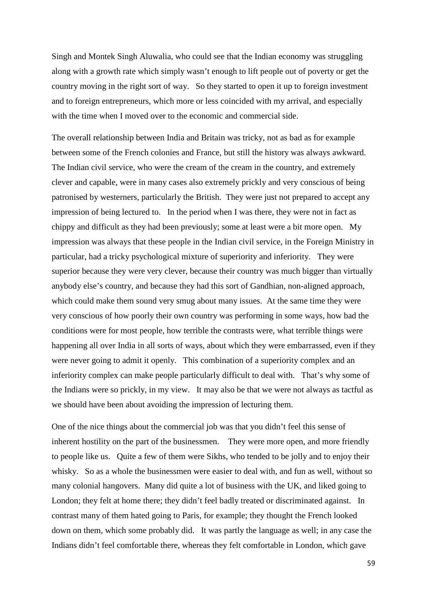Singh and Montek Singh Aluwalia, who could see that the Indian economy was struggling along with a growth rate which simply wasn't enough to lift people out of poverty or get the country moving in the right sort of way. So they started to open it up to foreign investment and to foreign entrepreneurs, which more or less coincided with my arrival, and especially with the time when I moved over to the economic and commercial side.

The overall relationship between India and Britain was tricky, not as bad as for example between some of the French colonies and France, but still the history was always awkward. The Indian civil service, who were the cream of the cream in the country, and extremely clever and capable, were in many cases also extremely prickly and very conscious of being patronised by westerners, particularly the British. They were just not prepared to accept any impression of being lectured to. In the period when I was there, they were not in fact as chippy and difficult as they had been previously; some at least were a bit more open. My impression was always that these people in the Indian civil service, in the Foreign Ministry in particular, had a tricky psychological mixture of superiority and inferiority. They were superior because they were very clever, because their country was much bigger than virtually anybody else's country, and because they had this sort of Gandhian, non-aligned approach, which could make them sound very smug about many issues. At the same time they were very conscious of how poorly their own country was performing in some ways, how bad the conditions were for most people, how terrible the contrasts were, what terrible things were happening all over India in all sorts of ways, about which they were embarrassed, even if they were never going to admit it openly. This combination of a superiority complex and an inferiority complex can make people particularly difficult to deal with. That's why some of the Indians were so prickly, in my view. It may also be that we were not always as tactful as we should have been about avoiding the impression of lecturing them.

One of the nice things about the commercial job was that you didn't feel this sense of inherent hostility on the part of the businessmen. They were more open, and more friendly to people like us. Quite a few of them were Sikhs, who tended to be jolly and to enjoy their whisky. So as a whole the businessmen were easier to deal with, and fun as well, without so many colonial hangovers. Many did quite a lot of business with the UK, and liked going to London; they felt at home there; they didn't feel badly treated or discriminated against. In contrast many of them hated going to Paris, for example; they thought the French looked down on them, which some probably did. It was partly the language as well; in any case the Indians didn't feel comfortable there, whereas they felt comfortable in London, which gave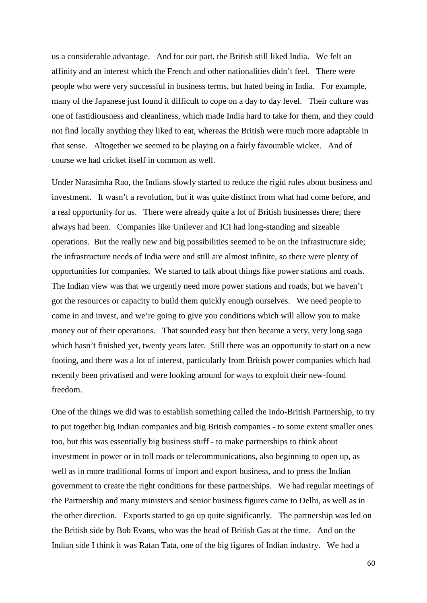us a considerable advantage. And for our part, the British still liked India. We felt an affinity and an interest which the French and other nationalities didn't feel. There were people who were very successful in business terms, but hated being in India. For example, many of the Japanese just found it difficult to cope on a day to day level. Their culture was one of fastidiousness and cleanliness, which made India hard to take for them, and they could not find locally anything they liked to eat, whereas the British were much more adaptable in that sense. Altogether we seemed to be playing on a fairly favourable wicket. And of course we had cricket itself in common as well.

Under Narasimha Rao, the Indians slowly started to reduce the rigid rules about business and investment. It wasn't a revolution, but it was quite distinct from what had come before, and a real opportunity for us. There were already quite a lot of British businesses there; there always had been. Companies like Unilever and ICI had long-standing and sizeable operations. But the really new and big possibilities seemed to be on the infrastructure side; the infrastructure needs of India were and still are almost infinite, so there were plenty of opportunities for companies. We started to talk about things like power stations and roads. The Indian view was that we urgently need more power stations and roads, but we haven't got the resources or capacity to build them quickly enough ourselves. We need people to come in and invest, and we're going to give you conditions which will allow you to make money out of their operations. That sounded easy but then became a very, very long saga which hasn't finished yet, twenty years later. Still there was an opportunity to start on a new footing, and there was a lot of interest, particularly from British power companies which had recently been privatised and were looking around for ways to exploit their new-found freedom.

One of the things we did was to establish something called the Indo-British Partnership, to try to put together big Indian companies and big British companies - to some extent smaller ones too, but this was essentially big business stuff - to make partnerships to think about investment in power or in toll roads or telecommunications, also beginning to open up, as well as in more traditional forms of import and export business, and to press the Indian government to create the right conditions for these partnerships. We had regular meetings of the Partnership and many ministers and senior business figures came to Delhi, as well as in the other direction. Exports started to go up quite significantly. The partnership was led on the British side by Bob Evans, who was the head of British Gas at the time. And on the Indian side I think it was Ratan Tata, one of the big figures of Indian industry. We had a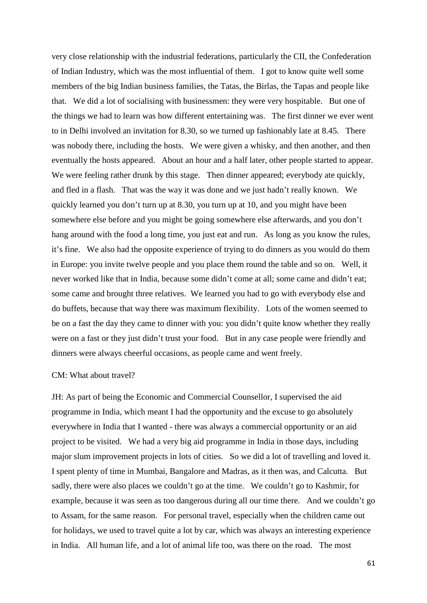very close relationship with the industrial federations, particularly the CII, the Confederation of Indian Industry, which was the most influential of them. I got to know quite well some members of the big Indian business families, the Tatas, the Birlas, the Tapas and people like that. We did a lot of socialising with businessmen: they were very hospitable. But one of the things we had to learn was how different entertaining was. The first dinner we ever went to in Delhi involved an invitation for 8.30, so we turned up fashionably late at 8.45. There was nobody there, including the hosts. We were given a whisky, and then another, and then eventually the hosts appeared. About an hour and a half later, other people started to appear. We were feeling rather drunk by this stage. Then dinner appeared; everybody ate quickly, and fled in a flash. That was the way it was done and we just hadn't really known. We quickly learned you don't turn up at 8.30, you turn up at 10, and you might have been somewhere else before and you might be going somewhere else afterwards, and you don't hang around with the food a long time, you just eat and run. As long as you know the rules, it's fine. We also had the opposite experience of trying to do dinners as you would do them in Europe: you invite twelve people and you place them round the table and so on. Well, it never worked like that in India, because some didn't come at all; some came and didn't eat; some came and brought three relatives. We learned you had to go with everybody else and do buffets, because that way there was maximum flexibility. Lots of the women seemed to be on a fast the day they came to dinner with you: you didn't quite know whether they really were on a fast or they just didn't trust your food. But in any case people were friendly and dinners were always cheerful occasions, as people came and went freely.

#### CM: What about travel?

JH: As part of being the Economic and Commercial Counsellor, I supervised the aid programme in India, which meant I had the opportunity and the excuse to go absolutely everywhere in India that I wanted - there was always a commercial opportunity or an aid project to be visited. We had a very big aid programme in India in those days, including major slum improvement projects in lots of cities. So we did a lot of travelling and loved it. I spent plenty of time in Mumbai, Bangalore and Madras, as it then was, and Calcutta. But sadly, there were also places we couldn't go at the time. We couldn't go to Kashmir, for example, because it was seen as too dangerous during all our time there. And we couldn't go to Assam, for the same reason. For personal travel, especially when the children came out for holidays, we used to travel quite a lot by car, which was always an interesting experience in India. All human life, and a lot of animal life too, was there on the road. The most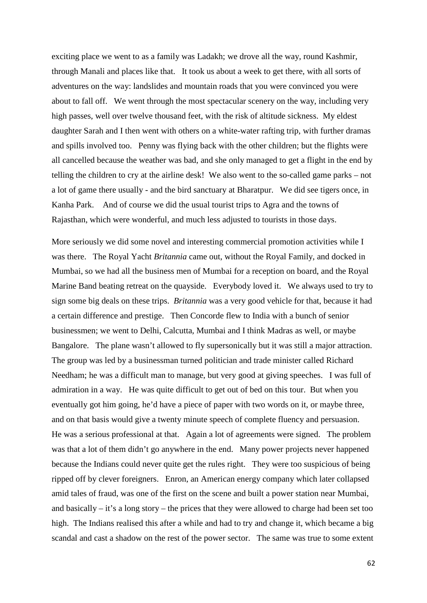exciting place we went to as a family was Ladakh; we drove all the way, round Kashmir, through Manali and places like that. It took us about a week to get there, with all sorts of adventures on the way: landslides and mountain roads that you were convinced you were about to fall off. We went through the most spectacular scenery on the way, including very high passes, well over twelve thousand feet, with the risk of altitude sickness. My eldest daughter Sarah and I then went with others on a white-water rafting trip, with further dramas and spills involved too. Penny was flying back with the other children; but the flights were all cancelled because the weather was bad, and she only managed to get a flight in the end by telling the children to cry at the airline desk! We also went to the so-called game parks – not a lot of game there usually - and the bird sanctuary at Bharatpur. We did see tigers once, in Kanha Park. And of course we did the usual tourist trips to Agra and the towns of Rajasthan, which were wonderful, and much less adjusted to tourists in those days.

More seriously we did some novel and interesting commercial promotion activities while I was there. The Royal Yacht *Britannia* came out, without the Royal Family, and docked in Mumbai, so we had all the business men of Mumbai for a reception on board, and the Royal Marine Band beating retreat on the quayside. Everybody loved it. We always used to try to sign some big deals on these trips. *Britannia* was a very good vehicle for that, because it had a certain difference and prestige. Then Concorde flew to India with a bunch of senior businessmen; we went to Delhi, Calcutta, Mumbai and I think Madras as well, or maybe Bangalore. The plane wasn't allowed to fly supersonically but it was still a major attraction. The group was led by a businessman turned politician and trade minister called Richard Needham; he was a difficult man to manage, but very good at giving speeches. I was full of admiration in a way. He was quite difficult to get out of bed on this tour. But when you eventually got him going, he'd have a piece of paper with two words on it, or maybe three, and on that basis would give a twenty minute speech of complete fluency and persuasion. He was a serious professional at that. Again a lot of agreements were signed. The problem was that a lot of them didn't go anywhere in the end. Many power projects never happened because the Indians could never quite get the rules right. They were too suspicious of being ripped off by clever foreigners. Enron, an American energy company which later collapsed amid tales of fraud, was one of the first on the scene and built a power station near Mumbai, and basically – it's a long story – the prices that they were allowed to charge had been set too high. The Indians realised this after a while and had to try and change it, which became a big scandal and cast a shadow on the rest of the power sector. The same was true to some extent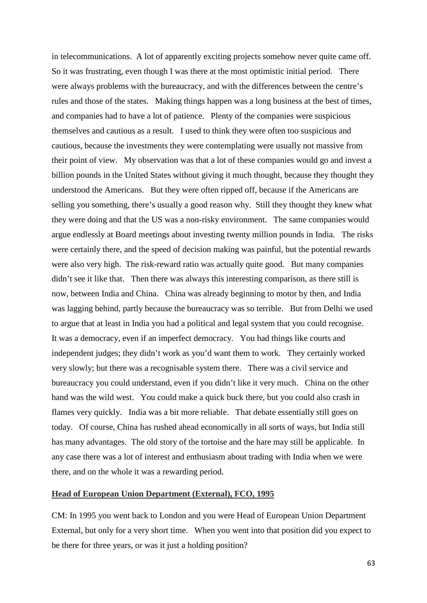in telecommunications. A lot of apparently exciting projects somehow never quite came off. So it was frustrating, even though I was there at the most optimistic initial period. There were always problems with the bureaucracy, and with the differences between the centre's rules and those of the states. Making things happen was a long business at the best of times, and companies had to have a lot of patience. Plenty of the companies were suspicious themselves and cautious as a result. I used to think they were often too suspicious and cautious, because the investments they were contemplating were usually not massive from their point of view. My observation was that a lot of these companies would go and invest a billion pounds in the United States without giving it much thought, because they thought they understood the Americans. But they were often ripped off, because if the Americans are selling you something, there's usually a good reason why. Still they thought they knew what they were doing and that the US was a non-risky environment. The same companies would argue endlessly at Board meetings about investing twenty million pounds in India. The risks were certainly there, and the speed of decision making was painful, but the potential rewards were also very high. The risk-reward ratio was actually quite good. But many companies didn't see it like that. Then there was always this interesting comparison, as there still is now, between India and China. China was already beginning to motor by then, and India was lagging behind, partly because the bureaucracy was so terrible. But from Delhi we used to argue that at least in India you had a political and legal system that you could recognise. It was a democracy, even if an imperfect democracy. You had things like courts and independent judges; they didn't work as you'd want them to work. They certainly worked very slowly; but there was a recognisable system there. There was a civil service and bureaucracy you could understand, even if you didn't like it very much. China on the other hand was the wild west. You could make a quick buck there, but you could also crash in flames very quickly. India was a bit more reliable. That debate essentially still goes on today. Of course, China has rushed ahead economically in all sorts of ways, but India still has many advantages. The old story of the tortoise and the hare may still be applicable. In any case there was a lot of interest and enthusiasm about trading with India when we were there, and on the whole it was a rewarding period.

# **Head of European Union Department (External), FCO, 1995**

CM: In 1995 you went back to London and you were Head of European Union Department External, but only for a very short time. When you went into that position did you expect to be there for three years, or was it just a holding position?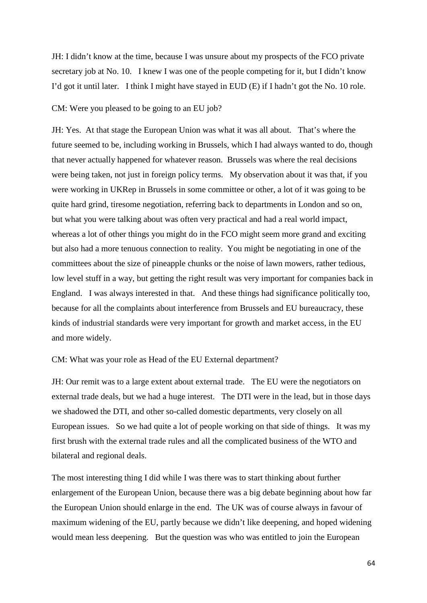JH: I didn't know at the time, because I was unsure about my prospects of the FCO private secretary job at No. 10. I knew I was one of the people competing for it, but I didn't know I'd got it until later. I think I might have stayed in EUD (E) if I hadn't got the No. 10 role.

### CM: Were you pleased to be going to an EU job?

JH: Yes. At that stage the European Union was what it was all about. That's where the future seemed to be, including working in Brussels, which I had always wanted to do, though that never actually happened for whatever reason. Brussels was where the real decisions were being taken, not just in foreign policy terms. My observation about it was that, if you were working in UKRep in Brussels in some committee or other, a lot of it was going to be quite hard grind, tiresome negotiation, referring back to departments in London and so on, but what you were talking about was often very practical and had a real world impact, whereas a lot of other things you might do in the FCO might seem more grand and exciting but also had a more tenuous connection to reality. You might be negotiating in one of the committees about the size of pineapple chunks or the noise of lawn mowers, rather tedious, low level stuff in a way, but getting the right result was very important for companies back in England. I was always interested in that. And these things had significance politically too, because for all the complaints about interference from Brussels and EU bureaucracy, these kinds of industrial standards were very important for growth and market access, in the EU and more widely.

### CM: What was your role as Head of the EU External department?

JH: Our remit was to a large extent about external trade. The EU were the negotiators on external trade deals, but we had a huge interest. The DTI were in the lead, but in those days we shadowed the DTI, and other so-called domestic departments, very closely on all European issues. So we had quite a lot of people working on that side of things. It was my first brush with the external trade rules and all the complicated business of the WTO and bilateral and regional deals.

The most interesting thing I did while I was there was to start thinking about further enlargement of the European Union, because there was a big debate beginning about how far the European Union should enlarge in the end. The UK was of course always in favour of maximum widening of the EU, partly because we didn't like deepening, and hoped widening would mean less deepening. But the question was who was entitled to join the European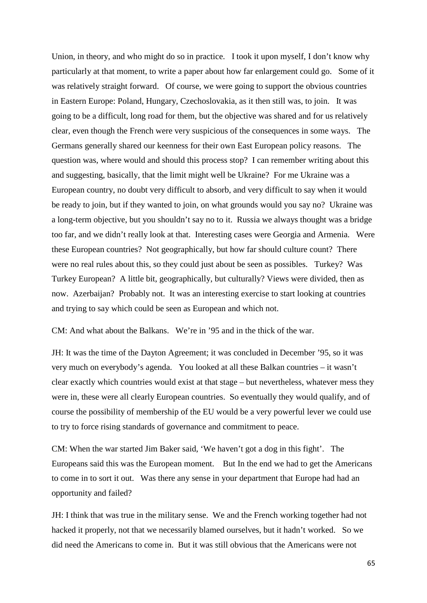Union, in theory, and who might do so in practice. I took it upon myself, I don't know why particularly at that moment, to write a paper about how far enlargement could go. Some of it was relatively straight forward. Of course, we were going to support the obvious countries in Eastern Europe: Poland, Hungary, Czechoslovakia, as it then still was, to join. It was going to be a difficult, long road for them, but the objective was shared and for us relatively clear, even though the French were very suspicious of the consequences in some ways. The Germans generally shared our keenness for their own East European policy reasons. The question was, where would and should this process stop? I can remember writing about this and suggesting, basically, that the limit might well be Ukraine? For me Ukraine was a European country, no doubt very difficult to absorb, and very difficult to say when it would be ready to join, but if they wanted to join, on what grounds would you say no? Ukraine was a long-term objective, but you shouldn't say no to it. Russia we always thought was a bridge too far, and we didn't really look at that. Interesting cases were Georgia and Armenia. Were these European countries? Not geographically, but how far should culture count? There were no real rules about this, so they could just about be seen as possibles. Turkey? Was Turkey European? A little bit, geographically, but culturally? Views were divided, then as now. Azerbaijan? Probably not. It was an interesting exercise to start looking at countries and trying to say which could be seen as European and which not.

CM: And what about the Balkans. We're in '95 and in the thick of the war.

JH: It was the time of the Dayton Agreement; it was concluded in December '95, so it was very much on everybody's agenda. You looked at all these Balkan countries – it wasn't clear exactly which countries would exist at that stage – but nevertheless, whatever mess they were in, these were all clearly European countries. So eventually they would qualify, and of course the possibility of membership of the EU would be a very powerful lever we could use to try to force rising standards of governance and commitment to peace.

CM: When the war started Jim Baker said, 'We haven't got a dog in this fight'. The Europeans said this was the European moment. But In the end we had to get the Americans to come in to sort it out. Was there any sense in your department that Europe had had an opportunity and failed?

JH: I think that was true in the military sense. We and the French working together had not hacked it properly, not that we necessarily blamed ourselves, but it hadn't worked. So we did need the Americans to come in. But it was still obvious that the Americans were not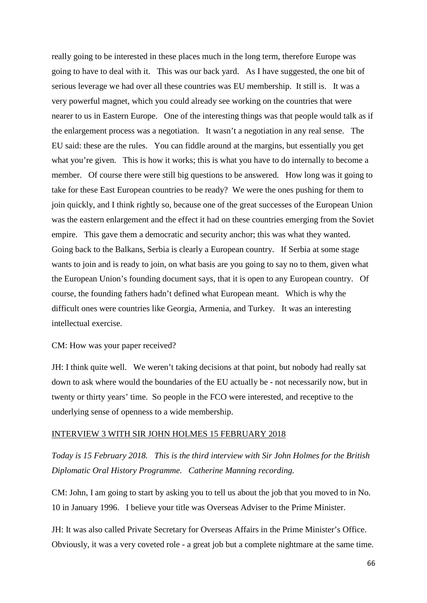really going to be interested in these places much in the long term, therefore Europe was going to have to deal with it. This was our back yard. As I have suggested, the one bit of serious leverage we had over all these countries was EU membership. It still is. It was a very powerful magnet, which you could already see working on the countries that were nearer to us in Eastern Europe. One of the interesting things was that people would talk as if the enlargement process was a negotiation. It wasn't a negotiation in any real sense. The EU said: these are the rules. You can fiddle around at the margins, but essentially you get what you're given. This is how it works; this is what you have to do internally to become a member. Of course there were still big questions to be answered. How long was it going to take for these East European countries to be ready? We were the ones pushing for them to join quickly, and I think rightly so, because one of the great successes of the European Union was the eastern enlargement and the effect it had on these countries emerging from the Soviet empire. This gave them a democratic and security anchor; this was what they wanted. Going back to the Balkans, Serbia is clearly a European country. If Serbia at some stage wants to join and is ready to join, on what basis are you going to say no to them, given what the European Union's founding document says, that it is open to any European country. Of course, the founding fathers hadn't defined what European meant. Which is why the difficult ones were countries like Georgia, Armenia, and Turkey. It was an interesting intellectual exercise.

### CM: How was your paper received?

JH: I think quite well. We weren't taking decisions at that point, but nobody had really sat down to ask where would the boundaries of the EU actually be - not necessarily now, but in twenty or thirty years' time. So people in the FCO were interested, and receptive to the underlying sense of openness to a wide membership.

#### INTERVIEW 3 WITH SIR JOHN HOLMES 15 FEBRUARY 2018

*Today is 15 February 2018. This is the third interview with Sir John Holmes for the British Diplomatic Oral History Programme. Catherine Manning recording.*

CM: John, I am going to start by asking you to tell us about the job that you moved to in No. 10 in January 1996. I believe your title was Overseas Adviser to the Prime Minister.

JH: It was also called Private Secretary for Overseas Affairs in the Prime Minister's Office. Obviously, it was a very coveted role - a great job but a complete nightmare at the same time.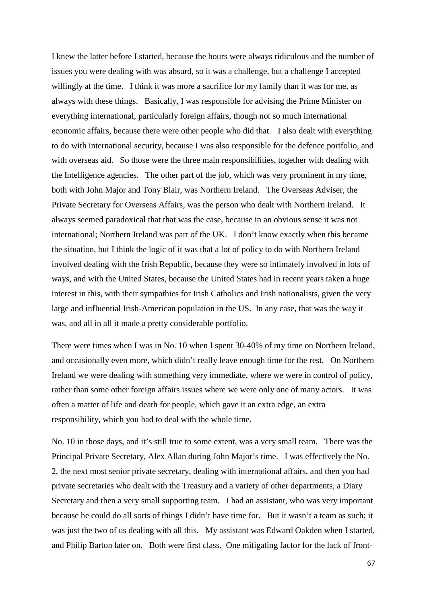I knew the latter before I started, because the hours were always ridiculous and the number of issues you were dealing with was absurd, so it was a challenge, but a challenge I accepted willingly at the time. I think it was more a sacrifice for my family than it was for me, as always with these things. Basically, I was responsible for advising the Prime Minister on everything international, particularly foreign affairs, though not so much international economic affairs, because there were other people who did that. I also dealt with everything to do with international security, because I was also responsible for the defence portfolio, and with overseas aid. So those were the three main responsibilities, together with dealing with the Intelligence agencies. The other part of the job, which was very prominent in my time, both with John Major and Tony Blair, was Northern Ireland. The Overseas Adviser, the Private Secretary for Overseas Affairs, was the person who dealt with Northern Ireland. It always seemed paradoxical that that was the case, because in an obvious sense it was not international; Northern Ireland was part of the UK. I don't know exactly when this became the situation, but I think the logic of it was that a lot of policy to do with Northern Ireland involved dealing with the Irish Republic, because they were so intimately involved in lots of ways, and with the United States, because the United States had in recent years taken a huge interest in this, with their sympathies for Irish Catholics and Irish nationalists, given the very large and influential Irish-American population in the US. In any case, that was the way it was, and all in all it made a pretty considerable portfolio.

There were times when I was in No. 10 when I spent 30-40% of my time on Northern Ireland, and occasionally even more, which didn't really leave enough time for the rest. On Northern Ireland we were dealing with something very immediate, where we were in control of policy, rather than some other foreign affairs issues where we were only one of many actors. It was often a matter of life and death for people, which gave it an extra edge, an extra responsibility, which you had to deal with the whole time.

No. 10 in those days, and it's still true to some extent, was a very small team. There was the Principal Private Secretary, Alex Allan during John Major's time. I was effectively the No. 2, the next most senior private secretary, dealing with international affairs, and then you had private secretaries who dealt with the Treasury and a variety of other departments, a Diary Secretary and then a very small supporting team. I had an assistant, who was very important because he could do all sorts of things I didn't have time for. But it wasn't a team as such; it was just the two of us dealing with all this. My assistant was Edward Oakden when I started, and Philip Barton later on. Both were first class. One mitigating factor for the lack of front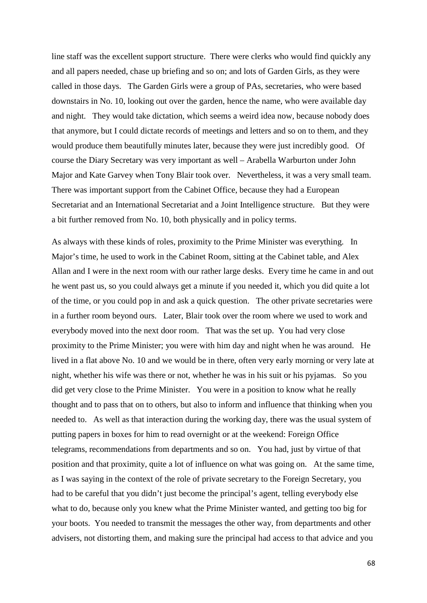line staff was the excellent support structure. There were clerks who would find quickly any and all papers needed, chase up briefing and so on; and lots of Garden Girls, as they were called in those days. The Garden Girls were a group of PAs, secretaries, who were based downstairs in No. 10, looking out over the garden, hence the name, who were available day and night. They would take dictation, which seems a weird idea now, because nobody does that anymore, but I could dictate records of meetings and letters and so on to them, and they would produce them beautifully minutes later, because they were just incredibly good. Of course the Diary Secretary was very important as well – Arabella Warburton under John Major and Kate Garvey when Tony Blair took over. Nevertheless, it was a very small team. There was important support from the Cabinet Office, because they had a European Secretariat and an International Secretariat and a Joint Intelligence structure. But they were a bit further removed from No. 10, both physically and in policy terms.

As always with these kinds of roles, proximity to the Prime Minister was everything. In Major's time, he used to work in the Cabinet Room, sitting at the Cabinet table, and Alex Allan and I were in the next room with our rather large desks. Every time he came in and out he went past us, so you could always get a minute if you needed it, which you did quite a lot of the time, or you could pop in and ask a quick question. The other private secretaries were in a further room beyond ours. Later, Blair took over the room where we used to work and everybody moved into the next door room. That was the set up. You had very close proximity to the Prime Minister; you were with him day and night when he was around. He lived in a flat above No. 10 and we would be in there, often very early morning or very late at night, whether his wife was there or not, whether he was in his suit or his pyjamas. So you did get very close to the Prime Minister. You were in a position to know what he really thought and to pass that on to others, but also to inform and influence that thinking when you needed to. As well as that interaction during the working day, there was the usual system of putting papers in boxes for him to read overnight or at the weekend: Foreign Office telegrams, recommendations from departments and so on. You had, just by virtue of that position and that proximity, quite a lot of influence on what was going on. At the same time, as I was saying in the context of the role of private secretary to the Foreign Secretary, you had to be careful that you didn't just become the principal's agent, telling everybody else what to do, because only you knew what the Prime Minister wanted, and getting too big for your boots. You needed to transmit the messages the other way, from departments and other advisers, not distorting them, and making sure the principal had access to that advice and you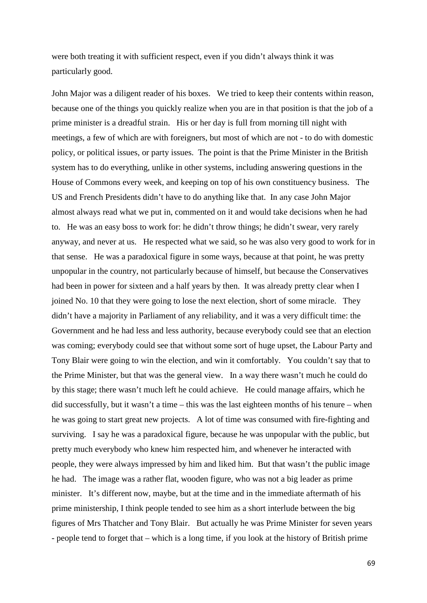were both treating it with sufficient respect, even if you didn't always think it was particularly good.

John Major was a diligent reader of his boxes. We tried to keep their contents within reason, because one of the things you quickly realize when you are in that position is that the job of a prime minister is a dreadful strain. His or her day is full from morning till night with meetings, a few of which are with foreigners, but most of which are not - to do with domestic policy, or political issues, or party issues. The point is that the Prime Minister in the British system has to do everything, unlike in other systems, including answering questions in the House of Commons every week, and keeping on top of his own constituency business. The US and French Presidents didn't have to do anything like that. In any case John Major almost always read what we put in, commented on it and would take decisions when he had to. He was an easy boss to work for: he didn't throw things; he didn't swear, very rarely anyway, and never at us. He respected what we said, so he was also very good to work for in that sense. He was a paradoxical figure in some ways, because at that point, he was pretty unpopular in the country, not particularly because of himself, but because the Conservatives had been in power for sixteen and a half years by then. It was already pretty clear when I joined No. 10 that they were going to lose the next election, short of some miracle. They didn't have a majority in Parliament of any reliability, and it was a very difficult time: the Government and he had less and less authority, because everybody could see that an election was coming; everybody could see that without some sort of huge upset, the Labour Party and Tony Blair were going to win the election, and win it comfortably. You couldn't say that to the Prime Minister, but that was the general view. In a way there wasn't much he could do by this stage; there wasn't much left he could achieve. He could manage affairs, which he did successfully, but it wasn't a time – this was the last eighteen months of his tenure – when he was going to start great new projects. A lot of time was consumed with fire-fighting and surviving. I say he was a paradoxical figure, because he was unpopular with the public, but pretty much everybody who knew him respected him, and whenever he interacted with people, they were always impressed by him and liked him. But that wasn't the public image he had. The image was a rather flat, wooden figure, who was not a big leader as prime minister. It's different now, maybe, but at the time and in the immediate aftermath of his prime ministership, I think people tended to see him as a short interlude between the big figures of Mrs Thatcher and Tony Blair. But actually he was Prime Minister for seven years - people tend to forget that – which is a long time, if you look at the history of British prime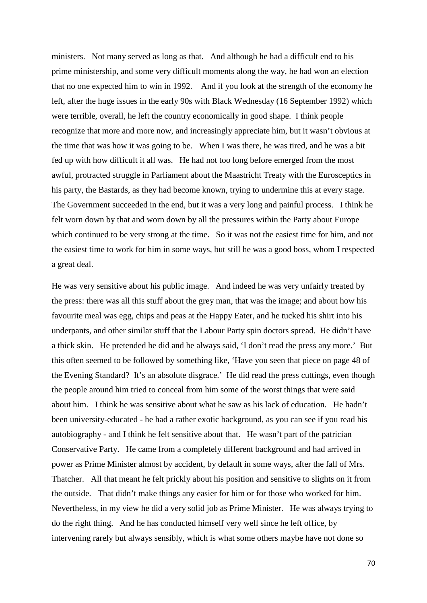ministers. Not many served as long as that. And although he had a difficult end to his prime ministership, and some very difficult moments along the way, he had won an election that no one expected him to win in 1992. And if you look at the strength of the economy he left, after the huge issues in the early 90s with Black Wednesday (16 September 1992) which were terrible, overall, he left the country economically in good shape. I think people recognize that more and more now, and increasingly appreciate him, but it wasn't obvious at the time that was how it was going to be. When I was there, he was tired, and he was a bit fed up with how difficult it all was. He had not too long before emerged from the most awful, protracted struggle in Parliament about the Maastricht Treaty with the Eurosceptics in his party, the Bastards, as they had become known, trying to undermine this at every stage. The Government succeeded in the end, but it was a very long and painful process. I think he felt worn down by that and worn down by all the pressures within the Party about Europe which continued to be very strong at the time. So it was not the easiest time for him, and not the easiest time to work for him in some ways, but still he was a good boss, whom I respected a great deal.

He was very sensitive about his public image. And indeed he was very unfairly treated by the press: there was all this stuff about the grey man, that was the image; and about how his favourite meal was egg, chips and peas at the Happy Eater, and he tucked his shirt into his underpants, and other similar stuff that the Labour Party spin doctors spread. He didn't have a thick skin. He pretended he did and he always said, 'I don't read the press any more.' But this often seemed to be followed by something like, 'Have you seen that piece on page 48 of the Evening Standard? It's an absolute disgrace.' He did read the press cuttings, even though the people around him tried to conceal from him some of the worst things that were said about him. I think he was sensitive about what he saw as his lack of education. He hadn't been university-educated - he had a rather exotic background, as you can see if you read his autobiography - and I think he felt sensitive about that. He wasn't part of the patrician Conservative Party. He came from a completely different background and had arrived in power as Prime Minister almost by accident, by default in some ways, after the fall of Mrs. Thatcher. All that meant he felt prickly about his position and sensitive to slights on it from the outside. That didn't make things any easier for him or for those who worked for him. Nevertheless, in my view he did a very solid job as Prime Minister. He was always trying to do the right thing. And he has conducted himself very well since he left office, by intervening rarely but always sensibly, which is what some others maybe have not done so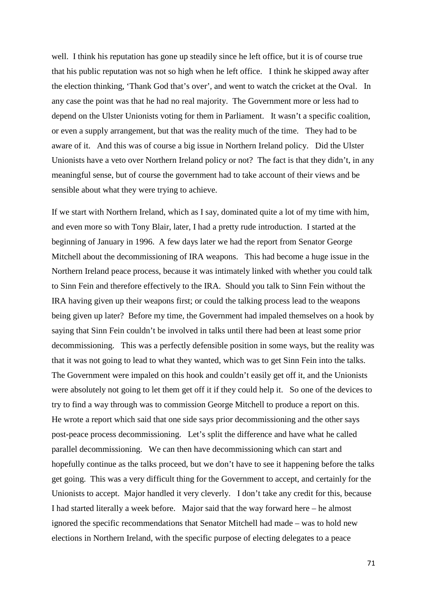well. I think his reputation has gone up steadily since he left office, but it is of course true that his public reputation was not so high when he left office. I think he skipped away after the election thinking, 'Thank God that's over', and went to watch the cricket at the Oval. In any case the point was that he had no real majority. The Government more or less had to depend on the Ulster Unionists voting for them in Parliament. It wasn't a specific coalition, or even a supply arrangement, but that was the reality much of the time. They had to be aware of it. And this was of course a big issue in Northern Ireland policy. Did the Ulster Unionists have a veto over Northern Ireland policy or not? The fact is that they didn't, in any meaningful sense, but of course the government had to take account of their views and be sensible about what they were trying to achieve.

If we start with Northern Ireland, which as I say, dominated quite a lot of my time with him, and even more so with Tony Blair, later, I had a pretty rude introduction. I started at the beginning of January in 1996. A few days later we had the report from Senator George Mitchell about the decommissioning of IRA weapons. This had become a huge issue in the Northern Ireland peace process, because it was intimately linked with whether you could talk to Sinn Fein and therefore effectively to the IRA. Should you talk to Sinn Fein without the IRA having given up their weapons first; or could the talking process lead to the weapons being given up later? Before my time, the Government had impaled themselves on a hook by saying that Sinn Fein couldn't be involved in talks until there had been at least some prior decommissioning. This was a perfectly defensible position in some ways, but the reality was that it was not going to lead to what they wanted, which was to get Sinn Fein into the talks. The Government were impaled on this hook and couldn't easily get off it, and the Unionists were absolutely not going to let them get off it if they could help it. So one of the devices to try to find a way through was to commission George Mitchell to produce a report on this. He wrote a report which said that one side says prior decommissioning and the other says post-peace process decommissioning. Let's split the difference and have what he called parallel decommissioning. We can then have decommissioning which can start and hopefully continue as the talks proceed, but we don't have to see it happening before the talks get going. This was a very difficult thing for the Government to accept, and certainly for the Unionists to accept. Major handled it very cleverly. I don't take any credit for this, because I had started literally a week before. Major said that the way forward here – he almost ignored the specific recommendations that Senator Mitchell had made – was to hold new elections in Northern Ireland, with the specific purpose of electing delegates to a peace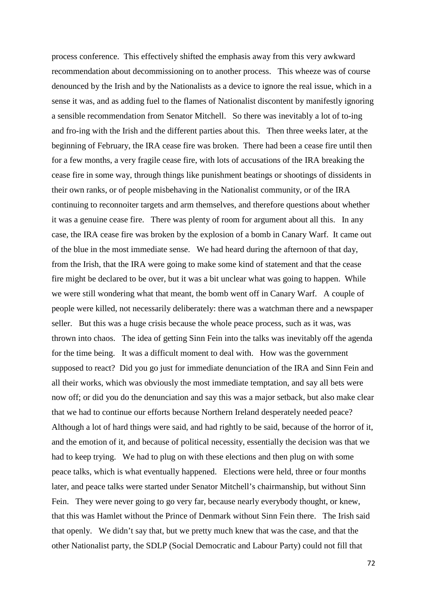process conference. This effectively shifted the emphasis away from this very awkward recommendation about decommissioning on to another process. This wheeze was of course denounced by the Irish and by the Nationalists as a device to ignore the real issue, which in a sense it was, and as adding fuel to the flames of Nationalist discontent by manifestly ignoring a sensible recommendation from Senator Mitchell. So there was inevitably a lot of to-ing and fro-ing with the Irish and the different parties about this. Then three weeks later, at the beginning of February, the IRA cease fire was broken. There had been a cease fire until then for a few months, a very fragile cease fire, with lots of accusations of the IRA breaking the cease fire in some way, through things like punishment beatings or shootings of dissidents in their own ranks, or of people misbehaving in the Nationalist community, or of the IRA continuing to reconnoiter targets and arm themselves, and therefore questions about whether it was a genuine cease fire. There was plenty of room for argument about all this. In any case, the IRA cease fire was broken by the explosion of a bomb in Canary Warf. It came out of the blue in the most immediate sense. We had heard during the afternoon of that day, from the Irish, that the IRA were going to make some kind of statement and that the cease fire might be declared to be over, but it was a bit unclear what was going to happen. While we were still wondering what that meant, the bomb went off in Canary Warf. A couple of people were killed, not necessarily deliberately: there was a watchman there and a newspaper seller. But this was a huge crisis because the whole peace process, such as it was, was thrown into chaos. The idea of getting Sinn Fein into the talks was inevitably off the agenda for the time being. It was a difficult moment to deal with. How was the government supposed to react? Did you go just for immediate denunciation of the IRA and Sinn Fein and all their works, which was obviously the most immediate temptation, and say all bets were now off; or did you do the denunciation and say this was a major setback, but also make clear that we had to continue our efforts because Northern Ireland desperately needed peace? Although a lot of hard things were said, and had rightly to be said, because of the horror of it, and the emotion of it, and because of political necessity, essentially the decision was that we had to keep trying. We had to plug on with these elections and then plug on with some peace talks, which is what eventually happened. Elections were held, three or four months later, and peace talks were started under Senator Mitchell's chairmanship, but without Sinn Fein. They were never going to go very far, because nearly everybody thought, or knew, that this was Hamlet without the Prince of Denmark without Sinn Fein there. The Irish said that openly. We didn't say that, but we pretty much knew that was the case, and that the other Nationalist party, the SDLP (Social Democratic and Labour Party) could not fill that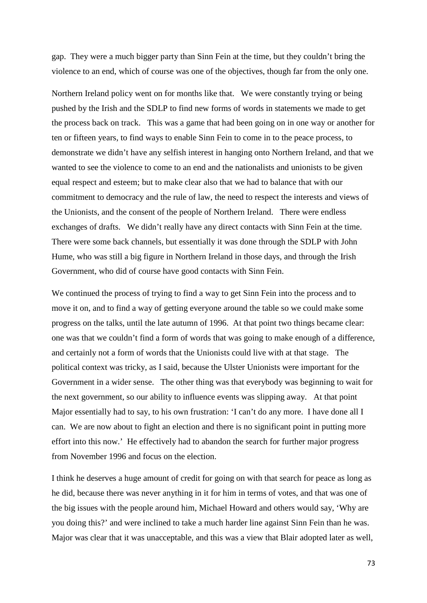gap. They were a much bigger party than Sinn Fein at the time, but they couldn't bring the violence to an end, which of course was one of the objectives, though far from the only one.

Northern Ireland policy went on for months like that. We were constantly trying or being pushed by the Irish and the SDLP to find new forms of words in statements we made to get the process back on track. This was a game that had been going on in one way or another for ten or fifteen years, to find ways to enable Sinn Fein to come in to the peace process, to demonstrate we didn't have any selfish interest in hanging onto Northern Ireland, and that we wanted to see the violence to come to an end and the nationalists and unionists to be given equal respect and esteem; but to make clear also that we had to balance that with our commitment to democracy and the rule of law, the need to respect the interests and views of the Unionists, and the consent of the people of Northern Ireland. There were endless exchanges of drafts. We didn't really have any direct contacts with Sinn Fein at the time. There were some back channels, but essentially it was done through the SDLP with John Hume, who was still a big figure in Northern Ireland in those days, and through the Irish Government, who did of course have good contacts with Sinn Fein.

We continued the process of trying to find a way to get Sinn Fein into the process and to move it on, and to find a way of getting everyone around the table so we could make some progress on the talks, until the late autumn of 1996. At that point two things became clear: one was that we couldn't find a form of words that was going to make enough of a difference, and certainly not a form of words that the Unionists could live with at that stage. The political context was tricky, as I said, because the Ulster Unionists were important for the Government in a wider sense. The other thing was that everybody was beginning to wait for the next government, so our ability to influence events was slipping away. At that point Major essentially had to say, to his own frustration: 'I can't do any more. I have done all I can. We are now about to fight an election and there is no significant point in putting more effort into this now.' He effectively had to abandon the search for further major progress from November 1996 and focus on the election.

I think he deserves a huge amount of credit for going on with that search for peace as long as he did, because there was never anything in it for him in terms of votes, and that was one of the big issues with the people around him, Michael Howard and others would say, 'Why are you doing this?' and were inclined to take a much harder line against Sinn Fein than he was. Major was clear that it was unacceptable, and this was a view that Blair adopted later as well,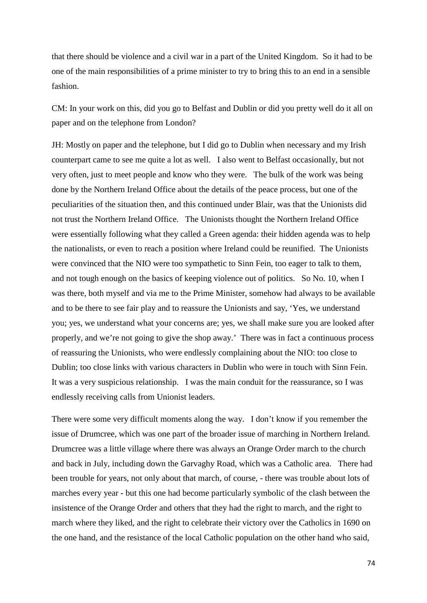that there should be violence and a civil war in a part of the United Kingdom. So it had to be one of the main responsibilities of a prime minister to try to bring this to an end in a sensible fashion.

CM: In your work on this, did you go to Belfast and Dublin or did you pretty well do it all on paper and on the telephone from London?

JH: Mostly on paper and the telephone, but I did go to Dublin when necessary and my Irish counterpart came to see me quite a lot as well. I also went to Belfast occasionally, but not very often, just to meet people and know who they were. The bulk of the work was being done by the Northern Ireland Office about the details of the peace process, but one of the peculiarities of the situation then, and this continued under Blair, was that the Unionists did not trust the Northern Ireland Office. The Unionists thought the Northern Ireland Office were essentially following what they called a Green agenda: their hidden agenda was to help the nationalists, or even to reach a position where Ireland could be reunified. The Unionists were convinced that the NIO were too sympathetic to Sinn Fein, too eager to talk to them, and not tough enough on the basics of keeping violence out of politics. So No. 10, when I was there, both myself and via me to the Prime Minister, somehow had always to be available and to be there to see fair play and to reassure the Unionists and say, 'Yes, we understand you; yes, we understand what your concerns are; yes, we shall make sure you are looked after properly, and we're not going to give the shop away.' There was in fact a continuous process of reassuring the Unionists, who were endlessly complaining about the NIO: too close to Dublin; too close links with various characters in Dublin who were in touch with Sinn Fein. It was a very suspicious relationship. I was the main conduit for the reassurance, so I was endlessly receiving calls from Unionist leaders.

There were some very difficult moments along the way. I don't know if you remember the issue of Drumcree, which was one part of the broader issue of marching in Northern Ireland. Drumcree was a little village where there was always an Orange Order march to the church and back in July, including down the Garvaghy Road, which was a Catholic area. There had been trouble for years, not only about that march, of course, - there was trouble about lots of marches every year - but this one had become particularly symbolic of the clash between the insistence of the Orange Order and others that they had the right to march, and the right to march where they liked, and the right to celebrate their victory over the Catholics in 1690 on the one hand, and the resistance of the local Catholic population on the other hand who said,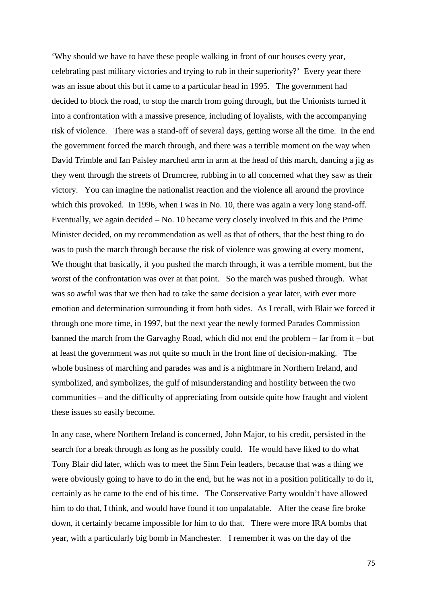'Why should we have to have these people walking in front of our houses every year, celebrating past military victories and trying to rub in their superiority?' Every year there was an issue about this but it came to a particular head in 1995. The government had decided to block the road, to stop the march from going through, but the Unionists turned it into a confrontation with a massive presence, including of loyalists, with the accompanying risk of violence. There was a stand-off of several days, getting worse all the time. In the end the government forced the march through, and there was a terrible moment on the way when David Trimble and Ian Paisley marched arm in arm at the head of this march, dancing a jig as they went through the streets of Drumcree, rubbing in to all concerned what they saw as their victory. You can imagine the nationalist reaction and the violence all around the province which this provoked. In 1996, when I was in No. 10, there was again a very long stand-off. Eventually, we again decided – No. 10 became very closely involved in this and the Prime Minister decided, on my recommendation as well as that of others, that the best thing to do was to push the march through because the risk of violence was growing at every moment, We thought that basically, if you pushed the march through, it was a terrible moment, but the worst of the confrontation was over at that point. So the march was pushed through. What was so awful was that we then had to take the same decision a year later, with ever more emotion and determination surrounding it from both sides. As I recall, with Blair we forced it through one more time, in 1997, but the next year the newly formed Parades Commission banned the march from the Garvaghy Road, which did not end the problem – far from it – but at least the government was not quite so much in the front line of decision-making. The whole business of marching and parades was and is a nightmare in Northern Ireland, and symbolized, and symbolizes, the gulf of misunderstanding and hostility between the two communities – and the difficulty of appreciating from outside quite how fraught and violent these issues so easily become.

In any case, where Northern Ireland is concerned, John Major, to his credit, persisted in the search for a break through as long as he possibly could. He would have liked to do what Tony Blair did later, which was to meet the Sinn Fein leaders, because that was a thing we were obviously going to have to do in the end, but he was not in a position politically to do it, certainly as he came to the end of his time. The Conservative Party wouldn't have allowed him to do that, I think, and would have found it too unpalatable. After the cease fire broke down, it certainly became impossible for him to do that. There were more IRA bombs that year, with a particularly big bomb in Manchester. I remember it was on the day of the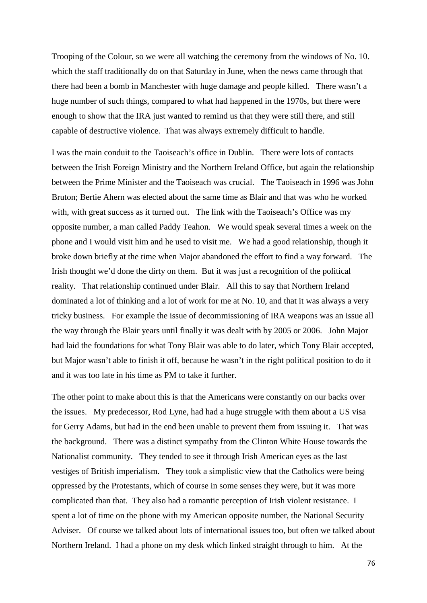Trooping of the Colour, so we were all watching the ceremony from the windows of No. 10. which the staff traditionally do on that Saturday in June, when the news came through that there had been a bomb in Manchester with huge damage and people killed. There wasn't a huge number of such things, compared to what had happened in the 1970s, but there were enough to show that the IRA just wanted to remind us that they were still there, and still capable of destructive violence. That was always extremely difficult to handle.

I was the main conduit to the Taoiseach's office in Dublin. There were lots of contacts between the Irish Foreign Ministry and the Northern Ireland Office, but again the relationship between the Prime Minister and the Taoiseach was crucial. The Taoiseach in 1996 was John Bruton; Bertie Ahern was elected about the same time as Blair and that was who he worked with, with great success as it turned out. The link with the Taoiseach's Office was my opposite number, a man called Paddy Teahon. We would speak several times a week on the phone and I would visit him and he used to visit me. We had a good relationship, though it broke down briefly at the time when Major abandoned the effort to find a way forward. The Irish thought we'd done the dirty on them. But it was just a recognition of the political reality. That relationship continued under Blair. All this to say that Northern Ireland dominated a lot of thinking and a lot of work for me at No. 10, and that it was always a very tricky business. For example the issue of decommissioning of IRA weapons was an issue all the way through the Blair years until finally it was dealt with by 2005 or 2006. John Major had laid the foundations for what Tony Blair was able to do later, which Tony Blair accepted, but Major wasn't able to finish it off, because he wasn't in the right political position to do it and it was too late in his time as PM to take it further.

The other point to make about this is that the Americans were constantly on our backs over the issues. My predecessor, Rod Lyne, had had a huge struggle with them about a US visa for Gerry Adams, but had in the end been unable to prevent them from issuing it. That was the background. There was a distinct sympathy from the Clinton White House towards the Nationalist community. They tended to see it through Irish American eyes as the last vestiges of British imperialism. They took a simplistic view that the Catholics were being oppressed by the Protestants, which of course in some senses they were, but it was more complicated than that. They also had a romantic perception of Irish violent resistance. I spent a lot of time on the phone with my American opposite number, the National Security Adviser. Of course we talked about lots of international issues too, but often we talked about Northern Ireland. I had a phone on my desk which linked straight through to him. At the

76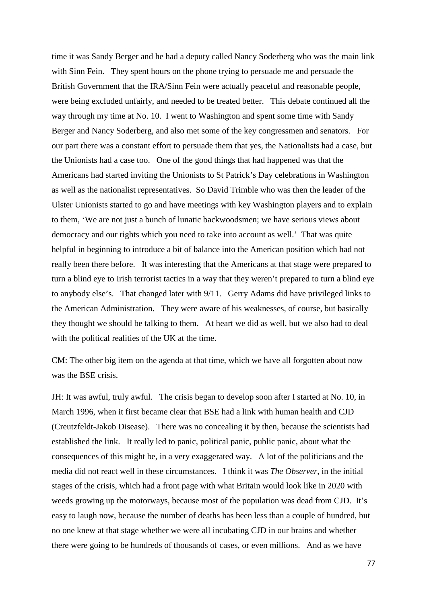time it was Sandy Berger and he had a deputy called Nancy Soderberg who was the main link with Sinn Fein. They spent hours on the phone trying to persuade me and persuade the British Government that the IRA/Sinn Fein were actually peaceful and reasonable people, were being excluded unfairly, and needed to be treated better. This debate continued all the way through my time at No. 10. I went to Washington and spent some time with Sandy Berger and Nancy Soderberg, and also met some of the key congressmen and senators. For our part there was a constant effort to persuade them that yes, the Nationalists had a case, but the Unionists had a case too. One of the good things that had happened was that the Americans had started inviting the Unionists to St Patrick's Day celebrations in Washington as well as the nationalist representatives. So David Trimble who was then the leader of the Ulster Unionists started to go and have meetings with key Washington players and to explain to them, 'We are not just a bunch of lunatic backwoodsmen; we have serious views about democracy and our rights which you need to take into account as well.' That was quite helpful in beginning to introduce a bit of balance into the American position which had not really been there before. It was interesting that the Americans at that stage were prepared to turn a blind eye to Irish terrorist tactics in a way that they weren't prepared to turn a blind eye to anybody else's. That changed later with 9/11. Gerry Adams did have privileged links to the American Administration. They were aware of his weaknesses, of course, but basically they thought we should be talking to them. At heart we did as well, but we also had to deal with the political realities of the UK at the time.

CM: The other big item on the agenda at that time, which we have all forgotten about now was the BSE crisis.

JH: It was awful, truly awful. The crisis began to develop soon after I started at No. 10, in March 1996, when it first became clear that BSE had a link with human health and CJD (Creutzfeldt-Jakob Disease). There was no concealing it by then, because the scientists had established the link. It really led to panic, political panic, public panic, about what the consequences of this might be, in a very exaggerated way. A lot of the politicians and the media did not react well in these circumstances. I think it was *The Observer*, in the initial stages of the crisis, which had a front page with what Britain would look like in 2020 with weeds growing up the motorways, because most of the population was dead from CJD. It's easy to laugh now, because the number of deaths has been less than a couple of hundred, but no one knew at that stage whether we were all incubating CJD in our brains and whether there were going to be hundreds of thousands of cases, or even millions. And as we have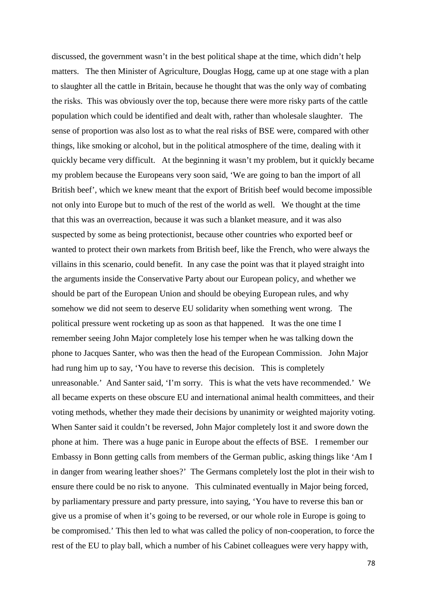discussed, the government wasn't in the best political shape at the time, which didn't help matters. The then Minister of Agriculture, Douglas Hogg, came up at one stage with a plan to slaughter all the cattle in Britain, because he thought that was the only way of combating the risks. This was obviously over the top, because there were more risky parts of the cattle population which could be identified and dealt with, rather than wholesale slaughter. The sense of proportion was also lost as to what the real risks of BSE were, compared with other things, like smoking or alcohol, but in the political atmosphere of the time, dealing with it quickly became very difficult. At the beginning it wasn't my problem, but it quickly became my problem because the Europeans very soon said, 'We are going to ban the import of all British beef', which we knew meant that the export of British beef would become impossible not only into Europe but to much of the rest of the world as well. We thought at the time that this was an overreaction, because it was such a blanket measure, and it was also suspected by some as being protectionist, because other countries who exported beef or wanted to protect their own markets from British beef, like the French, who were always the villains in this scenario, could benefit. In any case the point was that it played straight into the arguments inside the Conservative Party about our European policy, and whether we should be part of the European Union and should be obeying European rules, and why somehow we did not seem to deserve EU solidarity when something went wrong. The political pressure went rocketing up as soon as that happened. It was the one time I remember seeing John Major completely lose his temper when he was talking down the phone to Jacques Santer, who was then the head of the European Commission. John Major had rung him up to say, 'You have to reverse this decision. This is completely unreasonable.' And Santer said, 'I'm sorry. This is what the vets have recommended.' We all became experts on these obscure EU and international animal health committees, and their voting methods, whether they made their decisions by unanimity or weighted majority voting. When Santer said it couldn't be reversed, John Major completely lost it and swore down the phone at him. There was a huge panic in Europe about the effects of BSE. I remember our Embassy in Bonn getting calls from members of the German public, asking things like 'Am I in danger from wearing leather shoes?' The Germans completely lost the plot in their wish to ensure there could be no risk to anyone. This culminated eventually in Major being forced, by parliamentary pressure and party pressure, into saying, 'You have to reverse this ban or give us a promise of when it's going to be reversed, or our whole role in Europe is going to be compromised.' This then led to what was called the policy of non-cooperation, to force the rest of the EU to play ball, which a number of his Cabinet colleagues were very happy with,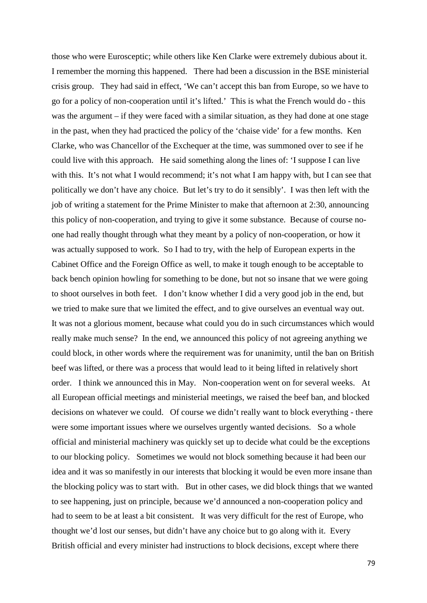those who were Eurosceptic; while others like Ken Clarke were extremely dubious about it. I remember the morning this happened. There had been a discussion in the BSE ministerial crisis group. They had said in effect, 'We can't accept this ban from Europe, so we have to go for a policy of non-cooperation until it's lifted.' This is what the French would do - this was the argument – if they were faced with a similar situation, as they had done at one stage in the past, when they had practiced the policy of the 'chaise vide' for a few months. Ken Clarke, who was Chancellor of the Exchequer at the time, was summoned over to see if he could live with this approach. He said something along the lines of: 'I suppose I can live with this. It's not what I would recommend; it's not what I am happy with, but I can see that politically we don't have any choice. But let's try to do it sensibly'. I was then left with the job of writing a statement for the Prime Minister to make that afternoon at 2:30, announcing this policy of non-cooperation, and trying to give it some substance. Because of course noone had really thought through what they meant by a policy of non-cooperation, or how it was actually supposed to work. So I had to try, with the help of European experts in the Cabinet Office and the Foreign Office as well, to make it tough enough to be acceptable to back bench opinion howling for something to be done, but not so insane that we were going to shoot ourselves in both feet. I don't know whether I did a very good job in the end, but we tried to make sure that we limited the effect, and to give ourselves an eventual way out. It was not a glorious moment, because what could you do in such circumstances which would really make much sense? In the end, we announced this policy of not agreeing anything we could block, in other words where the requirement was for unanimity, until the ban on British beef was lifted, or there was a process that would lead to it being lifted in relatively short order. I think we announced this in May. Non-cooperation went on for several weeks. At all European official meetings and ministerial meetings, we raised the beef ban, and blocked decisions on whatever we could. Of course we didn't really want to block everything - there were some important issues where we ourselves urgently wanted decisions. So a whole official and ministerial machinery was quickly set up to decide what could be the exceptions to our blocking policy. Sometimes we would not block something because it had been our idea and it was so manifestly in our interests that blocking it would be even more insane than the blocking policy was to start with. But in other cases, we did block things that we wanted to see happening, just on principle, because we'd announced a non-cooperation policy and had to seem to be at least a bit consistent. It was very difficult for the rest of Europe, who thought we'd lost our senses, but didn't have any choice but to go along with it. Every British official and every minister had instructions to block decisions, except where there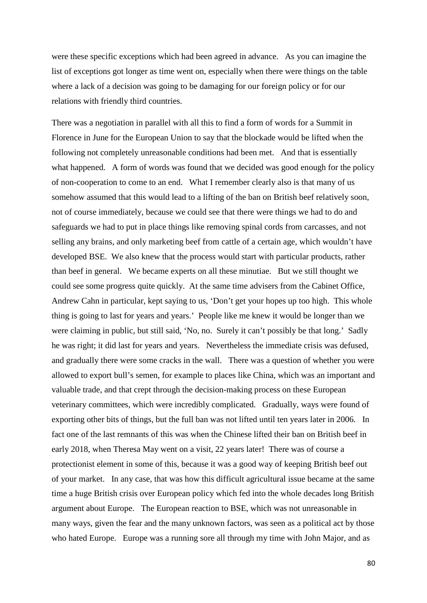were these specific exceptions which had been agreed in advance. As you can imagine the list of exceptions got longer as time went on, especially when there were things on the table where a lack of a decision was going to be damaging for our foreign policy or for our relations with friendly third countries.

There was a negotiation in parallel with all this to find a form of words for a Summit in Florence in June for the European Union to say that the blockade would be lifted when the following not completely unreasonable conditions had been met. And that is essentially what happened. A form of words was found that we decided was good enough for the policy of non-cooperation to come to an end. What I remember clearly also is that many of us somehow assumed that this would lead to a lifting of the ban on British beef relatively soon, not of course immediately, because we could see that there were things we had to do and safeguards we had to put in place things like removing spinal cords from carcasses, and not selling any brains, and only marketing beef from cattle of a certain age, which wouldn't have developed BSE. We also knew that the process would start with particular products, rather than beef in general. We became experts on all these minutiae. But we still thought we could see some progress quite quickly. At the same time advisers from the Cabinet Office, Andrew Cahn in particular, kept saying to us, 'Don't get your hopes up too high. This whole thing is going to last for years and years.' People like me knew it would be longer than we were claiming in public, but still said, 'No, no. Surely it can't possibly be that long.' Sadly he was right; it did last for years and years. Nevertheless the immediate crisis was defused, and gradually there were some cracks in the wall. There was a question of whether you were allowed to export bull's semen, for example to places like China, which was an important and valuable trade, and that crept through the decision-making process on these European veterinary committees, which were incredibly complicated. Gradually, ways were found of exporting other bits of things, but the full ban was not lifted until ten years later in 2006. In fact one of the last remnants of this was when the Chinese lifted their ban on British beef in early 2018, when Theresa May went on a visit, 22 years later! There was of course a protectionist element in some of this, because it was a good way of keeping British beef out of your market. In any case, that was how this difficult agricultural issue became at the same time a huge British crisis over European policy which fed into the whole decades long British argument about Europe. The European reaction to BSE, which was not unreasonable in many ways, given the fear and the many unknown factors, was seen as a political act by those who hated Europe. Europe was a running sore all through my time with John Major, and as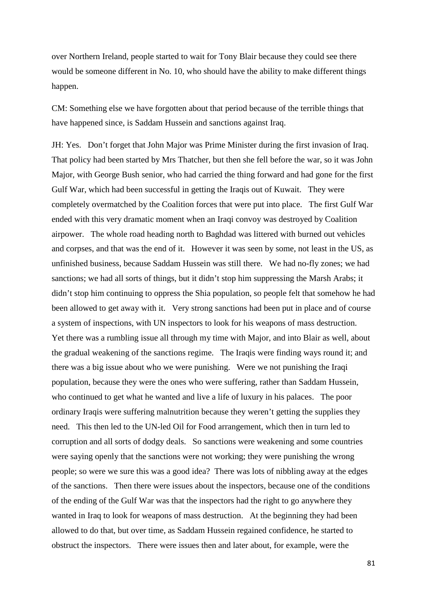over Northern Ireland, people started to wait for Tony Blair because they could see there would be someone different in No. 10, who should have the ability to make different things happen.

CM: Something else we have forgotten about that period because of the terrible things that have happened since, is Saddam Hussein and sanctions against Iraq.

JH: Yes. Don't forget that John Major was Prime Minister during the first invasion of Iraq. That policy had been started by Mrs Thatcher, but then she fell before the war, so it was John Major, with George Bush senior, who had carried the thing forward and had gone for the first Gulf War, which had been successful in getting the Iraqis out of Kuwait. They were completely overmatched by the Coalition forces that were put into place. The first Gulf War ended with this very dramatic moment when an Iraqi convoy was destroyed by Coalition airpower. The whole road heading north to Baghdad was littered with burned out vehicles and corpses, and that was the end of it. However it was seen by some, not least in the US, as unfinished business, because Saddam Hussein was still there. We had no-fly zones; we had sanctions; we had all sorts of things, but it didn't stop him suppressing the Marsh Arabs; it didn't stop him continuing to oppress the Shia population, so people felt that somehow he had been allowed to get away with it. Very strong sanctions had been put in place and of course a system of inspections, with UN inspectors to look for his weapons of mass destruction. Yet there was a rumbling issue all through my time with Major, and into Blair as well, about the gradual weakening of the sanctions regime. The Iraqis were finding ways round it; and there was a big issue about who we were punishing. Were we not punishing the Iraqi population, because they were the ones who were suffering, rather than Saddam Hussein, who continued to get what he wanted and live a life of luxury in his palaces. The poor ordinary Iraqis were suffering malnutrition because they weren't getting the supplies they need. This then led to the UN-led Oil for Food arrangement, which then in turn led to corruption and all sorts of dodgy deals. So sanctions were weakening and some countries were saying openly that the sanctions were not working; they were punishing the wrong people; so were we sure this was a good idea? There was lots of nibbling away at the edges of the sanctions. Then there were issues about the inspectors, because one of the conditions of the ending of the Gulf War was that the inspectors had the right to go anywhere they wanted in Iraq to look for weapons of mass destruction. At the beginning they had been allowed to do that, but over time, as Saddam Hussein regained confidence, he started to obstruct the inspectors. There were issues then and later about, for example, were the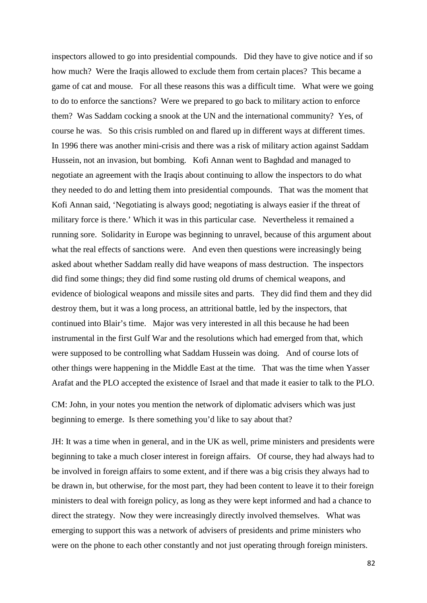inspectors allowed to go into presidential compounds. Did they have to give notice and if so how much? Were the Iraqis allowed to exclude them from certain places? This became a game of cat and mouse. For all these reasons this was a difficult time. What were we going to do to enforce the sanctions? Were we prepared to go back to military action to enforce them? Was Saddam cocking a snook at the UN and the international community? Yes, of course he was. So this crisis rumbled on and flared up in different ways at different times. In 1996 there was another mini-crisis and there was a risk of military action against Saddam Hussein, not an invasion, but bombing. Kofi Annan went to Baghdad and managed to negotiate an agreement with the Iraqis about continuing to allow the inspectors to do what they needed to do and letting them into presidential compounds. That was the moment that Kofi Annan said, 'Negotiating is always good; negotiating is always easier if the threat of military force is there.' Which it was in this particular case. Nevertheless it remained a running sore. Solidarity in Europe was beginning to unravel, because of this argument about what the real effects of sanctions were. And even then questions were increasingly being asked about whether Saddam really did have weapons of mass destruction. The inspectors did find some things; they did find some rusting old drums of chemical weapons, and evidence of biological weapons and missile sites and parts. They did find them and they did destroy them, but it was a long process, an attritional battle, led by the inspectors, that continued into Blair's time. Major was very interested in all this because he had been instrumental in the first Gulf War and the resolutions which had emerged from that, which were supposed to be controlling what Saddam Hussein was doing. And of course lots of other things were happening in the Middle East at the time. That was the time when Yasser Arafat and the PLO accepted the existence of Israel and that made it easier to talk to the PLO.

CM: John, in your notes you mention the network of diplomatic advisers which was just beginning to emerge. Is there something you'd like to say about that?

JH: It was a time when in general, and in the UK as well, prime ministers and presidents were beginning to take a much closer interest in foreign affairs. Of course, they had always had to be involved in foreign affairs to some extent, and if there was a big crisis they always had to be drawn in, but otherwise, for the most part, they had been content to leave it to their foreign ministers to deal with foreign policy, as long as they were kept informed and had a chance to direct the strategy. Now they were increasingly directly involved themselves. What was emerging to support this was a network of advisers of presidents and prime ministers who were on the phone to each other constantly and not just operating through foreign ministers.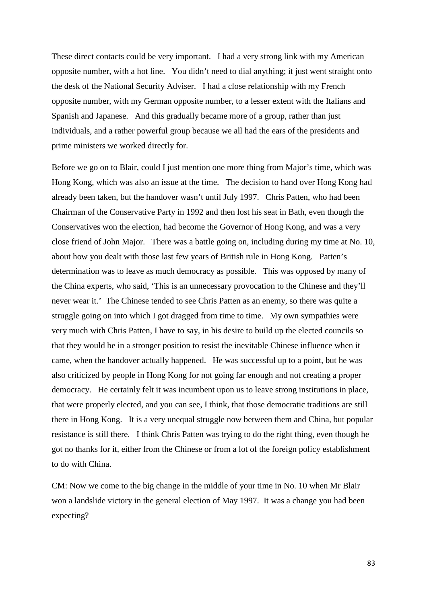These direct contacts could be very important. I had a very strong link with my American opposite number, with a hot line. You didn't need to dial anything; it just went straight onto the desk of the National Security Adviser. I had a close relationship with my French opposite number, with my German opposite number, to a lesser extent with the Italians and Spanish and Japanese. And this gradually became more of a group, rather than just individuals, and a rather powerful group because we all had the ears of the presidents and prime ministers we worked directly for.

Before we go on to Blair, could I just mention one more thing from Major's time, which was Hong Kong, which was also an issue at the time. The decision to hand over Hong Kong had already been taken, but the handover wasn't until July 1997. Chris Patten, who had been Chairman of the Conservative Party in 1992 and then lost his seat in Bath, even though the Conservatives won the election, had become the Governor of Hong Kong, and was a very close friend of John Major. There was a battle going on, including during my time at No. 10, about how you dealt with those last few years of British rule in Hong Kong. Patten's determination was to leave as much democracy as possible. This was opposed by many of the China experts, who said, 'This is an unnecessary provocation to the Chinese and they'll never wear it.' The Chinese tended to see Chris Patten as an enemy, so there was quite a struggle going on into which I got dragged from time to time. My own sympathies were very much with Chris Patten, I have to say, in his desire to build up the elected councils so that they would be in a stronger position to resist the inevitable Chinese influence when it came, when the handover actually happened. He was successful up to a point, but he was also criticized by people in Hong Kong for not going far enough and not creating a proper democracy. He certainly felt it was incumbent upon us to leave strong institutions in place, that were properly elected, and you can see, I think, that those democratic traditions are still there in Hong Kong. It is a very unequal struggle now between them and China, but popular resistance is still there. I think Chris Patten was trying to do the right thing, even though he got no thanks for it, either from the Chinese or from a lot of the foreign policy establishment to do with China.

CM: Now we come to the big change in the middle of your time in No. 10 when Mr Blair won a landslide victory in the general election of May 1997. It was a change you had been expecting?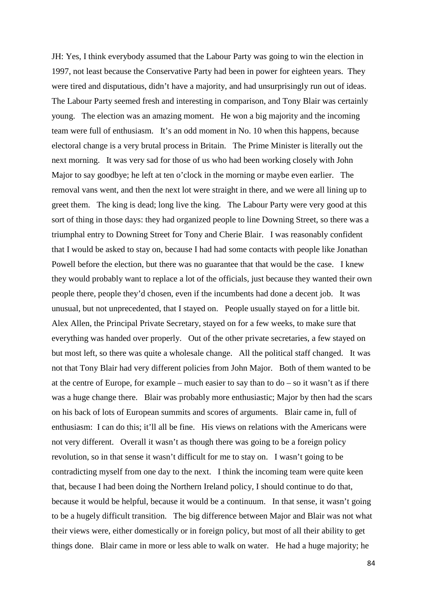JH: Yes, I think everybody assumed that the Labour Party was going to win the election in 1997, not least because the Conservative Party had been in power for eighteen years. They were tired and disputatious, didn't have a majority, and had unsurprisingly run out of ideas. The Labour Party seemed fresh and interesting in comparison, and Tony Blair was certainly young. The election was an amazing moment. He won a big majority and the incoming team were full of enthusiasm. It's an odd moment in No. 10 when this happens, because electoral change is a very brutal process in Britain. The Prime Minister is literally out the next morning. It was very sad for those of us who had been working closely with John Major to say goodbye; he left at ten o'clock in the morning or maybe even earlier. The removal vans went, and then the next lot were straight in there, and we were all lining up to greet them. The king is dead; long live the king. The Labour Party were very good at this sort of thing in those days: they had organized people to line Downing Street, so there was a triumphal entry to Downing Street for Tony and Cherie Blair. I was reasonably confident that I would be asked to stay on, because I had had some contacts with people like Jonathan Powell before the election, but there was no guarantee that that would be the case. I knew they would probably want to replace a lot of the officials, just because they wanted their own people there, people they'd chosen, even if the incumbents had done a decent job. It was unusual, but not unprecedented, that I stayed on. People usually stayed on for a little bit. Alex Allen, the Principal Private Secretary, stayed on for a few weeks, to make sure that everything was handed over properly. Out of the other private secretaries, a few stayed on but most left, so there was quite a wholesale change. All the political staff changed. It was not that Tony Blair had very different policies from John Major. Both of them wanted to be at the centre of Europe, for example – much easier to say than to  $d_0$  – so it wasn't as if there was a huge change there. Blair was probably more enthusiastic; Major by then had the scars on his back of lots of European summits and scores of arguments. Blair came in, full of enthusiasm: I can do this; it'll all be fine. His views on relations with the Americans were not very different. Overall it wasn't as though there was going to be a foreign policy revolution, so in that sense it wasn't difficult for me to stay on. I wasn't going to be contradicting myself from one day to the next. I think the incoming team were quite keen that, because I had been doing the Northern Ireland policy, I should continue to do that, because it would be helpful, because it would be a continuum. In that sense, it wasn't going to be a hugely difficult transition. The big difference between Major and Blair was not what their views were, either domestically or in foreign policy, but most of all their ability to get things done. Blair came in more or less able to walk on water. He had a huge majority; he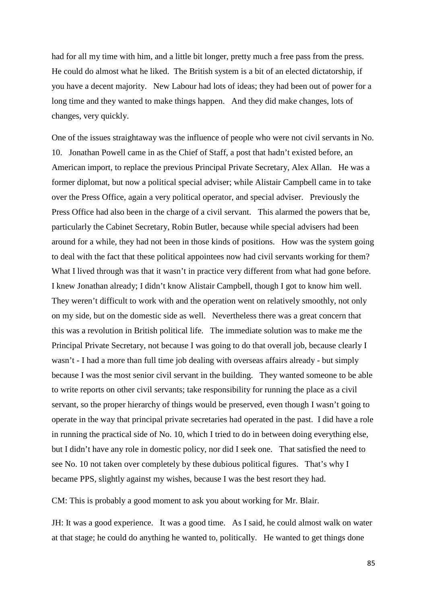had for all my time with him, and a little bit longer, pretty much a free pass from the press. He could do almost what he liked. The British system is a bit of an elected dictatorship, if you have a decent majority. New Labour had lots of ideas; they had been out of power for a long time and they wanted to make things happen. And they did make changes, lots of changes, very quickly.

One of the issues straightaway was the influence of people who were not civil servants in No. 10. Jonathan Powell came in as the Chief of Staff, a post that hadn't existed before, an American import, to replace the previous Principal Private Secretary, Alex Allan. He was a former diplomat, but now a political special adviser; while Alistair Campbell came in to take over the Press Office, again a very political operator, and special adviser. Previously the Press Office had also been in the charge of a civil servant. This alarmed the powers that be, particularly the Cabinet Secretary, Robin Butler, because while special advisers had been around for a while, they had not been in those kinds of positions. How was the system going to deal with the fact that these political appointees now had civil servants working for them? What I lived through was that it wasn't in practice very different from what had gone before. I knew Jonathan already; I didn't know Alistair Campbell, though I got to know him well. They weren't difficult to work with and the operation went on relatively smoothly, not only on my side, but on the domestic side as well. Nevertheless there was a great concern that this was a revolution in British political life. The immediate solution was to make me the Principal Private Secretary, not because I was going to do that overall job, because clearly I wasn't - I had a more than full time job dealing with overseas affairs already - but simply because I was the most senior civil servant in the building. They wanted someone to be able to write reports on other civil servants; take responsibility for running the place as a civil servant, so the proper hierarchy of things would be preserved, even though I wasn't going to operate in the way that principal private secretaries had operated in the past. I did have a role in running the practical side of No. 10, which I tried to do in between doing everything else, but I didn't have any role in domestic policy, nor did I seek one. That satisfied the need to see No. 10 not taken over completely by these dubious political figures. That's why I became PPS, slightly against my wishes, because I was the best resort they had.

CM: This is probably a good moment to ask you about working for Mr. Blair.

JH: It was a good experience. It was a good time. As I said, he could almost walk on water at that stage; he could do anything he wanted to, politically. He wanted to get things done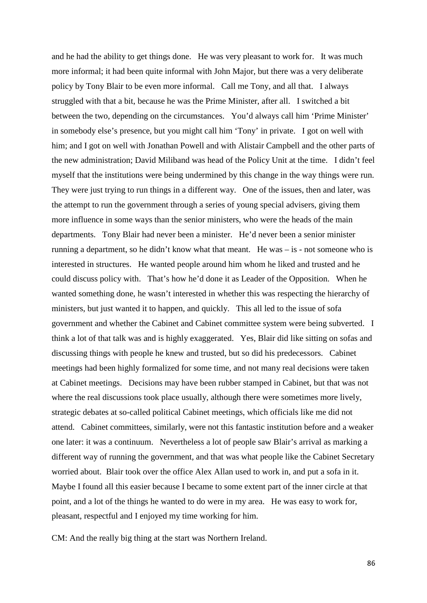and he had the ability to get things done. He was very pleasant to work for. It was much more informal; it had been quite informal with John Major, but there was a very deliberate policy by Tony Blair to be even more informal. Call me Tony, and all that. I always struggled with that a bit, because he was the Prime Minister, after all. I switched a bit between the two, depending on the circumstances. You'd always call him 'Prime Minister' in somebody else's presence, but you might call him 'Tony' in private. I got on well with him; and I got on well with Jonathan Powell and with Alistair Campbell and the other parts of the new administration; David Miliband was head of the Policy Unit at the time. I didn't feel myself that the institutions were being undermined by this change in the way things were run. They were just trying to run things in a different way. One of the issues, then and later, was the attempt to run the government through a series of young special advisers, giving them more influence in some ways than the senior ministers, who were the heads of the main departments. Tony Blair had never been a minister. He'd never been a senior minister running a department, so he didn't know what that meant. He was – is - not someone who is interested in structures. He wanted people around him whom he liked and trusted and he could discuss policy with. That's how he'd done it as Leader of the Opposition. When he wanted something done, he wasn't interested in whether this was respecting the hierarchy of ministers, but just wanted it to happen, and quickly. This all led to the issue of sofa government and whether the Cabinet and Cabinet committee system were being subverted. I think a lot of that talk was and is highly exaggerated. Yes, Blair did like sitting on sofas and discussing things with people he knew and trusted, but so did his predecessors. Cabinet meetings had been highly formalized for some time, and not many real decisions were taken at Cabinet meetings. Decisions may have been rubber stamped in Cabinet, but that was not where the real discussions took place usually, although there were sometimes more lively, strategic debates at so-called political Cabinet meetings, which officials like me did not attend. Cabinet committees, similarly, were not this fantastic institution before and a weaker one later: it was a continuum. Nevertheless a lot of people saw Blair's arrival as marking a different way of running the government, and that was what people like the Cabinet Secretary worried about. Blair took over the office Alex Allan used to work in, and put a sofa in it. Maybe I found all this easier because I became to some extent part of the inner circle at that point, and a lot of the things he wanted to do were in my area. He was easy to work for, pleasant, respectful and I enjoyed my time working for him.

CM: And the really big thing at the start was Northern Ireland.

86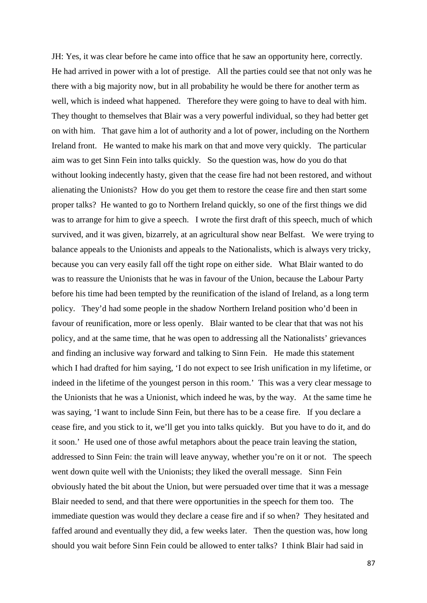JH: Yes, it was clear before he came into office that he saw an opportunity here, correctly. He had arrived in power with a lot of prestige. All the parties could see that not only was he there with a big majority now, but in all probability he would be there for another term as well, which is indeed what happened. Therefore they were going to have to deal with him. They thought to themselves that Blair was a very powerful individual, so they had better get on with him. That gave him a lot of authority and a lot of power, including on the Northern Ireland front. He wanted to make his mark on that and move very quickly. The particular aim was to get Sinn Fein into talks quickly. So the question was, how do you do that without looking indecently hasty, given that the cease fire had not been restored, and without alienating the Unionists? How do you get them to restore the cease fire and then start some proper talks? He wanted to go to Northern Ireland quickly, so one of the first things we did was to arrange for him to give a speech. I wrote the first draft of this speech, much of which survived, and it was given, bizarrely, at an agricultural show near Belfast. We were trying to balance appeals to the Unionists and appeals to the Nationalists, which is always very tricky, because you can very easily fall off the tight rope on either side. What Blair wanted to do was to reassure the Unionists that he was in favour of the Union, because the Labour Party before his time had been tempted by the reunification of the island of Ireland, as a long term policy. They'd had some people in the shadow Northern Ireland position who'd been in favour of reunification, more or less openly. Blair wanted to be clear that that was not his policy, and at the same time, that he was open to addressing all the Nationalists' grievances and finding an inclusive way forward and talking to Sinn Fein. He made this statement which I had drafted for him saying, 'I do not expect to see Irish unification in my lifetime, or indeed in the lifetime of the youngest person in this room.' This was a very clear message to the Unionists that he was a Unionist, which indeed he was, by the way. At the same time he was saying, 'I want to include Sinn Fein, but there has to be a cease fire. If you declare a cease fire, and you stick to it, we'll get you into talks quickly. But you have to do it, and do it soon.' He used one of those awful metaphors about the peace train leaving the station, addressed to Sinn Fein: the train will leave anyway, whether you're on it or not. The speech went down quite well with the Unionists; they liked the overall message. Sinn Fein obviously hated the bit about the Union, but were persuaded over time that it was a message Blair needed to send, and that there were opportunities in the speech for them too. The immediate question was would they declare a cease fire and if so when? They hesitated and faffed around and eventually they did, a few weeks later. Then the question was, how long should you wait before Sinn Fein could be allowed to enter talks? I think Blair had said in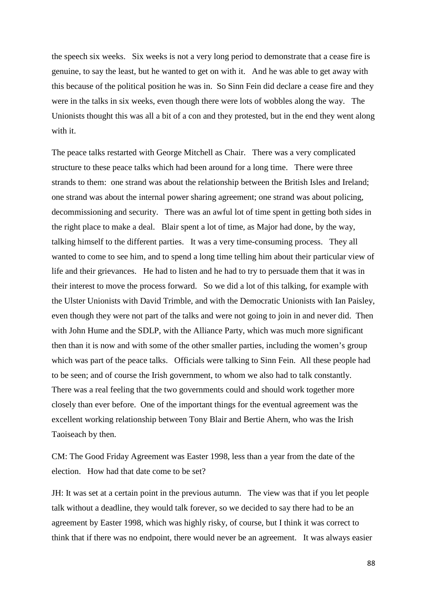the speech six weeks. Six weeks is not a very long period to demonstrate that a cease fire is genuine, to say the least, but he wanted to get on with it. And he was able to get away with this because of the political position he was in. So Sinn Fein did declare a cease fire and they were in the talks in six weeks, even though there were lots of wobbles along the way. The Unionists thought this was all a bit of a con and they protested, but in the end they went along with it.

The peace talks restarted with George Mitchell as Chair. There was a very complicated structure to these peace talks which had been around for a long time. There were three strands to them: one strand was about the relationship between the British Isles and Ireland; one strand was about the internal power sharing agreement; one strand was about policing, decommissioning and security. There was an awful lot of time spent in getting both sides in the right place to make a deal. Blair spent a lot of time, as Major had done, by the way, talking himself to the different parties. It was a very time-consuming process. They all wanted to come to see him, and to spend a long time telling him about their particular view of life and their grievances. He had to listen and he had to try to persuade them that it was in their interest to move the process forward. So we did a lot of this talking, for example with the Ulster Unionists with David Trimble, and with the Democratic Unionists with Ian Paisley, even though they were not part of the talks and were not going to join in and never did. Then with John Hume and the SDLP, with the Alliance Party, which was much more significant then than it is now and with some of the other smaller parties, including the women's group which was part of the peace talks. Officials were talking to Sinn Fein. All these people had to be seen; and of course the Irish government, to whom we also had to talk constantly. There was a real feeling that the two governments could and should work together more closely than ever before. One of the important things for the eventual agreement was the excellent working relationship between Tony Blair and Bertie Ahern, who was the Irish Taoiseach by then.

CM: The Good Friday Agreement was Easter 1998, less than a year from the date of the election. How had that date come to be set?

JH: It was set at a certain point in the previous autumn. The view was that if you let people talk without a deadline, they would talk forever, so we decided to say there had to be an agreement by Easter 1998, which was highly risky, of course, but I think it was correct to think that if there was no endpoint, there would never be an agreement. It was always easier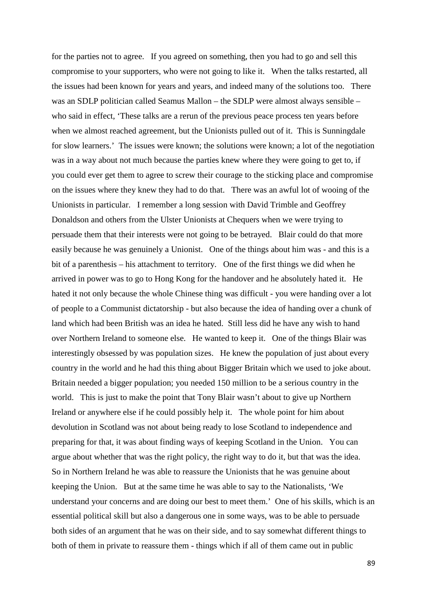for the parties not to agree. If you agreed on something, then you had to go and sell this compromise to your supporters, who were not going to like it. When the talks restarted, all the issues had been known for years and years, and indeed many of the solutions too. There was an SDLP politician called Seamus Mallon – the SDLP were almost always sensible – who said in effect, 'These talks are a rerun of the previous peace process ten years before when we almost reached agreement, but the Unionists pulled out of it. This is Sunningdale for slow learners.' The issues were known; the solutions were known; a lot of the negotiation was in a way about not much because the parties knew where they were going to get to, if you could ever get them to agree to screw their courage to the sticking place and compromise on the issues where they knew they had to do that. There was an awful lot of wooing of the Unionists in particular. I remember a long session with David Trimble and Geoffrey Donaldson and others from the Ulster Unionists at Chequers when we were trying to persuade them that their interests were not going to be betrayed. Blair could do that more easily because he was genuinely a Unionist. One of the things about him was - and this is a bit of a parenthesis – his attachment to territory. One of the first things we did when he arrived in power was to go to Hong Kong for the handover and he absolutely hated it. He hated it not only because the whole Chinese thing was difficult - you were handing over a lot of people to a Communist dictatorship - but also because the idea of handing over a chunk of land which had been British was an idea he hated. Still less did he have any wish to hand over Northern Ireland to someone else. He wanted to keep it. One of the things Blair was interestingly obsessed by was population sizes. He knew the population of just about every country in the world and he had this thing about Bigger Britain which we used to joke about. Britain needed a bigger population; you needed 150 million to be a serious country in the world. This is just to make the point that Tony Blair wasn't about to give up Northern Ireland or anywhere else if he could possibly help it. The whole point for him about devolution in Scotland was not about being ready to lose Scotland to independence and preparing for that, it was about finding ways of keeping Scotland in the Union. You can argue about whether that was the right policy, the right way to do it, but that was the idea. So in Northern Ireland he was able to reassure the Unionists that he was genuine about keeping the Union. But at the same time he was able to say to the Nationalists, 'We understand your concerns and are doing our best to meet them.' One of his skills, which is an essential political skill but also a dangerous one in some ways, was to be able to persuade both sides of an argument that he was on their side, and to say somewhat different things to both of them in private to reassure them - things which if all of them came out in public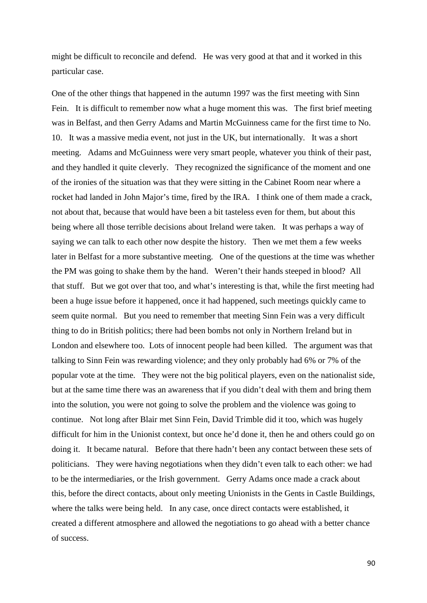might be difficult to reconcile and defend. He was very good at that and it worked in this particular case.

One of the other things that happened in the autumn 1997 was the first meeting with Sinn Fein. It is difficult to remember now what a huge moment this was. The first brief meeting was in Belfast, and then Gerry Adams and Martin McGuinness came for the first time to No. 10. It was a massive media event, not just in the UK, but internationally. It was a short meeting. Adams and McGuinness were very smart people, whatever you think of their past, and they handled it quite cleverly. They recognized the significance of the moment and one of the ironies of the situation was that they were sitting in the Cabinet Room near where a rocket had landed in John Major's time, fired by the IRA. I think one of them made a crack, not about that, because that would have been a bit tasteless even for them, but about this being where all those terrible decisions about Ireland were taken. It was perhaps a way of saying we can talk to each other now despite the history. Then we met them a few weeks later in Belfast for a more substantive meeting. One of the questions at the time was whether the PM was going to shake them by the hand. Weren't their hands steeped in blood? All that stuff. But we got over that too, and what's interesting is that, while the first meeting had been a huge issue before it happened, once it had happened, such meetings quickly came to seem quite normal. But you need to remember that meeting Sinn Fein was a very difficult thing to do in British politics; there had been bombs not only in Northern Ireland but in London and elsewhere too. Lots of innocent people had been killed. The argument was that talking to Sinn Fein was rewarding violence; and they only probably had 6% or 7% of the popular vote at the time. They were not the big political players, even on the nationalist side, but at the same time there was an awareness that if you didn't deal with them and bring them into the solution, you were not going to solve the problem and the violence was going to continue. Not long after Blair met Sinn Fein, David Trimble did it too, which was hugely difficult for him in the Unionist context, but once he'd done it, then he and others could go on doing it. It became natural. Before that there hadn't been any contact between these sets of politicians. They were having negotiations when they didn't even talk to each other: we had to be the intermediaries, or the Irish government. Gerry Adams once made a crack about this, before the direct contacts, about only meeting Unionists in the Gents in Castle Buildings, where the talks were being held. In any case, once direct contacts were established, it created a different atmosphere and allowed the negotiations to go ahead with a better chance of success.

90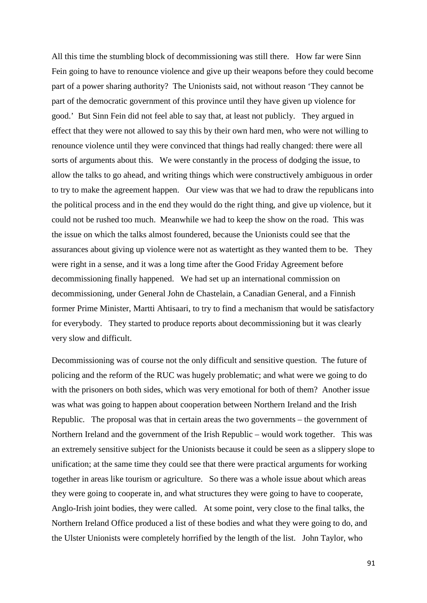All this time the stumbling block of decommissioning was still there. How far were Sinn Fein going to have to renounce violence and give up their weapons before they could become part of a power sharing authority? The Unionists said, not without reason 'They cannot be part of the democratic government of this province until they have given up violence for good.' But Sinn Fein did not feel able to say that, at least not publicly. They argued in effect that they were not allowed to say this by their own hard men, who were not willing to renounce violence until they were convinced that things had really changed: there were all sorts of arguments about this. We were constantly in the process of dodging the issue, to allow the talks to go ahead, and writing things which were constructively ambiguous in order to try to make the agreement happen. Our view was that we had to draw the republicans into the political process and in the end they would do the right thing, and give up violence, but it could not be rushed too much. Meanwhile we had to keep the show on the road. This was the issue on which the talks almost foundered, because the Unionists could see that the assurances about giving up violence were not as watertight as they wanted them to be. They were right in a sense, and it was a long time after the Good Friday Agreement before decommissioning finally happened. We had set up an international commission on decommissioning, under General John de Chastelain, a Canadian General, and a Finnish former Prime Minister, Martti Ahtisaari, to try to find a mechanism that would be satisfactory for everybody. They started to produce reports about decommissioning but it was clearly very slow and difficult.

Decommissioning was of course not the only difficult and sensitive question. The future of policing and the reform of the RUC was hugely problematic; and what were we going to do with the prisoners on both sides, which was very emotional for both of them? Another issue was what was going to happen about cooperation between Northern Ireland and the Irish Republic. The proposal was that in certain areas the two governments – the government of Northern Ireland and the government of the Irish Republic – would work together. This was an extremely sensitive subject for the Unionists because it could be seen as a slippery slope to unification; at the same time they could see that there were practical arguments for working together in areas like tourism or agriculture. So there was a whole issue about which areas they were going to cooperate in, and what structures they were going to have to cooperate, Anglo-Irish joint bodies, they were called. At some point, very close to the final talks, the Northern Ireland Office produced a list of these bodies and what they were going to do, and the Ulster Unionists were completely horrified by the length of the list. John Taylor, who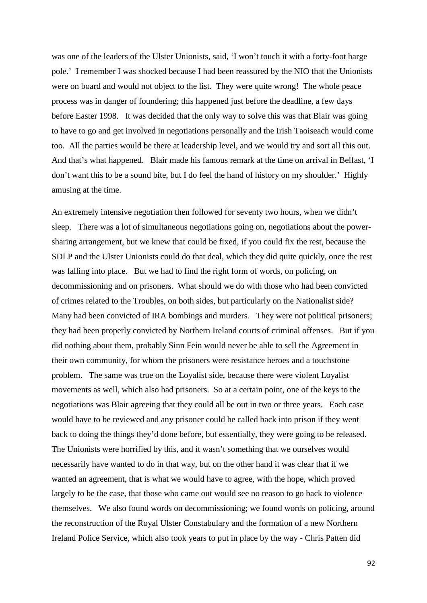was one of the leaders of the Ulster Unionists, said, 'I won't touch it with a forty-foot barge pole.' I remember I was shocked because I had been reassured by the NIO that the Unionists were on board and would not object to the list. They were quite wrong! The whole peace process was in danger of foundering; this happened just before the deadline, a few days before Easter 1998. It was decided that the only way to solve this was that Blair was going to have to go and get involved in negotiations personally and the Irish Taoiseach would come too. All the parties would be there at leadership level, and we would try and sort all this out. And that's what happened. Blair made his famous remark at the time on arrival in Belfast, 'I don't want this to be a sound bite, but I do feel the hand of history on my shoulder.' Highly amusing at the time.

An extremely intensive negotiation then followed for seventy two hours, when we didn't sleep. There was a lot of simultaneous negotiations going on, negotiations about the powersharing arrangement, but we knew that could be fixed, if you could fix the rest, because the SDLP and the Ulster Unionists could do that deal, which they did quite quickly, once the rest was falling into place. But we had to find the right form of words, on policing, on decommissioning and on prisoners. What should we do with those who had been convicted of crimes related to the Troubles, on both sides, but particularly on the Nationalist side? Many had been convicted of IRA bombings and murders. They were not political prisoners; they had been properly convicted by Northern Ireland courts of criminal offenses. But if you did nothing about them, probably Sinn Fein would never be able to sell the Agreement in their own community, for whom the prisoners were resistance heroes and a touchstone problem. The same was true on the Loyalist side, because there were violent Loyalist movements as well, which also had prisoners. So at a certain point, one of the keys to the negotiations was Blair agreeing that they could all be out in two or three years. Each case would have to be reviewed and any prisoner could be called back into prison if they went back to doing the things they'd done before, but essentially, they were going to be released. The Unionists were horrified by this, and it wasn't something that we ourselves would necessarily have wanted to do in that way, but on the other hand it was clear that if we wanted an agreement, that is what we would have to agree, with the hope, which proved largely to be the case, that those who came out would see no reason to go back to violence themselves. We also found words on decommissioning; we found words on policing, around the reconstruction of the Royal Ulster Constabulary and the formation of a new Northern Ireland Police Service, which also took years to put in place by the way - Chris Patten did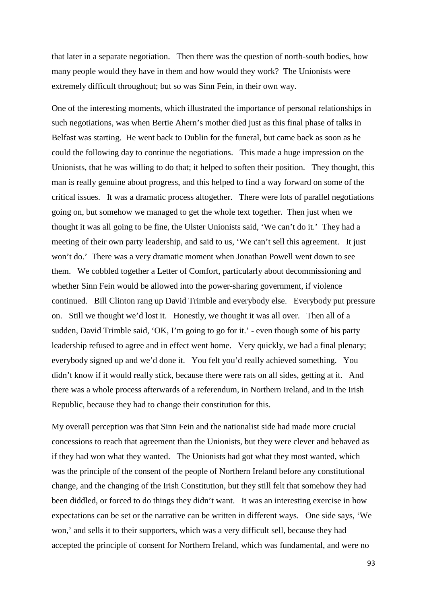that later in a separate negotiation. Then there was the question of north-south bodies, how many people would they have in them and how would they work? The Unionists were extremely difficult throughout; but so was Sinn Fein, in their own way.

One of the interesting moments, which illustrated the importance of personal relationships in such negotiations, was when Bertie Ahern's mother died just as this final phase of talks in Belfast was starting. He went back to Dublin for the funeral, but came back as soon as he could the following day to continue the negotiations. This made a huge impression on the Unionists, that he was willing to do that; it helped to soften their position. They thought, this man is really genuine about progress, and this helped to find a way forward on some of the critical issues. It was a dramatic process altogether. There were lots of parallel negotiations going on, but somehow we managed to get the whole text together. Then just when we thought it was all going to be fine, the Ulster Unionists said, 'We can't do it.' They had a meeting of their own party leadership, and said to us, 'We can't sell this agreement. It just won't do.' There was a very dramatic moment when Jonathan Powell went down to see them. We cobbled together a Letter of Comfort, particularly about decommissioning and whether Sinn Fein would be allowed into the power-sharing government, if violence continued. Bill Clinton rang up David Trimble and everybody else. Everybody put pressure on. Still we thought we'd lost it. Honestly, we thought it was all over. Then all of a sudden, David Trimble said, 'OK, I'm going to go for it.' - even though some of his party leadership refused to agree and in effect went home. Very quickly, we had a final plenary; everybody signed up and we'd done it. You felt you'd really achieved something. You didn't know if it would really stick, because there were rats on all sides, getting at it. And there was a whole process afterwards of a referendum, in Northern Ireland, and in the Irish Republic, because they had to change their constitution for this.

My overall perception was that Sinn Fein and the nationalist side had made more crucial concessions to reach that agreement than the Unionists, but they were clever and behaved as if they had won what they wanted. The Unionists had got what they most wanted, which was the principle of the consent of the people of Northern Ireland before any constitutional change, and the changing of the Irish Constitution, but they still felt that somehow they had been diddled, or forced to do things they didn't want. It was an interesting exercise in how expectations can be set or the narrative can be written in different ways. One side says, 'We won,' and sells it to their supporters, which was a very difficult sell, because they had accepted the principle of consent for Northern Ireland, which was fundamental, and were no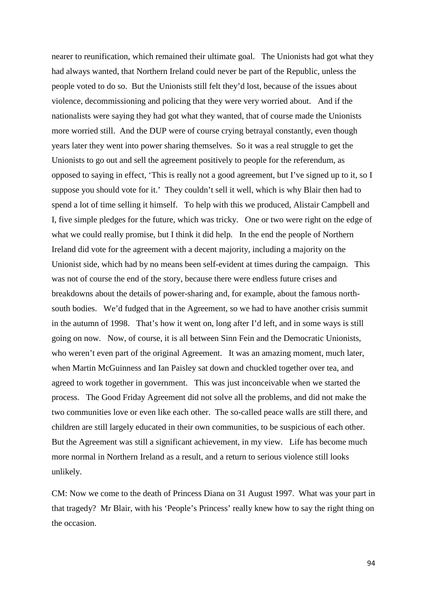nearer to reunification, which remained their ultimate goal. The Unionists had got what they had always wanted, that Northern Ireland could never be part of the Republic, unless the people voted to do so. But the Unionists still felt they'd lost, because of the issues about violence, decommissioning and policing that they were very worried about. And if the nationalists were saying they had got what they wanted, that of course made the Unionists more worried still. And the DUP were of course crying betrayal constantly, even though years later they went into power sharing themselves. So it was a real struggle to get the Unionists to go out and sell the agreement positively to people for the referendum, as opposed to saying in effect, 'This is really not a good agreement, but I've signed up to it, so I suppose you should vote for it.' They couldn't sell it well, which is why Blair then had to spend a lot of time selling it himself. To help with this we produced, Alistair Campbell and I, five simple pledges for the future, which was tricky. One or two were right on the edge of what we could really promise, but I think it did help. In the end the people of Northern Ireland did vote for the agreement with a decent majority, including a majority on the Unionist side, which had by no means been self-evident at times during the campaign. This was not of course the end of the story, because there were endless future crises and breakdowns about the details of power-sharing and, for example, about the famous northsouth bodies. We'd fudged that in the Agreement, so we had to have another crisis summit in the autumn of 1998. That's how it went on, long after I'd left, and in some ways is still going on now. Now, of course, it is all between Sinn Fein and the Democratic Unionists, who weren't even part of the original Agreement. It was an amazing moment, much later, when Martin McGuinness and Ian Paisley sat down and chuckled together over tea, and agreed to work together in government. This was just inconceivable when we started the process. The Good Friday Agreement did not solve all the problems, and did not make the two communities love or even like each other. The so-called peace walls are still there, and children are still largely educated in their own communities, to be suspicious of each other. But the Agreement was still a significant achievement, in my view. Life has become much more normal in Northern Ireland as a result, and a return to serious violence still looks unlikely.

CM: Now we come to the death of Princess Diana on 31 August 1997. What was your part in that tragedy? Mr Blair, with his 'People's Princess' really knew how to say the right thing on the occasion.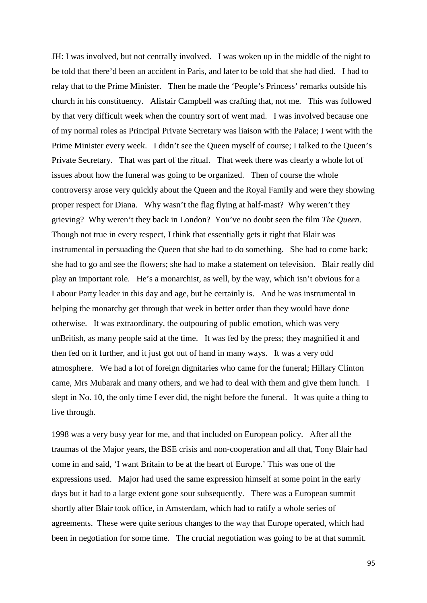JH: I was involved, but not centrally involved. I was woken up in the middle of the night to be told that there'd been an accident in Paris, and later to be told that she had died. I had to relay that to the Prime Minister. Then he made the 'People's Princess' remarks outside his church in his constituency. Alistair Campbell was crafting that, not me. This was followed by that very difficult week when the country sort of went mad. I was involved because one of my normal roles as Principal Private Secretary was liaison with the Palace; I went with the Prime Minister every week. I didn't see the Queen myself of course; I talked to the Queen's Private Secretary. That was part of the ritual. That week there was clearly a whole lot of issues about how the funeral was going to be organized. Then of course the whole controversy arose very quickly about the Queen and the Royal Family and were they showing proper respect for Diana. Why wasn't the flag flying at half-mast? Why weren't they grieving? Why weren't they back in London? You've no doubt seen the film *The Queen*. Though not true in every respect, I think that essentially gets it right that Blair was instrumental in persuading the Queen that she had to do something. She had to come back; she had to go and see the flowers; she had to make a statement on television. Blair really did play an important role. He's a monarchist, as well, by the way, which isn't obvious for a Labour Party leader in this day and age, but he certainly is. And he was instrumental in helping the monarchy get through that week in better order than they would have done otherwise. It was extraordinary, the outpouring of public emotion, which was very unBritish, as many people said at the time. It was fed by the press; they magnified it and then fed on it further, and it just got out of hand in many ways. It was a very odd atmosphere. We had a lot of foreign dignitaries who came for the funeral; Hillary Clinton came, Mrs Mubarak and many others, and we had to deal with them and give them lunch. I slept in No. 10, the only time I ever did, the night before the funeral. It was quite a thing to live through.

1998 was a very busy year for me, and that included on European policy. After all the traumas of the Major years, the BSE crisis and non-cooperation and all that, Tony Blair had come in and said, 'I want Britain to be at the heart of Europe.' This was one of the expressions used. Major had used the same expression himself at some point in the early days but it had to a large extent gone sour subsequently. There was a European summit shortly after Blair took office, in Amsterdam, which had to ratify a whole series of agreements. These were quite serious changes to the way that Europe operated, which had been in negotiation for some time. The crucial negotiation was going to be at that summit.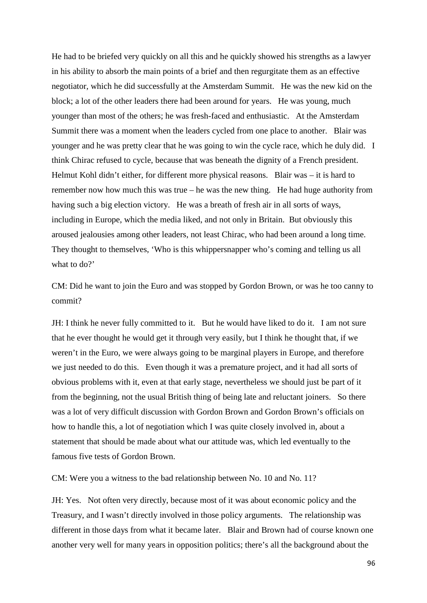He had to be briefed very quickly on all this and he quickly showed his strengths as a lawyer in his ability to absorb the main points of a brief and then regurgitate them as an effective negotiator, which he did successfully at the Amsterdam Summit. He was the new kid on the block; a lot of the other leaders there had been around for years. He was young, much younger than most of the others; he was fresh-faced and enthusiastic. At the Amsterdam Summit there was a moment when the leaders cycled from one place to another. Blair was younger and he was pretty clear that he was going to win the cycle race, which he duly did. I think Chirac refused to cycle, because that was beneath the dignity of a French president. Helmut Kohl didn't either, for different more physical reasons. Blair was – it is hard to remember now how much this was true – he was the new thing. He had huge authority from having such a big election victory. He was a breath of fresh air in all sorts of ways, including in Europe, which the media liked, and not only in Britain. But obviously this aroused jealousies among other leaders, not least Chirac, who had been around a long time. They thought to themselves, 'Who is this whippersnapper who's coming and telling us all what to do?'

CM: Did he want to join the Euro and was stopped by Gordon Brown, or was he too canny to commit?

JH: I think he never fully committed to it. But he would have liked to do it. I am not sure that he ever thought he would get it through very easily, but I think he thought that, if we weren't in the Euro, we were always going to be marginal players in Europe, and therefore we just needed to do this. Even though it was a premature project, and it had all sorts of obvious problems with it, even at that early stage, nevertheless we should just be part of it from the beginning, not the usual British thing of being late and reluctant joiners. So there was a lot of very difficult discussion with Gordon Brown and Gordon Brown's officials on how to handle this, a lot of negotiation which I was quite closely involved in, about a statement that should be made about what our attitude was, which led eventually to the famous five tests of Gordon Brown.

CM: Were you a witness to the bad relationship between No. 10 and No. 11?

JH: Yes. Not often very directly, because most of it was about economic policy and the Treasury, and I wasn't directly involved in those policy arguments. The relationship was different in those days from what it became later. Blair and Brown had of course known one another very well for many years in opposition politics; there's all the background about the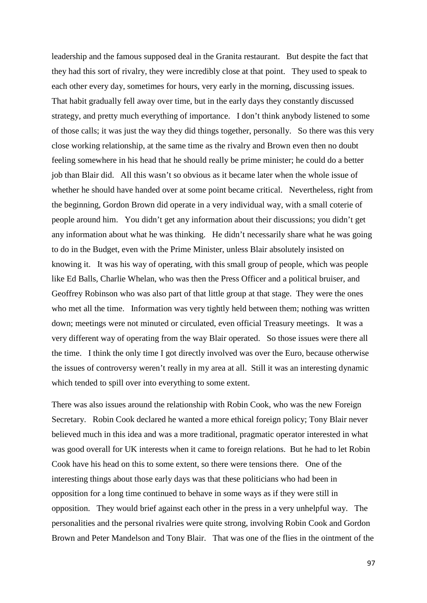leadership and the famous supposed deal in the Granita restaurant. But despite the fact that they had this sort of rivalry, they were incredibly close at that point. They used to speak to each other every day, sometimes for hours, very early in the morning, discussing issues. That habit gradually fell away over time, but in the early days they constantly discussed strategy, and pretty much everything of importance. I don't think anybody listened to some of those calls; it was just the way they did things together, personally. So there was this very close working relationship, at the same time as the rivalry and Brown even then no doubt feeling somewhere in his head that he should really be prime minister; he could do a better job than Blair did. All this wasn't so obvious as it became later when the whole issue of whether he should have handed over at some point became critical. Nevertheless, right from the beginning, Gordon Brown did operate in a very individual way, with a small coterie of people around him. You didn't get any information about their discussions; you didn't get any information about what he was thinking. He didn't necessarily share what he was going to do in the Budget, even with the Prime Minister, unless Blair absolutely insisted on knowing it. It was his way of operating, with this small group of people, which was people like Ed Balls, Charlie Whelan, who was then the Press Officer and a political bruiser, and Geoffrey Robinson who was also part of that little group at that stage. They were the ones who met all the time. Information was very tightly held between them; nothing was written down; meetings were not minuted or circulated, even official Treasury meetings. It was a very different way of operating from the way Blair operated. So those issues were there all the time. I think the only time I got directly involved was over the Euro, because otherwise the issues of controversy weren't really in my area at all. Still it was an interesting dynamic which tended to spill over into everything to some extent.

There was also issues around the relationship with Robin Cook, who was the new Foreign Secretary. Robin Cook declared he wanted a more ethical foreign policy; Tony Blair never believed much in this idea and was a more traditional, pragmatic operator interested in what was good overall for UK interests when it came to foreign relations. But he had to let Robin Cook have his head on this to some extent, so there were tensions there. One of the interesting things about those early days was that these politicians who had been in opposition for a long time continued to behave in some ways as if they were still in opposition. They would brief against each other in the press in a very unhelpful way. The personalities and the personal rivalries were quite strong, involving Robin Cook and Gordon Brown and Peter Mandelson and Tony Blair. That was one of the flies in the ointment of the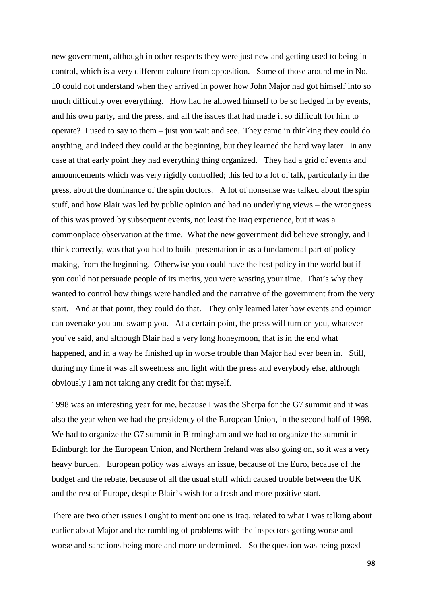new government, although in other respects they were just new and getting used to being in control, which is a very different culture from opposition. Some of those around me in No. 10 could not understand when they arrived in power how John Major had got himself into so much difficulty over everything. How had he allowed himself to be so hedged in by events, and his own party, and the press, and all the issues that had made it so difficult for him to operate? I used to say to them – just you wait and see. They came in thinking they could do anything, and indeed they could at the beginning, but they learned the hard way later. In any case at that early point they had everything thing organized. They had a grid of events and announcements which was very rigidly controlled; this led to a lot of talk, particularly in the press, about the dominance of the spin doctors. A lot of nonsense was talked about the spin stuff, and how Blair was led by public opinion and had no underlying views – the wrongness of this was proved by subsequent events, not least the Iraq experience, but it was a commonplace observation at the time. What the new government did believe strongly, and I think correctly, was that you had to build presentation in as a fundamental part of policymaking, from the beginning. Otherwise you could have the best policy in the world but if you could not persuade people of its merits, you were wasting your time. That's why they wanted to control how things were handled and the narrative of the government from the very start. And at that point, they could do that. They only learned later how events and opinion can overtake you and swamp you. At a certain point, the press will turn on you, whatever you've said, and although Blair had a very long honeymoon, that is in the end what happened, and in a way he finished up in worse trouble than Major had ever been in. Still, during my time it was all sweetness and light with the press and everybody else, although obviously I am not taking any credit for that myself.

1998 was an interesting year for me, because I was the Sherpa for the G7 summit and it was also the year when we had the presidency of the European Union, in the second half of 1998. We had to organize the G7 summit in Birmingham and we had to organize the summit in Edinburgh for the European Union, and Northern Ireland was also going on, so it was a very heavy burden. European policy was always an issue, because of the Euro, because of the budget and the rebate, because of all the usual stuff which caused trouble between the UK and the rest of Europe, despite Blair's wish for a fresh and more positive start.

There are two other issues I ought to mention: one is Iraq, related to what I was talking about earlier about Major and the rumbling of problems with the inspectors getting worse and worse and sanctions being more and more undermined. So the question was being posed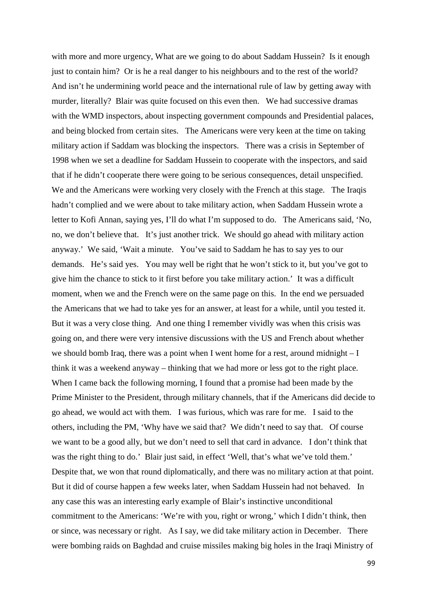with more and more urgency, What are we going to do about Saddam Hussein? Is it enough just to contain him? Or is he a real danger to his neighbours and to the rest of the world? And isn't he undermining world peace and the international rule of law by getting away with murder, literally? Blair was quite focused on this even then. We had successive dramas with the WMD inspectors, about inspecting government compounds and Presidential palaces, and being blocked from certain sites. The Americans were very keen at the time on taking military action if Saddam was blocking the inspectors. There was a crisis in September of 1998 when we set a deadline for Saddam Hussein to cooperate with the inspectors, and said that if he didn't cooperate there were going to be serious consequences, detail unspecified. We and the Americans were working very closely with the French at this stage. The Iraqis hadn't complied and we were about to take military action, when Saddam Hussein wrote a letter to Kofi Annan, saying yes, I'll do what I'm supposed to do. The Americans said, 'No, no, we don't believe that. It's just another trick. We should go ahead with military action anyway.' We said, 'Wait a minute. You've said to Saddam he has to say yes to our demands. He's said yes. You may well be right that he won't stick to it, but you've got to give him the chance to stick to it first before you take military action.' It was a difficult moment, when we and the French were on the same page on this. In the end we persuaded the Americans that we had to take yes for an answer, at least for a while, until you tested it. But it was a very close thing. And one thing I remember vividly was when this crisis was going on, and there were very intensive discussions with the US and French about whether we should bomb Iraq, there was a point when I went home for a rest, around midnight – I think it was a weekend anyway – thinking that we had more or less got to the right place. When I came back the following morning, I found that a promise had been made by the Prime Minister to the President, through military channels, that if the Americans did decide to go ahead, we would act with them. I was furious, which was rare for me. I said to the others, including the PM, 'Why have we said that? We didn't need to say that. Of course we want to be a good ally, but we don't need to sell that card in advance. I don't think that was the right thing to do.' Blair just said, in effect 'Well, that's what we've told them.' Despite that, we won that round diplomatically, and there was no military action at that point. But it did of course happen a few weeks later, when Saddam Hussein had not behaved. In any case this was an interesting early example of Blair's instinctive unconditional commitment to the Americans: 'We're with you, right or wrong,' which I didn't think, then or since, was necessary or right. As I say, we did take military action in December. There were bombing raids on Baghdad and cruise missiles making big holes in the Iraqi Ministry of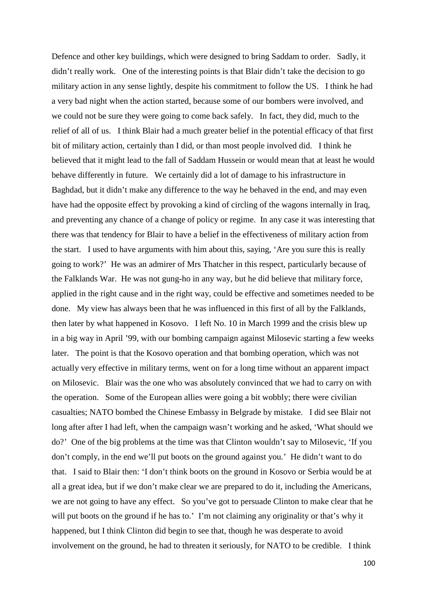Defence and other key buildings, which were designed to bring Saddam to order. Sadly, it didn't really work. One of the interesting points is that Blair didn't take the decision to go military action in any sense lightly, despite his commitment to follow the US. I think he had a very bad night when the action started, because some of our bombers were involved, and we could not be sure they were going to come back safely. In fact, they did, much to the relief of all of us. I think Blair had a much greater belief in the potential efficacy of that first bit of military action, certainly than I did, or than most people involved did. I think he believed that it might lead to the fall of Saddam Hussein or would mean that at least he would behave differently in future. We certainly did a lot of damage to his infrastructure in Baghdad, but it didn't make any difference to the way he behaved in the end, and may even have had the opposite effect by provoking a kind of circling of the wagons internally in Iraq, and preventing any chance of a change of policy or regime. In any case it was interesting that there was that tendency for Blair to have a belief in the effectiveness of military action from the start. I used to have arguments with him about this, saying, 'Are you sure this is really going to work?' He was an admirer of Mrs Thatcher in this respect, particularly because of the Falklands War. He was not gung-ho in any way, but he did believe that military force, applied in the right cause and in the right way, could be effective and sometimes needed to be done. My view has always been that he was influenced in this first of all by the Falklands, then later by what happened in Kosovo. I left No. 10 in March 1999 and the crisis blew up in a big way in April '99, with our bombing campaign against Milosevic starting a few weeks later. The point is that the Kosovo operation and that bombing operation, which was not actually very effective in military terms, went on for a long time without an apparent impact on Milosevic. Blair was the one who was absolutely convinced that we had to carry on with the operation. Some of the European allies were going a bit wobbly; there were civilian casualties; NATO bombed the Chinese Embassy in Belgrade by mistake. I did see Blair not long after after I had left, when the campaign wasn't working and he asked, 'What should we do?' One of the big problems at the time was that Clinton wouldn't say to Milosevic, 'If you don't comply, in the end we'll put boots on the ground against you.' He didn't want to do that. I said to Blair then: 'I don't think boots on the ground in Kosovo or Serbia would be at all a great idea, but if we don't make clear we are prepared to do it, including the Americans, we are not going to have any effect. So you've got to persuade Clinton to make clear that he will put boots on the ground if he has to.' I'm not claiming any originality or that's why it happened, but I think Clinton did begin to see that, though he was desperate to avoid involvement on the ground, he had to threaten it seriously, for NATO to be credible. I think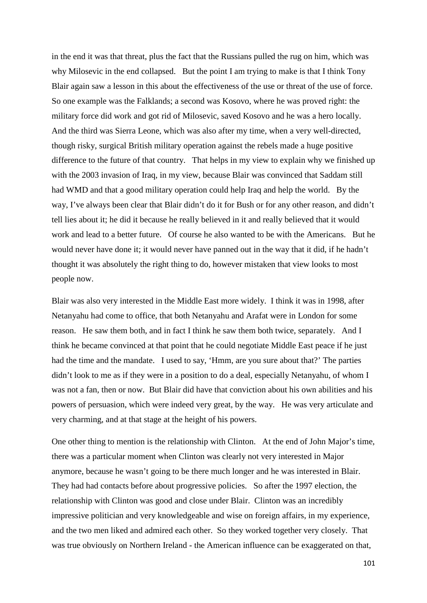in the end it was that threat, plus the fact that the Russians pulled the rug on him, which was why Milosevic in the end collapsed. But the point I am trying to make is that I think Tony Blair again saw a lesson in this about the effectiveness of the use or threat of the use of force. So one example was the Falklands; a second was Kosovo, where he was proved right: the military force did work and got rid of Milosevic, saved Kosovo and he was a hero locally. And the third was Sierra Leone, which was also after my time, when a very well-directed, though risky, surgical British military operation against the rebels made a huge positive difference to the future of that country. That helps in my view to explain why we finished up with the 2003 invasion of Iraq, in my view, because Blair was convinced that Saddam still had WMD and that a good military operation could help Iraq and help the world. By the way, I've always been clear that Blair didn't do it for Bush or for any other reason, and didn't tell lies about it; he did it because he really believed in it and really believed that it would work and lead to a better future. Of course he also wanted to be with the Americans. But he would never have done it; it would never have panned out in the way that it did, if he hadn't thought it was absolutely the right thing to do, however mistaken that view looks to most people now.

Blair was also very interested in the Middle East more widely. I think it was in 1998, after Netanyahu had come to office, that both Netanyahu and Arafat were in London for some reason. He saw them both, and in fact I think he saw them both twice, separately. And I think he became convinced at that point that he could negotiate Middle East peace if he just had the time and the mandate. I used to say, 'Hmm, are you sure about that?' The parties didn't look to me as if they were in a position to do a deal, especially Netanyahu, of whom I was not a fan, then or now. But Blair did have that conviction about his own abilities and his powers of persuasion, which were indeed very great, by the way. He was very articulate and very charming, and at that stage at the height of his powers.

One other thing to mention is the relationship with Clinton. At the end of John Major's time, there was a particular moment when Clinton was clearly not very interested in Major anymore, because he wasn't going to be there much longer and he was interested in Blair. They had had contacts before about progressive policies. So after the 1997 election, the relationship with Clinton was good and close under Blair. Clinton was an incredibly impressive politician and very knowledgeable and wise on foreign affairs, in my experience, and the two men liked and admired each other. So they worked together very closely. That was true obviously on Northern Ireland - the American influence can be exaggerated on that,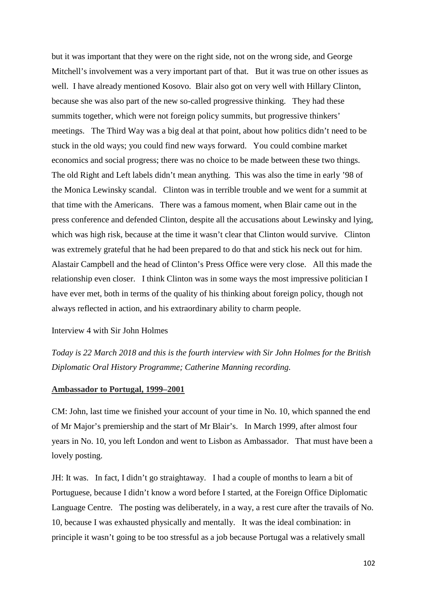but it was important that they were on the right side, not on the wrong side, and George Mitchell's involvement was a very important part of that. But it was true on other issues as well. I have already mentioned Kosovo. Blair also got on very well with Hillary Clinton, because she was also part of the new so-called progressive thinking. They had these summits together, which were not foreign policy summits, but progressive thinkers' meetings. The Third Way was a big deal at that point, about how politics didn't need to be stuck in the old ways; you could find new ways forward. You could combine market economics and social progress; there was no choice to be made between these two things. The old Right and Left labels didn't mean anything. This was also the time in early '98 of the Monica Lewinsky scandal. Clinton was in terrible trouble and we went for a summit at that time with the Americans. There was a famous moment, when Blair came out in the press conference and defended Clinton, despite all the accusations about Lewinsky and lying, which was high risk, because at the time it wasn't clear that Clinton would survive. Clinton was extremely grateful that he had been prepared to do that and stick his neck out for him. Alastair Campbell and the head of Clinton's Press Office were very close. All this made the relationship even closer. I think Clinton was in some ways the most impressive politician I have ever met, both in terms of the quality of his thinking about foreign policy, though not always reflected in action, and his extraordinary ability to charm people.

## Interview 4 with Sir John Holmes

*Today is 22 March 2018 and this is the fourth interview with Sir John Holmes for the British Diplomatic Oral History Programme; Catherine Manning recording.* 

## **Ambassador to Portugal, 1999–2001**

CM: John, last time we finished your account of your time in No. 10, which spanned the end of Mr Major's premiership and the start of Mr Blair's. In March 1999, after almost four years in No. 10, you left London and went to Lisbon as Ambassador. That must have been a lovely posting.

JH: It was. In fact, I didn't go straightaway. I had a couple of months to learn a bit of Portuguese, because I didn't know a word before I started, at the Foreign Office Diplomatic Language Centre. The posting was deliberately, in a way, a rest cure after the travails of No. 10, because I was exhausted physically and mentally. It was the ideal combination: in principle it wasn't going to be too stressful as a job because Portugal was a relatively small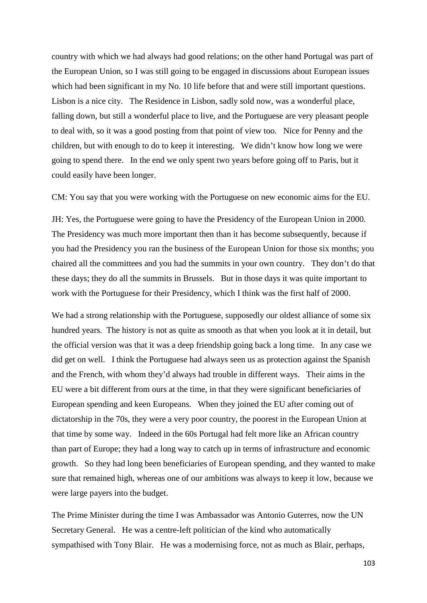country with which we had always had good relations; on the other hand Portugal was part of the European Union, so I was still going to be engaged in discussions about European issues which had been significant in my No. 10 life before that and were still important questions. Lisbon is a nice city. The Residence in Lisbon, sadly sold now, was a wonderful place, falling down, but still a wonderful place to live, and the Portuguese are very pleasant people to deal with, so it was a good posting from that point of view too. Nice for Penny and the children, but with enough to do to keep it interesting. We didn't know how long we were going to spend there. In the end we only spent two years before going off to Paris, but it could easily have been longer.

CM: You say that you were working with the Portuguese on new economic aims for the EU.

JH: Yes, the Portuguese were going to have the Presidency of the European Union in 2000. The Presidency was much more important then than it has become subsequently, because if you had the Presidency you ran the business of the European Union for those six months; you chaired all the committees and you had the summits in your own country. They don't do that these days; they do all the summits in Brussels. But in those days it was quite important to work with the Portuguese for their Presidency, which I think was the first half of 2000.

We had a strong relationship with the Portuguese, supposedly our oldest alliance of some six hundred years. The history is not as quite as smooth as that when you look at it in detail, but the official version was that it was a deep friendship going back a long time. In any case we did get on well. I think the Portuguese had always seen us as protection against the Spanish and the French, with whom they'd always had trouble in different ways. Their aims in the EU were a bit different from ours at the time, in that they were significant beneficiaries of European spending and keen Europeans. When they joined the EU after coming out of dictatorship in the 70s, they were a very poor country, the poorest in the European Union at that time by some way. Indeed in the 60s Portugal had felt more like an African country than part of Europe; they had a long way to catch up in terms of infrastructure and economic growth. So they had long been beneficiaries of European spending, and they wanted to make sure that remained high, whereas one of our ambitions was always to keep it low, because we were large payers into the budget.

The Prime Minister during the time I was Ambassador was Antonio Guterres, now the UN Secretary General. He was a centre-left politician of the kind who automatically sympathised with Tony Blair. He was a modernising force, not as much as Blair, perhaps,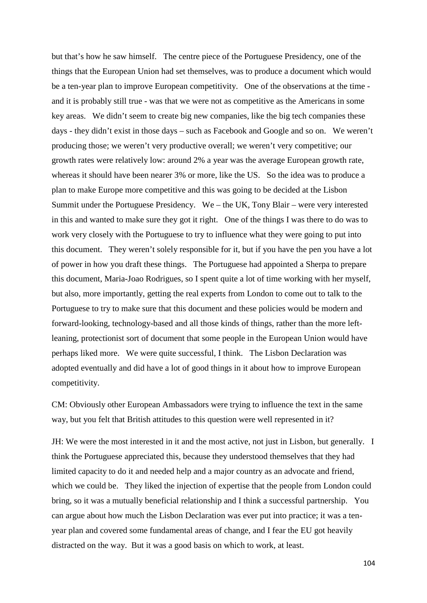but that's how he saw himself. The centre piece of the Portuguese Presidency, one of the things that the European Union had set themselves, was to produce a document which would be a ten-year plan to improve European competitivity. One of the observations at the time and it is probably still true - was that we were not as competitive as the Americans in some key areas. We didn't seem to create big new companies, like the big tech companies these days - they didn't exist in those days – such as Facebook and Google and so on. We weren't producing those; we weren't very productive overall; we weren't very competitive; our growth rates were relatively low: around 2% a year was the average European growth rate, whereas it should have been nearer 3% or more, like the US. So the idea was to produce a plan to make Europe more competitive and this was going to be decided at the Lisbon Summit under the Portuguese Presidency. We – the UK, Tony Blair – were very interested in this and wanted to make sure they got it right. One of the things I was there to do was to work very closely with the Portuguese to try to influence what they were going to put into this document. They weren't solely responsible for it, but if you have the pen you have a lot of power in how you draft these things. The Portuguese had appointed a Sherpa to prepare this document, Maria-Joao Rodrigues, so I spent quite a lot of time working with her myself, but also, more importantly, getting the real experts from London to come out to talk to the Portuguese to try to make sure that this document and these policies would be modern and forward-looking, technology-based and all those kinds of things, rather than the more leftleaning, protectionist sort of document that some people in the European Union would have perhaps liked more. We were quite successful, I think. The Lisbon Declaration was adopted eventually and did have a lot of good things in it about how to improve European competitivity.

CM: Obviously other European Ambassadors were trying to influence the text in the same way, but you felt that British attitudes to this question were well represented in it?

JH: We were the most interested in it and the most active, not just in Lisbon, but generally. I think the Portuguese appreciated this, because they understood themselves that they had limited capacity to do it and needed help and a major country as an advocate and friend, which we could be. They liked the injection of expertise that the people from London could bring, so it was a mutually beneficial relationship and I think a successful partnership. You can argue about how much the Lisbon Declaration was ever put into practice; it was a tenyear plan and covered some fundamental areas of change, and I fear the EU got heavily distracted on the way. But it was a good basis on which to work, at least.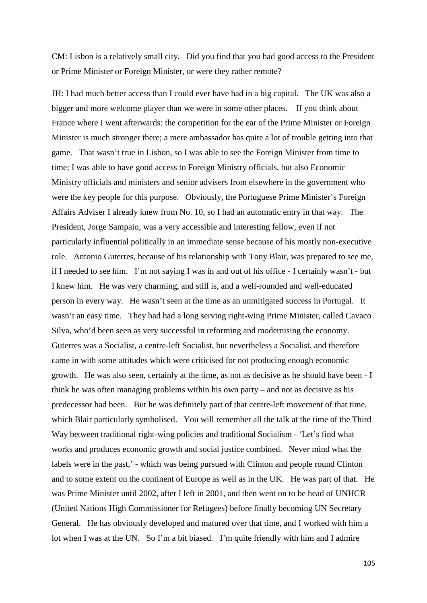CM: Lisbon is a relatively small city. Did you find that you had good access to the President or Prime Minister or Foreign Minister, or were they rather remote?

JH: I had much better access than I could ever have had in a big capital. The UK was also a bigger and more welcome player than we were in some other places. If you think about France where I went afterwards: the competition for the ear of the Prime Minister or Foreign Minister is much stronger there; a mere ambassador has quite a lot of trouble getting into that game. That wasn't true in Lisbon, so I was able to see the Foreign Minister from time to time; I was able to have good access to Foreign Ministry officials, but also Economic Ministry officials and ministers and senior advisers from elsewhere in the government who were the key people for this purpose. Obviously, the Portuguese Prime Minister's Foreign Affairs Adviser I already knew from No. 10, so I had an automatic entry in that way. The President, Jorge Sampaio, was a very accessible and interesting fellow, even if not particularly influential politically in an immediate sense because of his mostly non-executive role. Antonio Guterres, because of his relationship with Tony Blair, was prepared to see me, if I needed to see him. I'm not saying I was in and out of his office - I certainly wasn't - but I knew him. He was very charming, and still is, and a well-rounded and well-educated person in every way. He wasn't seen at the time as an unmitigated success in Portugal. It wasn't an easy time. They had had a long serving right-wing Prime Minister, called Cavaco Silva, who'd been seen as very successful in reforming and modernising the economy. Guterres was a Socialist, a centre-left Socialist, but nevertheless a Socialist, and therefore came in with some attitudes which were criticised for not producing enough economic growth. He was also seen, certainly at the time, as not as decisive as he should have been - I think he was often managing problems within his own party – and not as decisive as his predecessor had been. But he was definitely part of that centre-left movement of that time, which Blair particularly symbolised. You will remember all the talk at the time of the Third Way between traditional right-wing policies and traditional Socialism - 'Let's find what works and produces economic growth and social justice combined. Never mind what the labels were in the past,' - which was being pursued with Clinton and people round Clinton and to some extent on the continent of Europe as well as in the UK. He was part of that. He was Prime Minister until 2002, after I left in 2001, and then went on to be head of UNHCR (United Nations High Commissioner for Refugees) before finally becoming UN Secretary General. He has obviously developed and matured over that time, and I worked with him a lot when I was at the UN. So I'm a bit biased. I'm quite friendly with him and I admire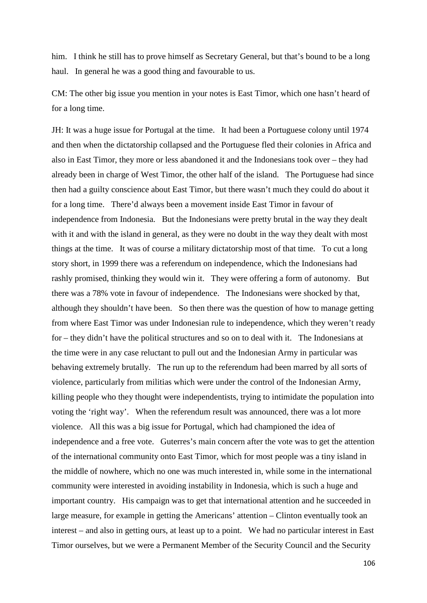him. I think he still has to prove himself as Secretary General, but that's bound to be a long haul. In general he was a good thing and favourable to us.

CM: The other big issue you mention in your notes is East Timor, which one hasn't heard of for a long time.

JH: It was a huge issue for Portugal at the time. It had been a Portuguese colony until 1974 and then when the dictatorship collapsed and the Portuguese fled their colonies in Africa and also in East Timor, they more or less abandoned it and the Indonesians took over – they had already been in charge of West Timor, the other half of the island. The Portuguese had since then had a guilty conscience about East Timor, but there wasn't much they could do about it for a long time. There'd always been a movement inside East Timor in favour of independence from Indonesia. But the Indonesians were pretty brutal in the way they dealt with it and with the island in general, as they were no doubt in the way they dealt with most things at the time. It was of course a military dictatorship most of that time. To cut a long story short, in 1999 there was a referendum on independence, which the Indonesians had rashly promised, thinking they would win it. They were offering a form of autonomy. But there was a 78% vote in favour of independence. The Indonesians were shocked by that, although they shouldn't have been. So then there was the question of how to manage getting from where East Timor was under Indonesian rule to independence, which they weren't ready for – they didn't have the political structures and so on to deal with it. The Indonesians at the time were in any case reluctant to pull out and the Indonesian Army in particular was behaving extremely brutally. The run up to the referendum had been marred by all sorts of violence, particularly from militias which were under the control of the Indonesian Army, killing people who they thought were independentists, trying to intimidate the population into voting the 'right way'. When the referendum result was announced, there was a lot more violence. All this was a big issue for Portugal, which had championed the idea of independence and a free vote. Guterres's main concern after the vote was to get the attention of the international community onto East Timor, which for most people was a tiny island in the middle of nowhere, which no one was much interested in, while some in the international community were interested in avoiding instability in Indonesia, which is such a huge and important country. His campaign was to get that international attention and he succeeded in large measure, for example in getting the Americans' attention – Clinton eventually took an interest – and also in getting ours, at least up to a point. We had no particular interest in East Timor ourselves, but we were a Permanent Member of the Security Council and the Security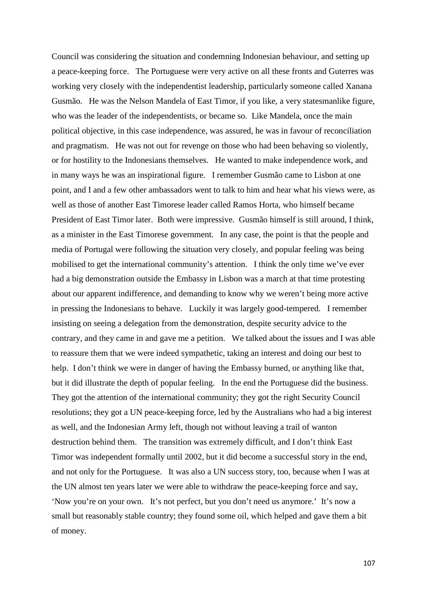Council was considering the situation and condemning Indonesian behaviour, and setting up a peace-keeping force. The Portuguese were very active on all these fronts and Guterres was working very closely with the independentist leadership, particularly someone called Xanana Gusmão. He was the Nelson Mandela of East Timor, if you like, a very statesmanlike figure, who was the leader of the independentists, or became so. Like Mandela, once the main political objective, in this case independence, was assured, he was in favour of reconciliation and pragmatism. He was not out for revenge on those who had been behaving so violently, or for hostility to the Indonesians themselves. He wanted to make independence work, and in many ways he was an inspirational figure. I remember Gusmão came to Lisbon at one point, and I and a few other ambassadors went to talk to him and hear what his views were, as well as those of another East Timorese leader called Ramos Horta, who himself became President of East Timor later. Both were impressive. Gusmão himself is still around, I think, as a minister in the East Timorese government. In any case, the point is that the people and media of Portugal were following the situation very closely, and popular feeling was being mobilised to get the international community's attention. I think the only time we've ever had a big demonstration outside the Embassy in Lisbon was a march at that time protesting about our apparent indifference, and demanding to know why we weren't being more active in pressing the Indonesians to behave. Luckily it was largely good-tempered. I remember insisting on seeing a delegation from the demonstration, despite security advice to the contrary, and they came in and gave me a petition. We talked about the issues and I was able to reassure them that we were indeed sympathetic, taking an interest and doing our best to help. I don't think we were in danger of having the Embassy burned, or anything like that, but it did illustrate the depth of popular feeling. In the end the Portuguese did the business. They got the attention of the international community; they got the right Security Council resolutions; they got a UN peace-keeping force, led by the Australians who had a big interest as well, and the Indonesian Army left, though not without leaving a trail of wanton destruction behind them. The transition was extremely difficult, and I don't think East Timor was independent formally until 2002, but it did become a successful story in the end, and not only for the Portuguese. It was also a UN success story, too, because when I was at the UN almost ten years later we were able to withdraw the peace-keeping force and say, 'Now you're on your own. It's not perfect, but you don't need us anymore.' It's now a small but reasonably stable country; they found some oil, which helped and gave them a bit of money.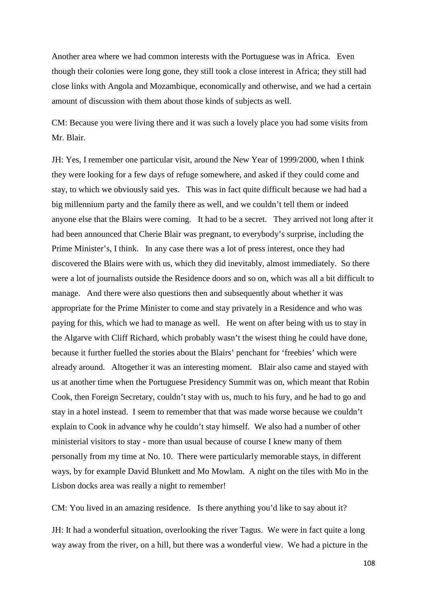Another area where we had common interests with the Portuguese was in Africa. Even though their colonies were long gone, they still took a close interest in Africa; they still had close links with Angola and Mozambique, economically and otherwise, and we had a certain amount of discussion with them about those kinds of subjects as well.

CM: Because you were living there and it was such a lovely place you had some visits from Mr. Blair.

JH: Yes, I remember one particular visit, around the New Year of 1999/2000, when I think they were looking for a few days of refuge somewhere, and asked if they could come and stay, to which we obviously said yes. This was in fact quite difficult because we had had a big millennium party and the family there as well, and we couldn't tell them or indeed anyone else that the Blairs were coming. It had to be a secret. They arrived not long after it had been announced that Cherie Blair was pregnant, to everybody's surprise, including the Prime Minister's, I think. In any case there was a lot of press interest, once they had discovered the Blairs were with us, which they did inevitably, almost immediately. So there were a lot of journalists outside the Residence doors and so on, which was all a bit difficult to manage. And there were also questions then and subsequently about whether it was appropriate for the Prime Minister to come and stay privately in a Residence and who was paying for this, which we had to manage as well. He went on after being with us to stay in the Algarve with Cliff Richard, which probably wasn't the wisest thing he could have done, because it further fuelled the stories about the Blairs' penchant for 'freebies' which were already around. Altogether it was an interesting moment. Blair also came and stayed with us at another time when the Portuguese Presidency Summit was on, which meant that Robin Cook, then Foreign Secretary, couldn't stay with us, much to his fury, and he had to go and stay in a hotel instead. I seem to remember that that was made worse because we couldn't explain to Cook in advance why he couldn't stay himself. We also had a number of other ministerial visitors to stay - more than usual because of course I knew many of them personally from my time at No. 10. There were particularly memorable stays, in different ways, by for example David Blunkett and Mo Mowlam. A night on the tiles with Mo in the Lisbon docks area was really a night to remember!

CM: You lived in an amazing residence. Is there anything you'd like to say about it?

JH: It had a wonderful situation, overlooking the river Tagus. We were in fact quite a long way away from the river, on a hill, but there was a wonderful view. We had a picture in the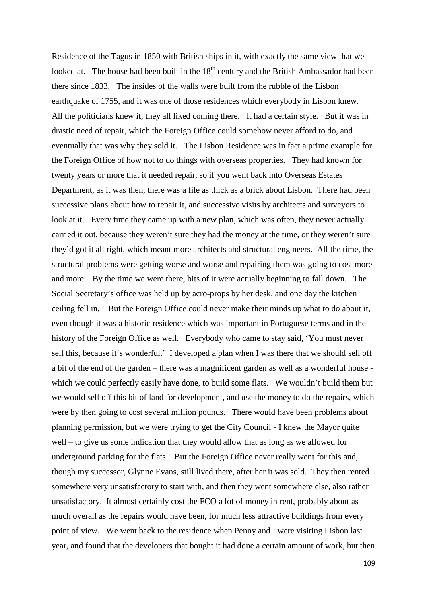Residence of the Tagus in 1850 with British ships in it, with exactly the same view that we looked at. The house had been built in the  $18<sup>th</sup>$  century and the British Ambassador had been there since 1833. The insides of the walls were built from the rubble of the Lisbon earthquake of 1755, and it was one of those residences which everybody in Lisbon knew. All the politicians knew it; they all liked coming there. It had a certain style. But it was in drastic need of repair, which the Foreign Office could somehow never afford to do, and eventually that was why they sold it. The Lisbon Residence was in fact a prime example for the Foreign Office of how not to do things with overseas properties. They had known for twenty years or more that it needed repair, so if you went back into Overseas Estates Department, as it was then, there was a file as thick as a brick about Lisbon. There had been successive plans about how to repair it, and successive visits by architects and surveyors to look at it. Every time they came up with a new plan, which was often, they never actually carried it out, because they weren't sure they had the money at the time, or they weren't sure they'd got it all right, which meant more architects and structural engineers. All the time, the structural problems were getting worse and worse and repairing them was going to cost more and more. By the time we were there, bits of it were actually beginning to fall down. The Social Secretary's office was held up by acro-props by her desk, and one day the kitchen ceiling fell in. But the Foreign Office could never make their minds up what to do about it, even though it was a historic residence which was important in Portuguese terms and in the history of the Foreign Office as well. Everybody who came to stay said, 'You must never sell this, because it's wonderful.' I developed a plan when I was there that we should sell off a bit of the end of the garden – there was a magnificent garden as well as a wonderful house which we could perfectly easily have done, to build some flats. We wouldn't build them but we would sell off this bit of land for development, and use the money to do the repairs, which were by then going to cost several million pounds. There would have been problems about planning permission, but we were trying to get the City Council - I knew the Mayor quite well – to give us some indication that they would allow that as long as we allowed for underground parking for the flats. But the Foreign Office never really went for this and, though my successor, Glynne Evans, still lived there, after her it was sold. They then rented somewhere very unsatisfactory to start with, and then they went somewhere else, also rather unsatisfactory. It almost certainly cost the FCO a lot of money in rent, probably about as much overall as the repairs would have been, for much less attractive buildings from every point of view. We went back to the residence when Penny and I were visiting Lisbon last year, and found that the developers that bought it had done a certain amount of work, but then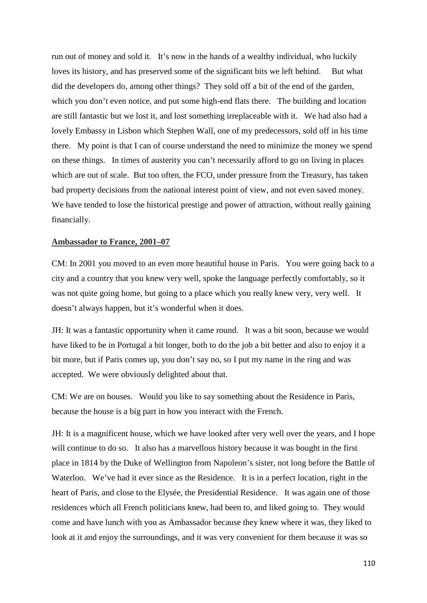run out of money and sold it. It's now in the hands of a wealthy individual, who luckily loves its history, and has preserved some of the significant bits we left behind. But what did the developers do, among other things? They sold off a bit of the end of the garden, which you don't even notice, and put some high-end flats there. The building and location are still fantastic but we lost it, and lost something irreplaceable with it. We had also had a lovely Embassy in Lisbon which Stephen Wall, one of my predecessors, sold off in his time there. My point is that I can of course understand the need to minimize the money we spend on these things. In times of austerity you can't necessarily afford to go on living in places which are out of scale. But too often, the FCO, under pressure from the Treasury, has taken bad property decisions from the national interest point of view, and not even saved money. We have tended to lose the historical prestige and power of attraction, without really gaining financially.

## **Ambassador to France, 2001–07**

CM: In 2001 you moved to an even more beautiful house in Paris. You were going back to a city and a country that you knew very well, spoke the language perfectly comfortably, so it was not quite going home, but going to a place which you really knew very, very well. It doesn't always happen, but it's wonderful when it does.

JH: It was a fantastic opportunity when it came round. It was a bit soon, because we would have liked to be in Portugal a bit longer, both to do the job a bit better and also to enjoy it a bit more, but if Paris comes up, you don't say no, so I put my name in the ring and was accepted. We were obviously delighted about that.

CM: We are on houses. Would you like to say something about the Residence in Paris, because the house is a big part in how you interact with the French.

JH: It is a magnificent house, which we have looked after very well over the years, and I hope will continue to do so. It also has a marvellous history because it was bought in the first place in 1814 by the Duke of Wellington from Napoleon's sister, not long before the Battle of Waterloo. We've had it ever since as the Residence. It is in a perfect location, right in the heart of Paris, and close to the Elysée, the Presidential Residence. It was again one of those residences which all French politicians knew, had been to, and liked going to. They would come and have lunch with you as Ambassador because they knew where it was, they liked to look at it and enjoy the surroundings, and it was very convenient for them because it was so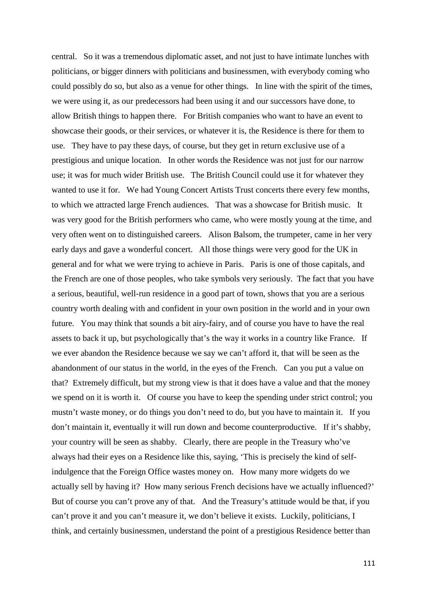central. So it was a tremendous diplomatic asset, and not just to have intimate lunches with politicians, or bigger dinners with politicians and businessmen, with everybody coming who could possibly do so, but also as a venue for other things. In line with the spirit of the times, we were using it, as our predecessors had been using it and our successors have done, to allow British things to happen there. For British companies who want to have an event to showcase their goods, or their services, or whatever it is, the Residence is there for them to use. They have to pay these days, of course, but they get in return exclusive use of a prestigious and unique location. In other words the Residence was not just for our narrow use; it was for much wider British use. The British Council could use it for whatever they wanted to use it for. We had Young Concert Artists Trust concerts there every few months, to which we attracted large French audiences. That was a showcase for British music. It was very good for the British performers who came, who were mostly young at the time, and very often went on to distinguished careers. Alison Balsom, the trumpeter, came in her very early days and gave a wonderful concert. All those things were very good for the UK in general and for what we were trying to achieve in Paris. Paris is one of those capitals, and the French are one of those peoples, who take symbols very seriously. The fact that you have a serious, beautiful, well-run residence in a good part of town, shows that you are a serious country worth dealing with and confident in your own position in the world and in your own future. You may think that sounds a bit airy-fairy, and of course you have to have the real assets to back it up, but psychologically that's the way it works in a country like France. If we ever abandon the Residence because we say we can't afford it, that will be seen as the abandonment of our status in the world, in the eyes of the French. Can you put a value on that? Extremely difficult, but my strong view is that it does have a value and that the money we spend on it is worth it. Of course you have to keep the spending under strict control; you mustn't waste money, or do things you don't need to do, but you have to maintain it. If you don't maintain it, eventually it will run down and become counterproductive. If it's shabby, your country will be seen as shabby. Clearly, there are people in the Treasury who've always had their eyes on a Residence like this, saying, 'This is precisely the kind of selfindulgence that the Foreign Office wastes money on. How many more widgets do we actually sell by having it? How many serious French decisions have we actually influenced?' But of course you can't prove any of that. And the Treasury's attitude would be that, if you can't prove it and you can't measure it, we don't believe it exists. Luckily, politicians, I think, and certainly businessmen, understand the point of a prestigious Residence better than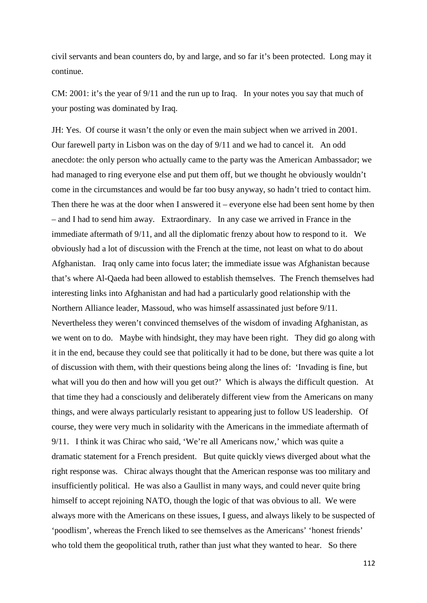civil servants and bean counters do, by and large, and so far it's been protected. Long may it continue.

CM: 2001: it's the year of 9/11 and the run up to Iraq. In your notes you say that much of your posting was dominated by Iraq.

JH: Yes. Of course it wasn't the only or even the main subject when we arrived in 2001. Our farewell party in Lisbon was on the day of 9/11 and we had to cancel it. An odd anecdote: the only person who actually came to the party was the American Ambassador; we had managed to ring everyone else and put them off, but we thought he obviously wouldn't come in the circumstances and would be far too busy anyway, so hadn't tried to contact him. Then there he was at the door when I answered it – everyone else had been sent home by then – and I had to send him away. Extraordinary. In any case we arrived in France in the immediate aftermath of 9/11, and all the diplomatic frenzy about how to respond to it. We obviously had a lot of discussion with the French at the time, not least on what to do about Afghanistan. Iraq only came into focus later; the immediate issue was Afghanistan because that's where Al-Qaeda had been allowed to establish themselves. The French themselves had interesting links into Afghanistan and had had a particularly good relationship with the Northern Alliance leader, Massoud, who was himself assassinated just before 9/11. Nevertheless they weren't convinced themselves of the wisdom of invading Afghanistan, as we went on to do. Maybe with hindsight, they may have been right. They did go along with it in the end, because they could see that politically it had to be done, but there was quite a lot of discussion with them, with their questions being along the lines of: 'Invading is fine, but what will you do then and how will you get out?' Which is always the difficult question. At that time they had a consciously and deliberately different view from the Americans on many things, and were always particularly resistant to appearing just to follow US leadership. Of course, they were very much in solidarity with the Americans in the immediate aftermath of 9/11. I think it was Chirac who said, 'We're all Americans now,' which was quite a dramatic statement for a French president. But quite quickly views diverged about what the right response was. Chirac always thought that the American response was too military and insufficiently political. He was also a Gaullist in many ways, and could never quite bring himself to accept rejoining NATO, though the logic of that was obvious to all. We were always more with the Americans on these issues, I guess, and always likely to be suspected of 'poodlism', whereas the French liked to see themselves as the Americans' 'honest friends' who told them the geopolitical truth, rather than just what they wanted to hear. So there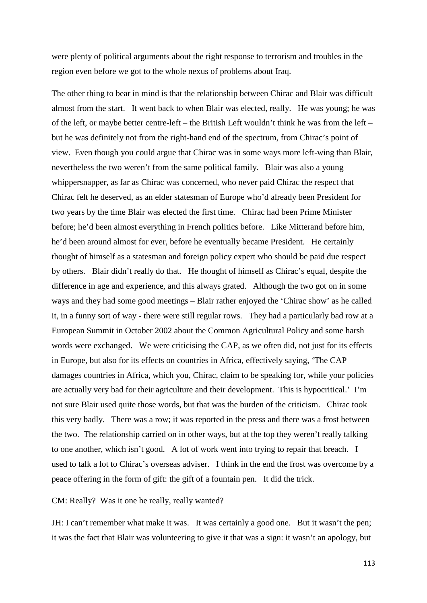were plenty of political arguments about the right response to terrorism and troubles in the region even before we got to the whole nexus of problems about Iraq.

The other thing to bear in mind is that the relationship between Chirac and Blair was difficult almost from the start. It went back to when Blair was elected, really. He was young; he was of the left, or maybe better centre-left – the British Left wouldn't think he was from the left – but he was definitely not from the right-hand end of the spectrum, from Chirac's point of view. Even though you could argue that Chirac was in some ways more left-wing than Blair, nevertheless the two weren't from the same political family. Blair was also a young whippersnapper, as far as Chirac was concerned, who never paid Chirac the respect that Chirac felt he deserved, as an elder statesman of Europe who'd already been President for two years by the time Blair was elected the first time. Chirac had been Prime Minister before; he'd been almost everything in French politics before. Like Mitterand before him, he'd been around almost for ever, before he eventually became President. He certainly thought of himself as a statesman and foreign policy expert who should be paid due respect by others. Blair didn't really do that. He thought of himself as Chirac's equal, despite the difference in age and experience, and this always grated. Although the two got on in some ways and they had some good meetings – Blair rather enjoyed the 'Chirac show' as he called it, in a funny sort of way - there were still regular rows. They had a particularly bad row at a European Summit in October 2002 about the Common Agricultural Policy and some harsh words were exchanged. We were criticising the CAP, as we often did, not just for its effects in Europe, but also for its effects on countries in Africa, effectively saying, 'The CAP damages countries in Africa, which you, Chirac, claim to be speaking for, while your policies are actually very bad for their agriculture and their development. This is hypocritical.' I'm not sure Blair used quite those words, but that was the burden of the criticism. Chirac took this very badly. There was a row; it was reported in the press and there was a frost between the two. The relationship carried on in other ways, but at the top they weren't really talking to one another, which isn't good. A lot of work went into trying to repair that breach. I used to talk a lot to Chirac's overseas adviser. I think in the end the frost was overcome by a peace offering in the form of gift: the gift of a fountain pen. It did the trick.

CM: Really? Was it one he really, really wanted?

JH: I can't remember what make it was. It was certainly a good one. But it wasn't the pen; it was the fact that Blair was volunteering to give it that was a sign: it wasn't an apology, but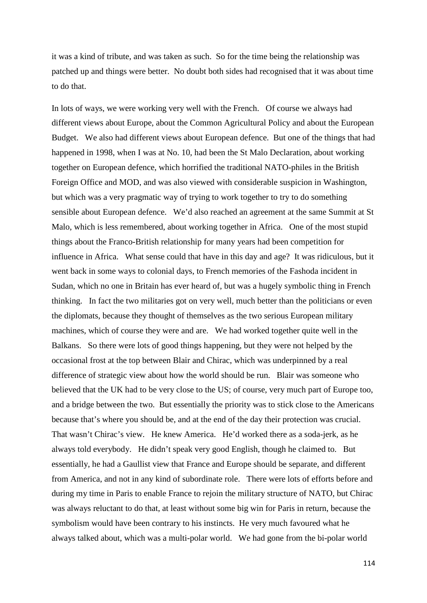it was a kind of tribute, and was taken as such. So for the time being the relationship was patched up and things were better. No doubt both sides had recognised that it was about time to do that.

In lots of ways, we were working very well with the French. Of course we always had different views about Europe, about the Common Agricultural Policy and about the European Budget. We also had different views about European defence. But one of the things that had happened in 1998, when I was at No. 10, had been the St Malo Declaration, about working together on European defence, which horrified the traditional NATO-philes in the British Foreign Office and MOD, and was also viewed with considerable suspicion in Washington, but which was a very pragmatic way of trying to work together to try to do something sensible about European defence. We'd also reached an agreement at the same Summit at St Malo, which is less remembered, about working together in Africa. One of the most stupid things about the Franco-British relationship for many years had been competition for influence in Africa. What sense could that have in this day and age? It was ridiculous, but it went back in some ways to colonial days, to French memories of the Fashoda incident in Sudan, which no one in Britain has ever heard of, but was a hugely symbolic thing in French thinking. In fact the two militaries got on very well, much better than the politicians or even the diplomats, because they thought of themselves as the two serious European military machines, which of course they were and are. We had worked together quite well in the Balkans. So there were lots of good things happening, but they were not helped by the occasional frost at the top between Blair and Chirac, which was underpinned by a real difference of strategic view about how the world should be run. Blair was someone who believed that the UK had to be very close to the US; of course, very much part of Europe too, and a bridge between the two. But essentially the priority was to stick close to the Americans because that's where you should be, and at the end of the day their protection was crucial. That wasn't Chirac's view. He knew America. He'd worked there as a soda-jerk, as he always told everybody. He didn't speak very good English, though he claimed to. But essentially, he had a Gaullist view that France and Europe should be separate, and different from America, and not in any kind of subordinate role. There were lots of efforts before and during my time in Paris to enable France to rejoin the military structure of NATO, but Chirac was always reluctant to do that, at least without some big win for Paris in return, because the symbolism would have been contrary to his instincts. He very much favoured what he always talked about, which was a multi-polar world. We had gone from the bi-polar world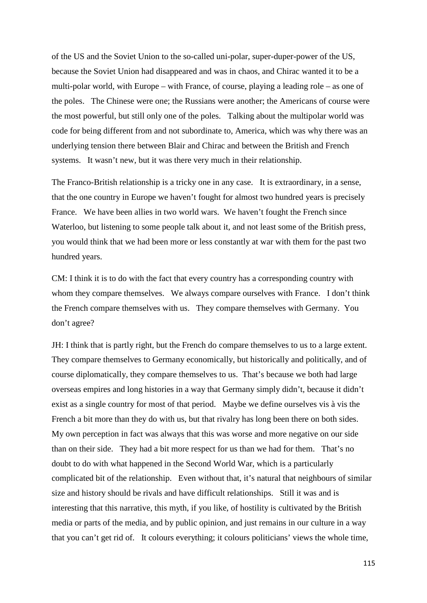of the US and the Soviet Union to the so-called uni-polar, super-duper-power of the US, because the Soviet Union had disappeared and was in chaos, and Chirac wanted it to be a multi-polar world, with Europe – with France, of course, playing a leading role – as one of the poles. The Chinese were one; the Russians were another; the Americans of course were the most powerful, but still only one of the poles. Talking about the multipolar world was code for being different from and not subordinate to, America, which was why there was an underlying tension there between Blair and Chirac and between the British and French systems. It wasn't new, but it was there very much in their relationship.

The Franco-British relationship is a tricky one in any case. It is extraordinary, in a sense, that the one country in Europe we haven't fought for almost two hundred years is precisely France. We have been allies in two world wars. We haven't fought the French since Waterloo, but listening to some people talk about it, and not least some of the British press, you would think that we had been more or less constantly at war with them for the past two hundred years.

CM: I think it is to do with the fact that every country has a corresponding country with whom they compare themselves. We always compare ourselves with France. I don't think the French compare themselves with us. They compare themselves with Germany. You don't agree?

JH: I think that is partly right, but the French do compare themselves to us to a large extent. They compare themselves to Germany economically, but historically and politically, and of course diplomatically, they compare themselves to us. That's because we both had large overseas empires and long histories in a way that Germany simply didn't, because it didn't exist as a single country for most of that period. Maybe we define ourselves vis à vis the French a bit more than they do with us, but that rivalry has long been there on both sides. My own perception in fact was always that this was worse and more negative on our side than on their side. They had a bit more respect for us than we had for them. That's no doubt to do with what happened in the Second World War, which is a particularly complicated bit of the relationship. Even without that, it's natural that neighbours of similar size and history should be rivals and have difficult relationships. Still it was and is interesting that this narrative, this myth, if you like, of hostility is cultivated by the British media or parts of the media, and by public opinion, and just remains in our culture in a way that you can't get rid of. It colours everything; it colours politicians' views the whole time,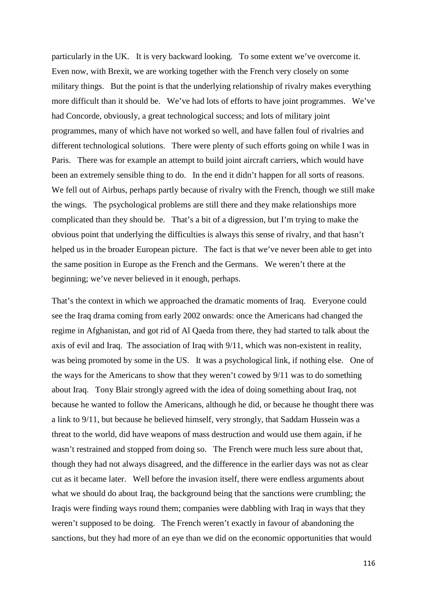particularly in the UK. It is very backward looking. To some extent we've overcome it. Even now, with Brexit, we are working together with the French very closely on some military things. But the point is that the underlying relationship of rivalry makes everything more difficult than it should be. We've had lots of efforts to have joint programmes. We've had Concorde, obviously, a great technological success; and lots of military joint programmes, many of which have not worked so well, and have fallen foul of rivalries and different technological solutions. There were plenty of such efforts going on while I was in Paris. There was for example an attempt to build joint aircraft carriers, which would have been an extremely sensible thing to do. In the end it didn't happen for all sorts of reasons. We fell out of Airbus, perhaps partly because of rivalry with the French, though we still make the wings. The psychological problems are still there and they make relationships more complicated than they should be. That's a bit of a digression, but I'm trying to make the obvious point that underlying the difficulties is always this sense of rivalry, and that hasn't helped us in the broader European picture. The fact is that we've never been able to get into the same position in Europe as the French and the Germans. We weren't there at the beginning; we've never believed in it enough, perhaps.

That's the context in which we approached the dramatic moments of Iraq. Everyone could see the Iraq drama coming from early 2002 onwards: once the Americans had changed the regime in Afghanistan, and got rid of Al Qaeda from there, they had started to talk about the axis of evil and Iraq. The association of Iraq with 9/11, which was non-existent in reality, was being promoted by some in the US. It was a psychological link, if nothing else. One of the ways for the Americans to show that they weren't cowed by 9/11 was to do something about Iraq. Tony Blair strongly agreed with the idea of doing something about Iraq, not because he wanted to follow the Americans, although he did, or because he thought there was a link to 9/11, but because he believed himself, very strongly, that Saddam Hussein was a threat to the world, did have weapons of mass destruction and would use them again, if he wasn't restrained and stopped from doing so. The French were much less sure about that, though they had not always disagreed, and the difference in the earlier days was not as clear cut as it became later. Well before the invasion itself, there were endless arguments about what we should do about Iraq, the background being that the sanctions were crumbling; the Iraqis were finding ways round them; companies were dabbling with Iraq in ways that they weren't supposed to be doing. The French weren't exactly in favour of abandoning the sanctions, but they had more of an eye than we did on the economic opportunities that would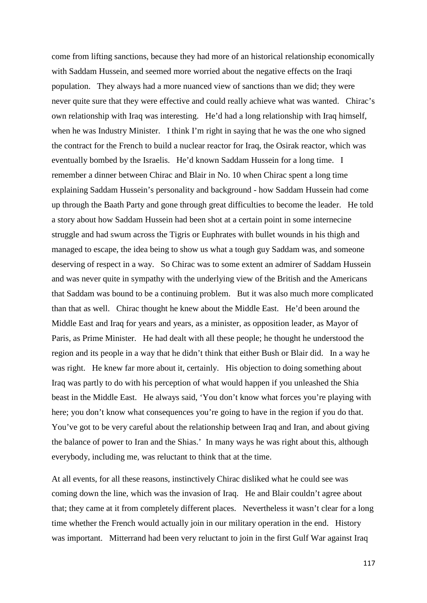come from lifting sanctions, because they had more of an historical relationship economically with Saddam Hussein, and seemed more worried about the negative effects on the Iraqi population. They always had a more nuanced view of sanctions than we did; they were never quite sure that they were effective and could really achieve what was wanted. Chirac's own relationship with Iraq was interesting. He'd had a long relationship with Iraq himself, when he was Industry Minister. I think I'm right in saying that he was the one who signed the contract for the French to build a nuclear reactor for Iraq, the Osirak reactor, which was eventually bombed by the Israelis. He'd known Saddam Hussein for a long time. I remember a dinner between Chirac and Blair in No. 10 when Chirac spent a long time explaining Saddam Hussein's personality and background - how Saddam Hussein had come up through the Baath Party and gone through great difficulties to become the leader. He told a story about how Saddam Hussein had been shot at a certain point in some internecine struggle and had swum across the Tigris or Euphrates with bullet wounds in his thigh and managed to escape, the idea being to show us what a tough guy Saddam was, and someone deserving of respect in a way. So Chirac was to some extent an admirer of Saddam Hussein and was never quite in sympathy with the underlying view of the British and the Americans that Saddam was bound to be a continuing problem. But it was also much more complicated than that as well. Chirac thought he knew about the Middle East. He'd been around the Middle East and Iraq for years and years, as a minister, as opposition leader, as Mayor of Paris, as Prime Minister. He had dealt with all these people; he thought he understood the region and its people in a way that he didn't think that either Bush or Blair did. In a way he was right. He knew far more about it, certainly. His objection to doing something about Iraq was partly to do with his perception of what would happen if you unleashed the Shia beast in the Middle East. He always said, 'You don't know what forces you're playing with here; you don't know what consequences you're going to have in the region if you do that. You've got to be very careful about the relationship between Iraq and Iran, and about giving the balance of power to Iran and the Shias.' In many ways he was right about this, although everybody, including me, was reluctant to think that at the time.

At all events, for all these reasons, instinctively Chirac disliked what he could see was coming down the line, which was the invasion of Iraq. He and Blair couldn't agree about that; they came at it from completely different places. Nevertheless it wasn't clear for a long time whether the French would actually join in our military operation in the end. History was important. Mitterrand had been very reluctant to join in the first Gulf War against Iraq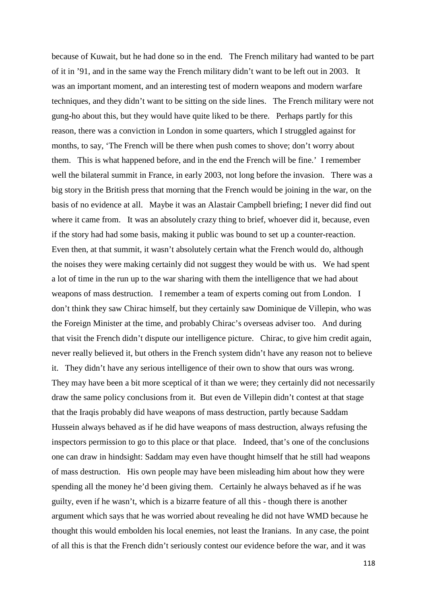because of Kuwait, but he had done so in the end. The French military had wanted to be part of it in '91, and in the same way the French military didn't want to be left out in 2003. It was an important moment, and an interesting test of modern weapons and modern warfare techniques, and they didn't want to be sitting on the side lines. The French military were not gung-ho about this, but they would have quite liked to be there. Perhaps partly for this reason, there was a conviction in London in some quarters, which I struggled against for months, to say, 'The French will be there when push comes to shove; don't worry about them. This is what happened before, and in the end the French will be fine.' I remember well the bilateral summit in France, in early 2003, not long before the invasion. There was a big story in the British press that morning that the French would be joining in the war, on the basis of no evidence at all. Maybe it was an Alastair Campbell briefing; I never did find out where it came from. It was an absolutely crazy thing to brief, whoever did it, because, even if the story had had some basis, making it public was bound to set up a counter-reaction. Even then, at that summit, it wasn't absolutely certain what the French would do, although the noises they were making certainly did not suggest they would be with us. We had spent a lot of time in the run up to the war sharing with them the intelligence that we had about weapons of mass destruction. I remember a team of experts coming out from London. I don't think they saw Chirac himself, but they certainly saw Dominique de Villepin, who was the Foreign Minister at the time, and probably Chirac's overseas adviser too. And during that visit the French didn't dispute our intelligence picture. Chirac, to give him credit again, never really believed it, but others in the French system didn't have any reason not to believe it. They didn't have any serious intelligence of their own to show that ours was wrong. They may have been a bit more sceptical of it than we were; they certainly did not necessarily draw the same policy conclusions from it. But even de Villepin didn't contest at that stage that the Iraqis probably did have weapons of mass destruction, partly because Saddam Hussein always behaved as if he did have weapons of mass destruction, always refusing the inspectors permission to go to this place or that place. Indeed, that's one of the conclusions one can draw in hindsight: Saddam may even have thought himself that he still had weapons of mass destruction. His own people may have been misleading him about how they were spending all the money he'd been giving them. Certainly he always behaved as if he was guilty, even if he wasn't, which is a bizarre feature of all this - though there is another argument which says that he was worried about revealing he did not have WMD because he thought this would embolden his local enemies, not least the Iranians. In any case, the point of all this is that the French didn't seriously contest our evidence before the war, and it was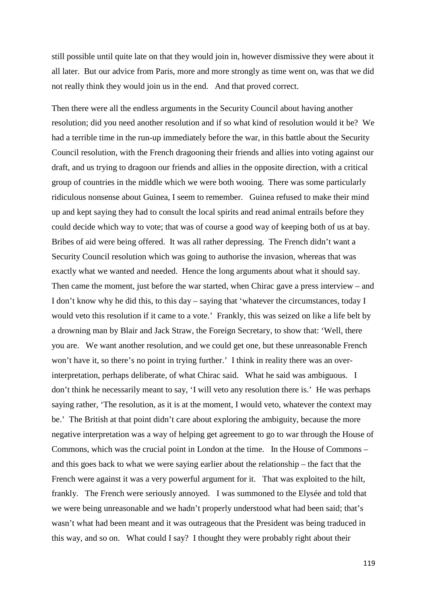still possible until quite late on that they would join in, however dismissive they were about it all later. But our advice from Paris, more and more strongly as time went on, was that we did not really think they would join us in the end. And that proved correct.

Then there were all the endless arguments in the Security Council about having another resolution; did you need another resolution and if so what kind of resolution would it be? We had a terrible time in the run-up immediately before the war, in this battle about the Security Council resolution, with the French dragooning their friends and allies into voting against our draft, and us trying to dragoon our friends and allies in the opposite direction, with a critical group of countries in the middle which we were both wooing. There was some particularly ridiculous nonsense about Guinea, I seem to remember. Guinea refused to make their mind up and kept saying they had to consult the local spirits and read animal entrails before they could decide which way to vote; that was of course a good way of keeping both of us at bay. Bribes of aid were being offered. It was all rather depressing. The French didn't want a Security Council resolution which was going to authorise the invasion, whereas that was exactly what we wanted and needed. Hence the long arguments about what it should say. Then came the moment, just before the war started, when Chirac gave a press interview – and I don't know why he did this, to this day – saying that 'whatever the circumstances, today I would veto this resolution if it came to a vote.' Frankly, this was seized on like a life belt by a drowning man by Blair and Jack Straw, the Foreign Secretary, to show that: 'Well, there you are. We want another resolution, and we could get one, but these unreasonable French won't have it, so there's no point in trying further.' I think in reality there was an overinterpretation, perhaps deliberate, of what Chirac said. What he said was ambiguous. I don't think he necessarily meant to say, 'I will veto any resolution there is.' He was perhaps saying rather, 'The resolution, as it is at the moment, I would veto, whatever the context may be.' The British at that point didn't care about exploring the ambiguity, because the more negative interpretation was a way of helping get agreement to go to war through the House of Commons, which was the crucial point in London at the time. In the House of Commons – and this goes back to what we were saying earlier about the relationship – the fact that the French were against it was a very powerful argument for it. That was exploited to the hilt, frankly. The French were seriously annoyed. I was summoned to the Elysée and told that we were being unreasonable and we hadn't properly understood what had been said; that's wasn't what had been meant and it was outrageous that the President was being traduced in this way, and so on. What could I say? I thought they were probably right about their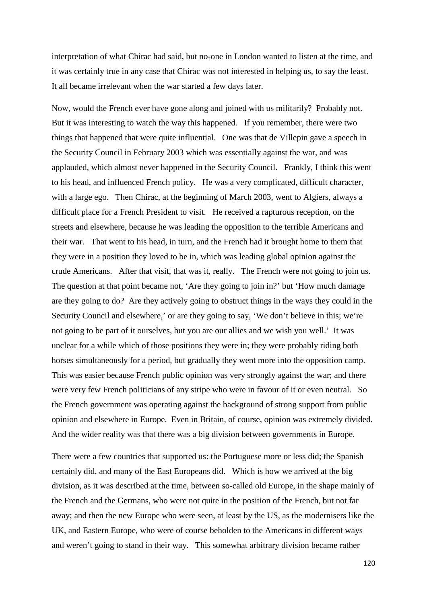interpretation of what Chirac had said, but no-one in London wanted to listen at the time, and it was certainly true in any case that Chirac was not interested in helping us, to say the least. It all became irrelevant when the war started a few days later.

Now, would the French ever have gone along and joined with us militarily? Probably not. But it was interesting to watch the way this happened. If you remember, there were two things that happened that were quite influential. One was that de Villepin gave a speech in the Security Council in February 2003 which was essentially against the war, and was applauded, which almost never happened in the Security Council. Frankly, I think this went to his head, and influenced French policy. He was a very complicated, difficult character, with a large ego. Then Chirac, at the beginning of March 2003, went to Algiers, always a difficult place for a French President to visit. He received a rapturous reception, on the streets and elsewhere, because he was leading the opposition to the terrible Americans and their war. That went to his head, in turn, and the French had it brought home to them that they were in a position they loved to be in, which was leading global opinion against the crude Americans. After that visit, that was it, really. The French were not going to join us. The question at that point became not, 'Are they going to join in?' but 'How much damage are they going to do? Are they actively going to obstruct things in the ways they could in the Security Council and elsewhere,' or are they going to say, 'We don't believe in this; we're not going to be part of it ourselves, but you are our allies and we wish you well.' It was unclear for a while which of those positions they were in; they were probably riding both horses simultaneously for a period, but gradually they went more into the opposition camp. This was easier because French public opinion was very strongly against the war; and there were very few French politicians of any stripe who were in favour of it or even neutral. So the French government was operating against the background of strong support from public opinion and elsewhere in Europe. Even in Britain, of course, opinion was extremely divided. And the wider reality was that there was a big division between governments in Europe.

There were a few countries that supported us: the Portuguese more or less did; the Spanish certainly did, and many of the East Europeans did. Which is how we arrived at the big division, as it was described at the time, between so-called old Europe, in the shape mainly of the French and the Germans, who were not quite in the position of the French, but not far away; and then the new Europe who were seen, at least by the US, as the modernisers like the UK, and Eastern Europe, who were of course beholden to the Americans in different ways and weren't going to stand in their way. This somewhat arbitrary division became rather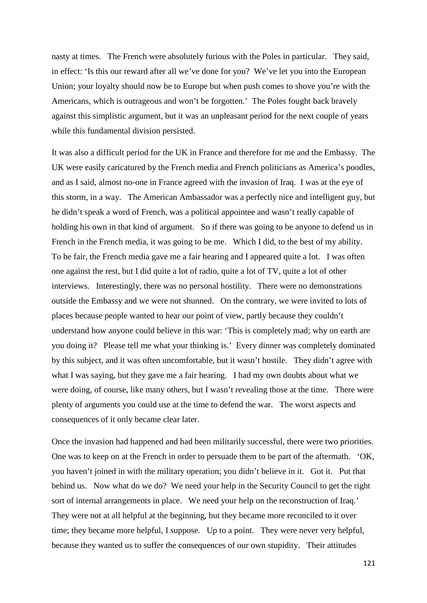nasty at times. The French were absolutely furious with the Poles in particular. They said, in effect: 'Is this our reward after all we've done for you? We've let you into the European Union; your loyalty should now be to Europe but when push comes to shove you're with the Americans, which is outrageous and won't be forgotten.' The Poles fought back bravely against this simplistic argument, but it was an unpleasant period for the next couple of years while this fundamental division persisted.

It was also a difficult period for the UK in France and therefore for me and the Embassy. The UK were easily caricatured by the French media and French politicians as America's poodles, and as I said, almost no-one in France agreed with the invasion of Iraq. I was at the eye of this storm, in a way. The American Ambassador was a perfectly nice and intelligent guy, but he didn't speak a word of French, was a political appointee and wasn't really capable of holding his own in that kind of argument. So if there was going to be anyone to defend us in French in the French media, it was going to be me. Which I did, to the best of my ability. To be fair, the French media gave me a fair hearing and I appeared quite a lot. I was often one against the rest, but I did quite a lot of radio, quite a lot of TV, quite a lot of other interviews. Interestingly, there was no personal hostility. There were no demonstrations outside the Embassy and we were not shunned. On the contrary, we were invited to lots of places because people wanted to hear our point of view, partly because they couldn't understand how anyone could believe in this war: 'This is completely mad; why on earth are you doing it? Please tell me what your thinking is.' Every dinner was completely dominated by this subject, and it was often uncomfortable, but it wasn't hostile. They didn't agree with what I was saying, but they gave me a fair hearing. I had my own doubts about what we were doing, of course, like many others, but I wasn't revealing those at the time. There were plenty of arguments you could use at the time to defend the war. The worst aspects and consequences of it only became clear later.

Once the invasion had happened and had been militarily successful, there were two priorities. One was to keep on at the French in order to persuade them to be part of the aftermath. 'OK, you haven't joined in with the military operation; you didn't believe in it. Got it. Put that behind us. Now what do we do? We need your help in the Security Council to get the right sort of internal arrangements in place. We need your help on the reconstruction of Iraq.' They were not at all helpful at the beginning, but they became more reconciled to it over time; they became more helpful, I suppose. Up to a point. They were never very helpful, because they wanted us to suffer the consequences of our own stupidity. Their attitudes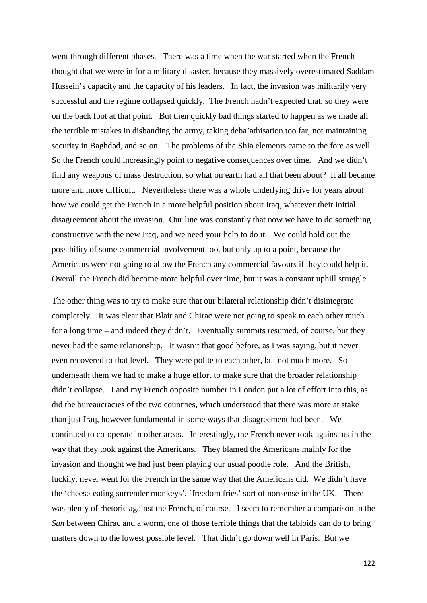went through different phases. There was a time when the war started when the French thought that we were in for a military disaster, because they massively overestimated Saddam Hussein's capacity and the capacity of his leaders. In fact, the invasion was militarily very successful and the regime collapsed quickly. The French hadn't expected that, so they were on the back foot at that point. But then quickly bad things started to happen as we made all the terrible mistakes in disbanding the army, taking deba'athisation too far, not maintaining security in Baghdad, and so on. The problems of the Shia elements came to the fore as well. So the French could increasingly point to negative consequences over time. And we didn't find any weapons of mass destruction, so what on earth had all that been about? It all became more and more difficult. Nevertheless there was a whole underlying drive for years about how we could get the French in a more helpful position about Iraq, whatever their initial disagreement about the invasion. Our line was constantly that now we have to do something constructive with the new Iraq, and we need your help to do it. We could hold out the possibility of some commercial involvement too, but only up to a point, because the Americans were not going to allow the French any commercial favours if they could help it. Overall the French did become more helpful over time, but it was a constant uphill struggle.

The other thing was to try to make sure that our bilateral relationship didn't disintegrate completely. It was clear that Blair and Chirac were not going to speak to each other much for a long time – and indeed they didn't. Eventually summits resumed, of course, but they never had the same relationship. It wasn't that good before, as I was saying, but it never even recovered to that level. They were polite to each other, but not much more. So underneath them we had to make a huge effort to make sure that the broader relationship didn't collapse. I and my French opposite number in London put a lot of effort into this, as did the bureaucracies of the two countries, which understood that there was more at stake than just Iraq, however fundamental in some ways that disagreement had been. We continued to co-operate in other areas. Interestingly, the French never took against us in the way that they took against the Americans. They blamed the Americans mainly for the invasion and thought we had just been playing our usual poodle role. And the British, luckily, never went for the French in the same way that the Americans did. We didn't have the 'cheese-eating surrender monkeys', 'freedom fries' sort of nonsense in the UK. There was plenty of rhetoric against the French, of course. I seem to remember a comparison in the *Sun* between Chirac and a worm, one of those terrible things that the tabloids can do to bring matters down to the lowest possible level. That didn't go down well in Paris. But we

122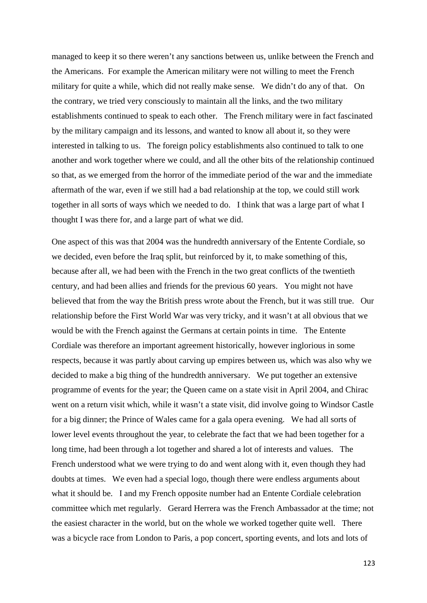managed to keep it so there weren't any sanctions between us, unlike between the French and the Americans. For example the American military were not willing to meet the French military for quite a while, which did not really make sense. We didn't do any of that. On the contrary, we tried very consciously to maintain all the links, and the two military establishments continued to speak to each other. The French military were in fact fascinated by the military campaign and its lessons, and wanted to know all about it, so they were interested in talking to us. The foreign policy establishments also continued to talk to one another and work together where we could, and all the other bits of the relationship continued so that, as we emerged from the horror of the immediate period of the war and the immediate aftermath of the war, even if we still had a bad relationship at the top, we could still work together in all sorts of ways which we needed to do. I think that was a large part of what I thought I was there for, and a large part of what we did.

One aspect of this was that 2004 was the hundredth anniversary of the Entente Cordiale, so we decided, even before the Iraq split, but reinforced by it, to make something of this, because after all, we had been with the French in the two great conflicts of the twentieth century, and had been allies and friends for the previous 60 years. You might not have believed that from the way the British press wrote about the French, but it was still true. Our relationship before the First World War was very tricky, and it wasn't at all obvious that we would be with the French against the Germans at certain points in time. The Entente Cordiale was therefore an important agreement historically, however inglorious in some respects, because it was partly about carving up empires between us, which was also why we decided to make a big thing of the hundredth anniversary. We put together an extensive programme of events for the year; the Queen came on a state visit in April 2004, and Chirac went on a return visit which, while it wasn't a state visit, did involve going to Windsor Castle for a big dinner; the Prince of Wales came for a gala opera evening. We had all sorts of lower level events throughout the year, to celebrate the fact that we had been together for a long time, had been through a lot together and shared a lot of interests and values. The French understood what we were trying to do and went along with it, even though they had doubts at times. We even had a special logo, though there were endless arguments about what it should be. I and my French opposite number had an Entente Cordiale celebration committee which met regularly. Gerard Herrera was the French Ambassador at the time; not the easiest character in the world, but on the whole we worked together quite well. There was a bicycle race from London to Paris, a pop concert, sporting events, and lots and lots of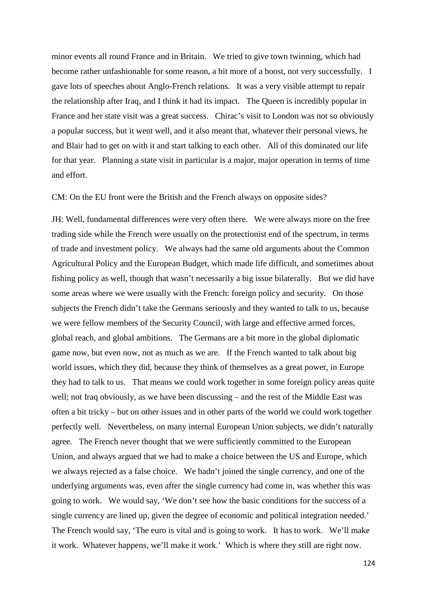minor events all round France and in Britain. We tried to give town twinning, which had become rather unfashionable for some reason, a bit more of a boost, not very successfully. I gave lots of speeches about Anglo-French relations. It was a very visible attempt to repair the relationship after Iraq, and I think it had its impact. The Queen is incredibly popular in France and her state visit was a great success. Chirac's visit to London was not so obviously a popular success, but it went well, and it also meant that, whatever their personal views, he and Blair had to get on with it and start talking to each other. All of this dominated our life for that year. Planning a state visit in particular is a major, major operation in terms of time and effort.

CM: On the EU front were the British and the French always on opposite sides?

JH: Well, fundamental differences were very often there. We were always more on the free trading side while the French were usually on the protectionist end of the spectrum, in terms of trade and investment policy. We always had the same old arguments about the Common Agricultural Policy and the European Budget, which made life difficult, and sometimes about fishing policy as well, though that wasn't necessarily a big issue bilaterally. But we did have some areas where we were usually with the French: foreign policy and security. On those subjects the French didn't take the Germans seriously and they wanted to talk to us, because we were fellow members of the Security Council, with large and effective armed forces, global reach, and global ambitions. The Germans are a bit more in the global diplomatic game now, but even now, not as much as we are. If the French wanted to talk about big world issues, which they did, because they think of themselves as a great power, in Europe they had to talk to us. That means we could work together in some foreign policy areas quite well; not Iraq obviously, as we have been discussing – and the rest of the Middle East was often a bit tricky – but on other issues and in other parts of the world we could work together perfectly well. Nevertheless, on many internal European Union subjects, we didn't naturally agree. The French never thought that we were sufficiently committed to the European Union, and always argued that we had to make a choice between the US and Europe, which we always rejected as a false choice. We hadn't joined the single currency, and one of the underlying arguments was, even after the single currency had come in, was whether this was going to work. We would say, 'We don't see how the basic conditions for the success of a single currency are lined up, given the degree of economic and political integration needed.' The French would say, 'The euro is vital and is going to work. It has to work. We'll make it work. Whatever happens, we'll make it work.' Which is where they still are right now.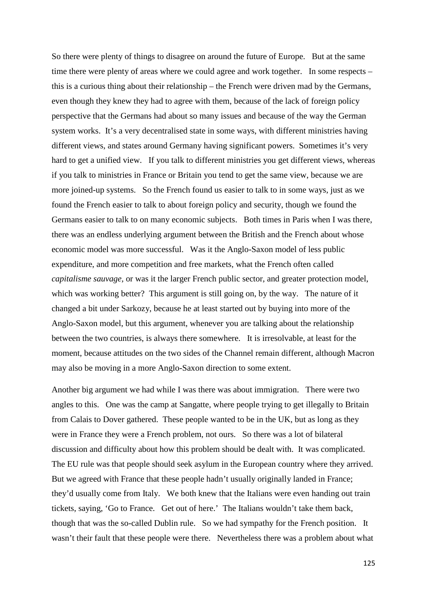So there were plenty of things to disagree on around the future of Europe. But at the same time there were plenty of areas where we could agree and work together. In some respects – this is a curious thing about their relationship – the French were driven mad by the Germans, even though they knew they had to agree with them, because of the lack of foreign policy perspective that the Germans had about so many issues and because of the way the German system works. It's a very decentralised state in some ways, with different ministries having different views, and states around Germany having significant powers. Sometimes it's very hard to get a unified view. If you talk to different ministries you get different views, whereas if you talk to ministries in France or Britain you tend to get the same view, because we are more joined-up systems. So the French found us easier to talk to in some ways, just as we found the French easier to talk to about foreign policy and security, though we found the Germans easier to talk to on many economic subjects. Both times in Paris when I was there, there was an endless underlying argument between the British and the French about whose economic model was more successful. Was it the Anglo-Saxon model of less public expenditure, and more competition and free markets, what the French often called *capitalisme sauvage,* or was it the larger French public sector, and greater protection model, which was working better? This argument is still going on, by the way. The nature of it changed a bit under Sarkozy, because he at least started out by buying into more of the Anglo-Saxon model, but this argument, whenever you are talking about the relationship between the two countries, is always there somewhere. It is irresolvable, at least for the moment, because attitudes on the two sides of the Channel remain different, although Macron may also be moving in a more Anglo-Saxon direction to some extent.

Another big argument we had while I was there was about immigration. There were two angles to this. One was the camp at Sangatte, where people trying to get illegally to Britain from Calais to Dover gathered. These people wanted to be in the UK, but as long as they were in France they were a French problem, not ours. So there was a lot of bilateral discussion and difficulty about how this problem should be dealt with. It was complicated. The EU rule was that people should seek asylum in the European country where they arrived. But we agreed with France that these people hadn't usually originally landed in France; they'd usually come from Italy. We both knew that the Italians were even handing out train tickets, saying, 'Go to France. Get out of here.' The Italians wouldn't take them back, though that was the so-called Dublin rule. So we had sympathy for the French position. It wasn't their fault that these people were there. Nevertheless there was a problem about what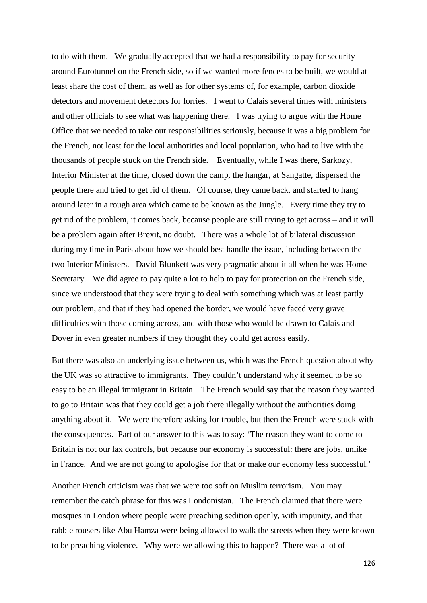to do with them. We gradually accepted that we had a responsibility to pay for security around Eurotunnel on the French side, so if we wanted more fences to be built, we would at least share the cost of them, as well as for other systems of, for example, carbon dioxide detectors and movement detectors for lorries. I went to Calais several times with ministers and other officials to see what was happening there. I was trying to argue with the Home Office that we needed to take our responsibilities seriously, because it was a big problem for the French, not least for the local authorities and local population, who had to live with the thousands of people stuck on the French side. Eventually, while I was there, Sarkozy, Interior Minister at the time, closed down the camp, the hangar, at Sangatte, dispersed the people there and tried to get rid of them. Of course, they came back, and started to hang around later in a rough area which came to be known as the Jungle. Every time they try to get rid of the problem, it comes back, because people are still trying to get across – and it will be a problem again after Brexit, no doubt. There was a whole lot of bilateral discussion during my time in Paris about how we should best handle the issue, including between the two Interior Ministers. David Blunkett was very pragmatic about it all when he was Home Secretary. We did agree to pay quite a lot to help to pay for protection on the French side, since we understood that they were trying to deal with something which was at least partly our problem, and that if they had opened the border, we would have faced very grave difficulties with those coming across, and with those who would be drawn to Calais and Dover in even greater numbers if they thought they could get across easily.

But there was also an underlying issue between us, which was the French question about why the UK was so attractive to immigrants. They couldn't understand why it seemed to be so easy to be an illegal immigrant in Britain. The French would say that the reason they wanted to go to Britain was that they could get a job there illegally without the authorities doing anything about it. We were therefore asking for trouble, but then the French were stuck with the consequences. Part of our answer to this was to say: 'The reason they want to come to Britain is not our lax controls, but because our economy is successful: there are jobs, unlike in France. And we are not going to apologise for that or make our economy less successful.'

Another French criticism was that we were too soft on Muslim terrorism. You may remember the catch phrase for this was Londonistan. The French claimed that there were mosques in London where people were preaching sedition openly, with impunity, and that rabble rousers like Abu Hamza were being allowed to walk the streets when they were known to be preaching violence. Why were we allowing this to happen? There was a lot of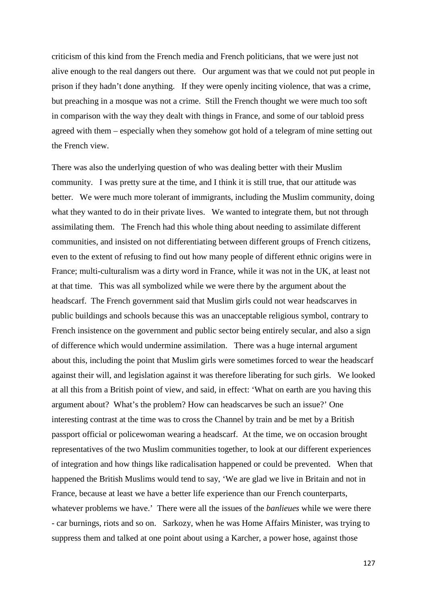criticism of this kind from the French media and French politicians, that we were just not alive enough to the real dangers out there. Our argument was that we could not put people in prison if they hadn't done anything. If they were openly inciting violence, that was a crime, but preaching in a mosque was not a crime. Still the French thought we were much too soft in comparison with the way they dealt with things in France, and some of our tabloid press agreed with them – especially when they somehow got hold of a telegram of mine setting out the French view.

There was also the underlying question of who was dealing better with their Muslim community. I was pretty sure at the time, and I think it is still true, that our attitude was better. We were much more tolerant of immigrants, including the Muslim community, doing what they wanted to do in their private lives. We wanted to integrate them, but not through assimilating them. The French had this whole thing about needing to assimilate different communities, and insisted on not differentiating between different groups of French citizens, even to the extent of refusing to find out how many people of different ethnic origins were in France; multi-culturalism was a dirty word in France, while it was not in the UK, at least not at that time. This was all symbolized while we were there by the argument about the headscarf. The French government said that Muslim girls could not wear headscarves in public buildings and schools because this was an unacceptable religious symbol, contrary to French insistence on the government and public sector being entirely secular, and also a sign of difference which would undermine assimilation. There was a huge internal argument about this, including the point that Muslim girls were sometimes forced to wear the headscarf against their will, and legislation against it was therefore liberating for such girls. We looked at all this from a British point of view, and said, in effect: 'What on earth are you having this argument about? What's the problem? How can headscarves be such an issue?' One interesting contrast at the time was to cross the Channel by train and be met by a British passport official or policewoman wearing a headscarf. At the time, we on occasion brought representatives of the two Muslim communities together, to look at our different experiences of integration and how things like radicalisation happened or could be prevented. When that happened the British Muslims would tend to say, 'We are glad we live in Britain and not in France, because at least we have a better life experience than our French counterparts, whatever problems we have.' There were all the issues of the *banlieues* while we were there - car burnings, riots and so on. Sarkozy, when he was Home Affairs Minister, was trying to suppress them and talked at one point about using a Karcher, a power hose, against those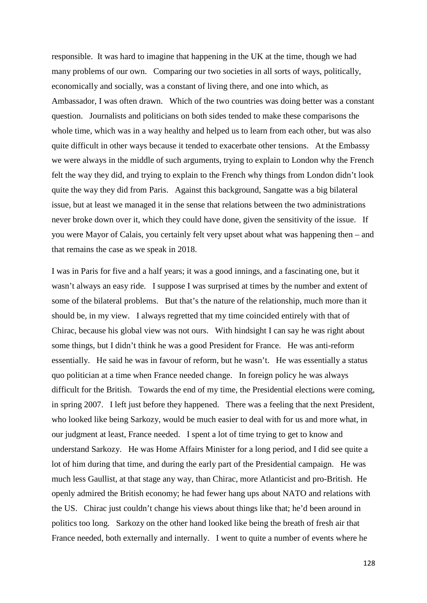responsible. It was hard to imagine that happening in the UK at the time, though we had many problems of our own. Comparing our two societies in all sorts of ways, politically, economically and socially, was a constant of living there, and one into which, as Ambassador, I was often drawn. Which of the two countries was doing better was a constant question. Journalists and politicians on both sides tended to make these comparisons the whole time, which was in a way healthy and helped us to learn from each other, but was also quite difficult in other ways because it tended to exacerbate other tensions. At the Embassy we were always in the middle of such arguments, trying to explain to London why the French felt the way they did, and trying to explain to the French why things from London didn't look quite the way they did from Paris. Against this background, Sangatte was a big bilateral issue, but at least we managed it in the sense that relations between the two administrations never broke down over it, which they could have done, given the sensitivity of the issue. If you were Mayor of Calais, you certainly felt very upset about what was happening then – and that remains the case as we speak in 2018.

I was in Paris for five and a half years; it was a good innings, and a fascinating one, but it wasn't always an easy ride. I suppose I was surprised at times by the number and extent of some of the bilateral problems. But that's the nature of the relationship, much more than it should be, in my view. I always regretted that my time coincided entirely with that of Chirac, because his global view was not ours. With hindsight I can say he was right about some things, but I didn't think he was a good President for France. He was anti-reform essentially. He said he was in favour of reform, but he wasn't. He was essentially a status quo politician at a time when France needed change. In foreign policy he was always difficult for the British. Towards the end of my time, the Presidential elections were coming, in spring 2007. I left just before they happened. There was a feeling that the next President, who looked like being Sarkozy, would be much easier to deal with for us and more what, in our judgment at least, France needed. I spent a lot of time trying to get to know and understand Sarkozy. He was Home Affairs Minister for a long period, and I did see quite a lot of him during that time, and during the early part of the Presidential campaign. He was much less Gaullist, at that stage any way, than Chirac, more Atlanticist and pro-British. He openly admired the British economy; he had fewer hang ups about NATO and relations with the US. Chirac just couldn't change his views about things like that; he'd been around in politics too long. Sarkozy on the other hand looked like being the breath of fresh air that France needed, both externally and internally. I went to quite a number of events where he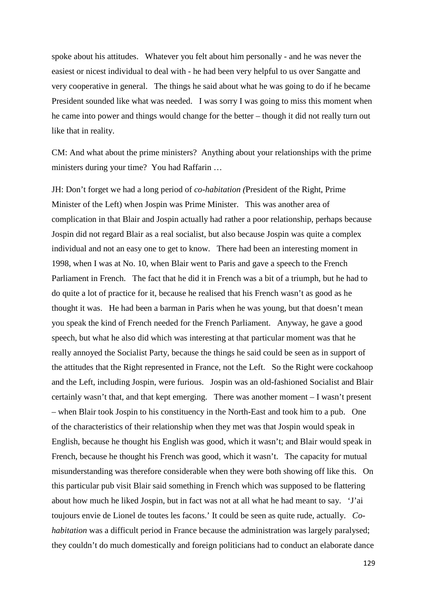spoke about his attitudes. Whatever you felt about him personally - and he was never the easiest or nicest individual to deal with - he had been very helpful to us over Sangatte and very cooperative in general. The things he said about what he was going to do if he became President sounded like what was needed. I was sorry I was going to miss this moment when he came into power and things would change for the better – though it did not really turn out like that in reality.

CM: And what about the prime ministers? Anything about your relationships with the prime ministers during your time? You had Raffarin …

JH: Don't forget we had a long period of *co-habitation (*President of the Right, Prime Minister of the Left) when Jospin was Prime Minister. This was another area of complication in that Blair and Jospin actually had rather a poor relationship, perhaps because Jospin did not regard Blair as a real socialist, but also because Jospin was quite a complex individual and not an easy one to get to know. There had been an interesting moment in 1998, when I was at No. 10, when Blair went to Paris and gave a speech to the French Parliament in French. The fact that he did it in French was a bit of a triumph, but he had to do quite a lot of practice for it, because he realised that his French wasn't as good as he thought it was. He had been a barman in Paris when he was young, but that doesn't mean you speak the kind of French needed for the French Parliament. Anyway, he gave a good speech, but what he also did which was interesting at that particular moment was that he really annoyed the Socialist Party, because the things he said could be seen as in support of the attitudes that the Right represented in France, not the Left. So the Right were cockahoop and the Left, including Jospin, were furious. Jospin was an old-fashioned Socialist and Blair certainly wasn't that, and that kept emerging. There was another moment – I wasn't present – when Blair took Jospin to his constituency in the North-East and took him to a pub. One of the characteristics of their relationship when they met was that Jospin would speak in English, because he thought his English was good, which it wasn't; and Blair would speak in French, because he thought his French was good, which it wasn't. The capacity for mutual misunderstanding was therefore considerable when they were both showing off like this. On this particular pub visit Blair said something in French which was supposed to be flattering about how much he liked Jospin, but in fact was not at all what he had meant to say. 'J'ai toujours envie de Lionel de toutes les facons.' It could be seen as quite rude, actually. *Cohabitation* was a difficult period in France because the administration was largely paralysed; they couldn't do much domestically and foreign politicians had to conduct an elaborate dance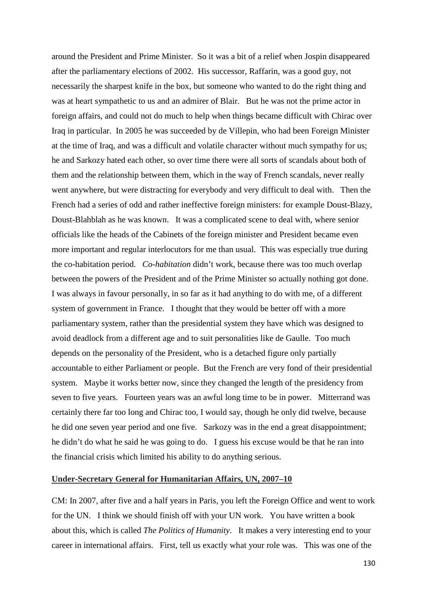around the President and Prime Minister. So it was a bit of a relief when Jospin disappeared after the parliamentary elections of 2002. His successor, Raffarin, was a good guy, not necessarily the sharpest knife in the box, but someone who wanted to do the right thing and was at heart sympathetic to us and an admirer of Blair. But he was not the prime actor in foreign affairs, and could not do much to help when things became difficult with Chirac over Iraq in particular. In 2005 he was succeeded by de Villepin, who had been Foreign Minister at the time of Iraq, and was a difficult and volatile character without much sympathy for us; he and Sarkozy hated each other, so over time there were all sorts of scandals about both of them and the relationship between them, which in the way of French scandals, never really went anywhere, but were distracting for everybody and very difficult to deal with. Then the French had a series of odd and rather ineffective foreign ministers: for example Doust-Blazy, Doust-Blahblah as he was known. It was a complicated scene to deal with, where senior officials like the heads of the Cabinets of the foreign minister and President became even more important and regular interlocutors for me than usual. This was especially true during the co-habitation period. *Co-habitation* didn't work, because there was too much overlap between the powers of the President and of the Prime Minister so actually nothing got done. I was always in favour personally, in so far as it had anything to do with me, of a different system of government in France. I thought that they would be better off with a more parliamentary system, rather than the presidential system they have which was designed to avoid deadlock from a different age and to suit personalities like de Gaulle. Too much depends on the personality of the President, who is a detached figure only partially accountable to either Parliament or people. But the French are very fond of their presidential system. Maybe it works better now, since they changed the length of the presidency from seven to five years. Fourteen years was an awful long time to be in power. Mitterrand was certainly there far too long and Chirac too, I would say, though he only did twelve, because he did one seven year period and one five. Sarkozy was in the end a great disappointment; he didn't do what he said he was going to do. I guess his excuse would be that he ran into the financial crisis which limited his ability to do anything serious.

## **Under-Secretary General for Humanitarian Affairs, UN, 2007–10**

CM: In 2007, after five and a half years in Paris, you left the Foreign Office and went to work for the UN. I think we should finish off with your UN work. You have written a book about this, which is called *The Politics of Humanity*. It makes a very interesting end to your career in international affairs. First, tell us exactly what your role was. This was one of the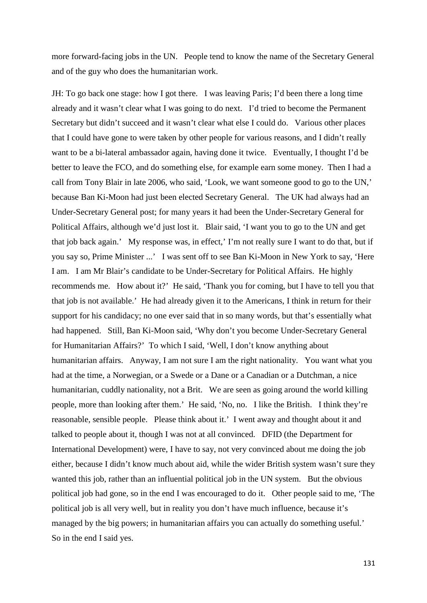more forward-facing jobs in the UN. People tend to know the name of the Secretary General and of the guy who does the humanitarian work.

JH: To go back one stage: how I got there. I was leaving Paris; I'd been there a long time already and it wasn't clear what I was going to do next. I'd tried to become the Permanent Secretary but didn't succeed and it wasn't clear what else I could do. Various other places that I could have gone to were taken by other people for various reasons, and I didn't really want to be a bi-lateral ambassador again, having done it twice. Eventually, I thought I'd be better to leave the FCO, and do something else, for example earn some money. Then I had a call from Tony Blair in late 2006, who said, 'Look, we want someone good to go to the UN,' because Ban Ki-Moon had just been elected Secretary General. The UK had always had an Under-Secretary General post; for many years it had been the Under-Secretary General for Political Affairs, although we'd just lost it. Blair said, 'I want you to go to the UN and get that job back again.' My response was, in effect,' I'm not really sure I want to do that, but if you say so, Prime Minister ...' I was sent off to see Ban Ki-Moon in New York to say, 'Here I am. I am Mr Blair's candidate to be Under-Secretary for Political Affairs. He highly recommends me. How about it?' He said, 'Thank you for coming, but I have to tell you that that job is not available.' He had already given it to the Americans, I think in return for their support for his candidacy; no one ever said that in so many words, but that's essentially what had happened. Still, Ban Ki-Moon said, 'Why don't you become Under-Secretary General for Humanitarian Affairs?' To which I said, 'Well, I don't know anything about humanitarian affairs. Anyway, I am not sure I am the right nationality. You want what you had at the time, a Norwegian, or a Swede or a Dane or a Canadian or a Dutchman, a nice humanitarian, cuddly nationality, not a Brit. We are seen as going around the world killing people, more than looking after them.' He said, 'No, no. I like the British. I think they're reasonable, sensible people. Please think about it.' I went away and thought about it and talked to people about it, though I was not at all convinced. DFID (the Department for International Development) were, I have to say, not very convinced about me doing the job either, because I didn't know much about aid, while the wider British system wasn't sure they wanted this job, rather than an influential political job in the UN system. But the obvious political job had gone, so in the end I was encouraged to do it. Other people said to me, 'The political job is all very well, but in reality you don't have much influence, because it's managed by the big powers; in humanitarian affairs you can actually do something useful.' So in the end I said yes.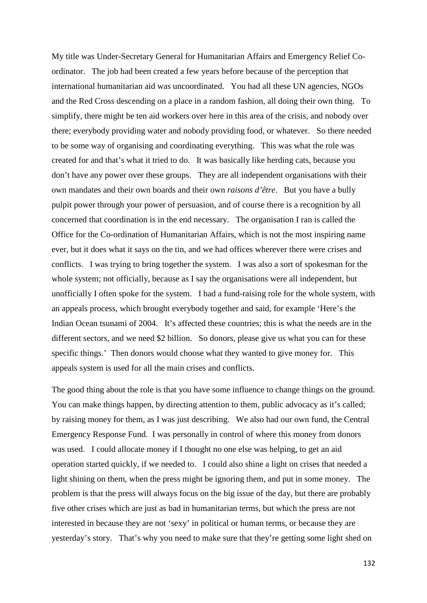My title was Under-Secretary General for Humanitarian Affairs and Emergency Relief Coordinator. The job had been created a few years before because of the perception that international humanitarian aid was uncoordinated. You had all these UN agencies, NGOs and the Red Cross descending on a place in a random fashion, all doing their own thing. To simplify, there might be ten aid workers over here in this area of the crisis, and nobody over there; everybody providing water and nobody providing food, or whatever. So there needed to be some way of organising and coordinating everything. This was what the role was created for and that's what it tried to do. It was basically like herding cats, because you don't have any power over these groups. They are all independent organisations with their own mandates and their own boards and their own *raisons d'être*. But you have a bully pulpit power through your power of persuasion, and of course there is a recognition by all concerned that coordination is in the end necessary. The organisation I ran is called the Office for the Co-ordination of Humanitarian Affairs, which is not the most inspiring name ever, but it does what it says on the tin, and we had offices wherever there were crises and conflicts. I was trying to bring together the system. I was also a sort of spokesman for the whole system; not officially, because as I say the organisations were all independent, but unofficially I often spoke for the system. I had a fund-raising role for the whole system, with an appeals process, which brought everybody together and said, for example 'Here's the Indian Ocean tsunami of 2004. It's affected these countries; this is what the needs are in the different sectors, and we need \$2 billion. So donors, please give us what you can for these specific things.' Then donors would choose what they wanted to give money for. This appeals system is used for all the main crises and conflicts.

The good thing about the role is that you have some influence to change things on the ground. You can make things happen, by directing attention to them, public advocacy as it's called; by raising money for them, as I was just describing. We also had our own fund, the Central Emergency Response Fund. I was personally in control of where this money from donors was used. I could allocate money if I thought no one else was helping, to get an aid operation started quickly, if we needed to. I could also shine a light on crises that needed a light shining on them, when the press might be ignoring them, and put in some money. The problem is that the press will always focus on the big issue of the day, but there are probably five other crises which are just as bad in humanitarian terms, but which the press are not interested in because they are not 'sexy' in political or human terms, or because they are yesterday's story. That's why you need to make sure that they're getting some light shed on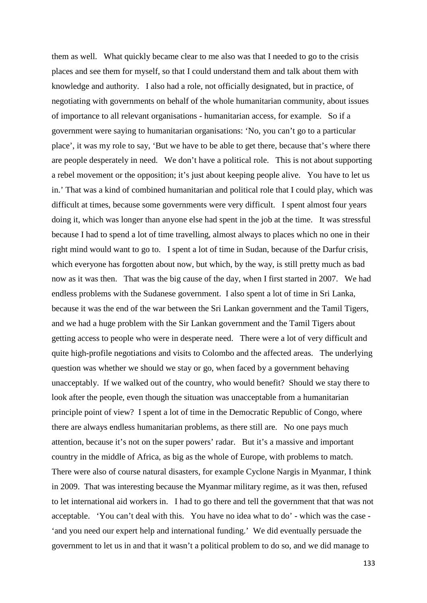them as well. What quickly became clear to me also was that I needed to go to the crisis places and see them for myself, so that I could understand them and talk about them with knowledge and authority. I also had a role, not officially designated, but in practice, of negotiating with governments on behalf of the whole humanitarian community, about issues of importance to all relevant organisations - humanitarian access, for example. So if a government were saying to humanitarian organisations: 'No, you can't go to a particular place', it was my role to say, 'But we have to be able to get there, because that's where there are people desperately in need. We don't have a political role. This is not about supporting a rebel movement or the opposition; it's just about keeping people alive. You have to let us in.' That was a kind of combined humanitarian and political role that I could play, which was difficult at times, because some governments were very difficult. I spent almost four years doing it, which was longer than anyone else had spent in the job at the time. It was stressful because I had to spend a lot of time travelling, almost always to places which no one in their right mind would want to go to. I spent a lot of time in Sudan, because of the Darfur crisis, which everyone has forgotten about now, but which, by the way, is still pretty much as bad now as it was then. That was the big cause of the day, when I first started in 2007. We had endless problems with the Sudanese government. I also spent a lot of time in Sri Lanka, because it was the end of the war between the Sri Lankan government and the Tamil Tigers, and we had a huge problem with the Sir Lankan government and the Tamil Tigers about getting access to people who were in desperate need. There were a lot of very difficult and quite high-profile negotiations and visits to Colombo and the affected areas. The underlying question was whether we should we stay or go, when faced by a government behaving unacceptably. If we walked out of the country, who would benefit? Should we stay there to look after the people, even though the situation was unacceptable from a humanitarian principle point of view? I spent a lot of time in the Democratic Republic of Congo, where there are always endless humanitarian problems, as there still are. No one pays much attention, because it's not on the super powers' radar. But it's a massive and important country in the middle of Africa, as big as the whole of Europe, with problems to match. There were also of course natural disasters, for example Cyclone Nargis in Myanmar, I think in 2009. That was interesting because the Myanmar military regime, as it was then, refused to let international aid workers in. I had to go there and tell the government that that was not acceptable. 'You can't deal with this. You have no idea what to do' - which was the case - 'and you need our expert help and international funding.' We did eventually persuade the government to let us in and that it wasn't a political problem to do so, and we did manage to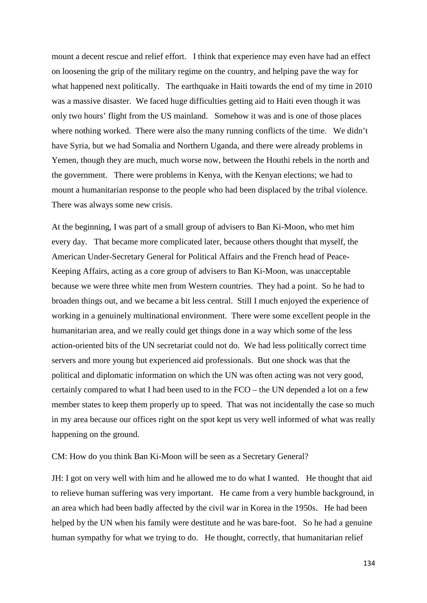mount a decent rescue and relief effort. I think that experience may even have had an effect on loosening the grip of the military regime on the country, and helping pave the way for what happened next politically. The earthquake in Haiti towards the end of my time in 2010 was a massive disaster. We faced huge difficulties getting aid to Haiti even though it was only two hours' flight from the US mainland. Somehow it was and is one of those places where nothing worked. There were also the many running conflicts of the time. We didn't have Syria, but we had Somalia and Northern Uganda, and there were already problems in Yemen, though they are much, much worse now, between the Houthi rebels in the north and the government. There were problems in Kenya, with the Kenyan elections; we had to mount a humanitarian response to the people who had been displaced by the tribal violence. There was always some new crisis.

At the beginning, I was part of a small group of advisers to Ban Ki-Moon, who met him every day. That became more complicated later, because others thought that myself, the American Under-Secretary General for Political Affairs and the French head of Peace-Keeping Affairs, acting as a core group of advisers to Ban Ki-Moon, was unacceptable because we were three white men from Western countries. They had a point. So he had to broaden things out, and we became a bit less central. Still I much enjoyed the experience of working in a genuinely multinational environment. There were some excellent people in the humanitarian area, and we really could get things done in a way which some of the less action-oriented bits of the UN secretariat could not do. We had less politically correct time servers and more young but experienced aid professionals. But one shock was that the political and diplomatic information on which the UN was often acting was not very good, certainly compared to what I had been used to in the FCO – the UN depended a lot on a few member states to keep them properly up to speed. That was not incidentally the case so much in my area because our offices right on the spot kept us very well informed of what was really happening on the ground.

## CM: How do you think Ban Ki-Moon will be seen as a Secretary General?

JH: I got on very well with him and he allowed me to do what I wanted. He thought that aid to relieve human suffering was very important. He came from a very humble background, in an area which had been badly affected by the civil war in Korea in the 1950s. He had been helped by the UN when his family were destitute and he was bare-foot. So he had a genuine human sympathy for what we trying to do. He thought, correctly, that humanitarian relief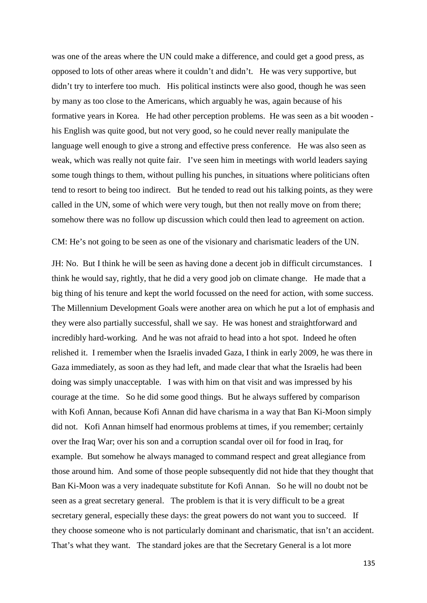was one of the areas where the UN could make a difference, and could get a good press, as opposed to lots of other areas where it couldn't and didn't. He was very supportive, but didn't try to interfere too much. His political instincts were also good, though he was seen by many as too close to the Americans, which arguably he was, again because of his formative years in Korea. He had other perception problems. He was seen as a bit wooden his English was quite good, but not very good, so he could never really manipulate the language well enough to give a strong and effective press conference. He was also seen as weak, which was really not quite fair. I've seen him in meetings with world leaders saying some tough things to them, without pulling his punches, in situations where politicians often tend to resort to being too indirect. But he tended to read out his talking points, as they were called in the UN, some of which were very tough, but then not really move on from there; somehow there was no follow up discussion which could then lead to agreement on action.

CM: He's not going to be seen as one of the visionary and charismatic leaders of the UN.

JH: No. But I think he will be seen as having done a decent job in difficult circumstances. I think he would say, rightly, that he did a very good job on climate change. He made that a big thing of his tenure and kept the world focussed on the need for action, with some success. The Millennium Development Goals were another area on which he put a lot of emphasis and they were also partially successful, shall we say. He was honest and straightforward and incredibly hard-working. And he was not afraid to head into a hot spot. Indeed he often relished it. I remember when the Israelis invaded Gaza, I think in early 2009, he was there in Gaza immediately, as soon as they had left, and made clear that what the Israelis had been doing was simply unacceptable. I was with him on that visit and was impressed by his courage at the time. So he did some good things. But he always suffered by comparison with Kofi Annan, because Kofi Annan did have charisma in a way that Ban Ki-Moon simply did not. Kofi Annan himself had enormous problems at times, if you remember; certainly over the Iraq War; over his son and a corruption scandal over oil for food in Iraq, for example. But somehow he always managed to command respect and great allegiance from those around him. And some of those people subsequently did not hide that they thought that Ban Ki-Moon was a very inadequate substitute for Kofi Annan. So he will no doubt not be seen as a great secretary general. The problem is that it is very difficult to be a great secretary general, especially these days: the great powers do not want you to succeed. If they choose someone who is not particularly dominant and charismatic, that isn't an accident. That's what they want. The standard jokes are that the Secretary General is a lot more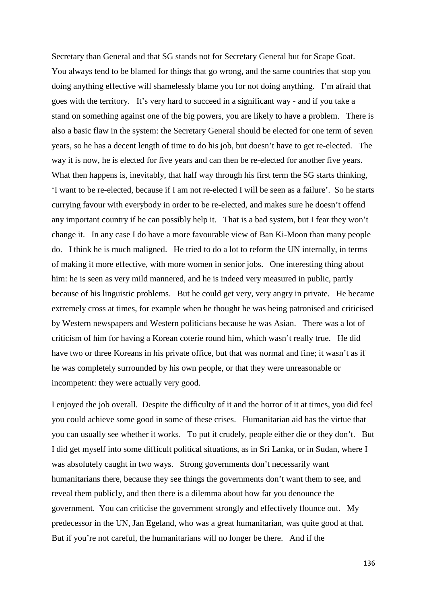Secretary than General and that SG stands not for Secretary General but for Scape Goat. You always tend to be blamed for things that go wrong, and the same countries that stop you doing anything effective will shamelessly blame you for not doing anything. I'm afraid that goes with the territory. It's very hard to succeed in a significant way - and if you take a stand on something against one of the big powers, you are likely to have a problem. There is also a basic flaw in the system: the Secretary General should be elected for one term of seven years, so he has a decent length of time to do his job, but doesn't have to get re-elected. The way it is now, he is elected for five years and can then be re-elected for another five years. What then happens is, inevitably, that half way through his first term the SG starts thinking, 'I want to be re-elected, because if I am not re-elected I will be seen as a failure'. So he starts currying favour with everybody in order to be re-elected, and makes sure he doesn't offend any important country if he can possibly help it. That is a bad system, but I fear they won't change it. In any case I do have a more favourable view of Ban Ki-Moon than many people do. I think he is much maligned. He tried to do a lot to reform the UN internally, in terms of making it more effective, with more women in senior jobs. One interesting thing about him: he is seen as very mild mannered, and he is indeed very measured in public, partly because of his linguistic problems. But he could get very, very angry in private. He became extremely cross at times, for example when he thought he was being patronised and criticised by Western newspapers and Western politicians because he was Asian. There was a lot of criticism of him for having a Korean coterie round him, which wasn't really true. He did have two or three Koreans in his private office, but that was normal and fine; it wasn't as if he was completely surrounded by his own people, or that they were unreasonable or incompetent: they were actually very good.

I enjoyed the job overall. Despite the difficulty of it and the horror of it at times, you did feel you could achieve some good in some of these crises. Humanitarian aid has the virtue that you can usually see whether it works. To put it crudely, people either die or they don't. But I did get myself into some difficult political situations, as in Sri Lanka, or in Sudan, where I was absolutely caught in two ways. Strong governments don't necessarily want humanitarians there, because they see things the governments don't want them to see, and reveal them publicly, and then there is a dilemma about how far you denounce the government. You can criticise the government strongly and effectively flounce out. My predecessor in the UN, Jan Egeland, who was a great humanitarian, was quite good at that. But if you're not careful, the humanitarians will no longer be there. And if the